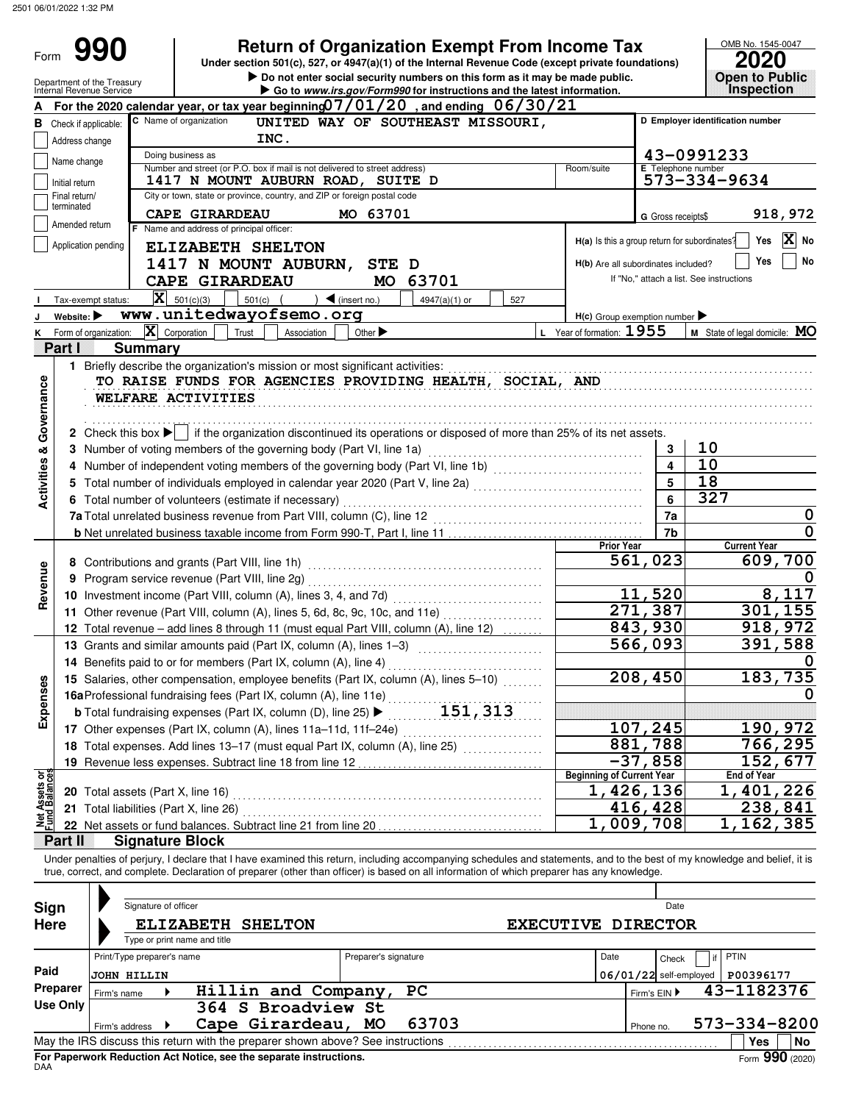| Form                                                                    | 06/01/2022 1:32 PM              | 990<br>Department of the Treasury<br>Internal Revenue Service |                                                                                                                                                   |                                            | <b>Return of Organization Exempt From Income Tax</b><br>Under section 501(c), 527, or 4947(a)(1) of the Internal Revenue Code (except private foundations)<br>Do not enter social security numbers on this form as it may be made public.<br>Go to www.irs.gov/Form990 for instructions and the latest information.      |                                               |                                        | OMB No. 1545-0047<br>ZU<br>ZU<br><b>Open to Public</b><br><b>Inspection</b> |
|-------------------------------------------------------------------------|---------------------------------|---------------------------------------------------------------|---------------------------------------------------------------------------------------------------------------------------------------------------|--------------------------------------------|--------------------------------------------------------------------------------------------------------------------------------------------------------------------------------------------------------------------------------------------------------------------------------------------------------------------------|-----------------------------------------------|----------------------------------------|-----------------------------------------------------------------------------|
|                                                                         |                                 |                                                               |                                                                                                                                                   |                                            | For the 2020 calendar year, or tax year beginning $07/01/20$ , and ending $06/30/21$                                                                                                                                                                                                                                     |                                               |                                        |                                                                             |
|                                                                         |                                 | <b>B</b> Check if applicable:                                 | C Name of organization                                                                                                                            |                                            | UNITED WAY OF SOUTHEAST MISSOURI,                                                                                                                                                                                                                                                                                        |                                               |                                        | D Employer identification number                                            |
|                                                                         | Address change                  |                                                               | INC.                                                                                                                                              |                                            |                                                                                                                                                                                                                                                                                                                          |                                               |                                        |                                                                             |
|                                                                         | Name change                     |                                                               | Doing business as                                                                                                                                 |                                            |                                                                                                                                                                                                                                                                                                                          |                                               |                                        | 43-0991233                                                                  |
|                                                                         |                                 |                                                               | Number and street (or P.O. box if mail is not delivered to street address)<br>1417 N MOUNT AUBURN ROAD, SUITE D                                   |                                            |                                                                                                                                                                                                                                                                                                                          | Room/suite                                    | E Telephone number                     | 573-334-9634                                                                |
|                                                                         | Initial return<br>Final return/ |                                                               | City or town, state or province, country, and ZIP or foreign postal code                                                                          |                                            |                                                                                                                                                                                                                                                                                                                          |                                               |                                        |                                                                             |
|                                                                         | terminated                      |                                                               | CAPE GIRARDEAU                                                                                                                                    | MO 63701                                   |                                                                                                                                                                                                                                                                                                                          |                                               |                                        | 918,972                                                                     |
|                                                                         | Amended return                  |                                                               | Name and address of principal officer:                                                                                                            |                                            |                                                                                                                                                                                                                                                                                                                          |                                               | G Gross receipts\$                     |                                                                             |
|                                                                         |                                 | Application pending                                           | ELIZABETH SHELTON                                                                                                                                 |                                            |                                                                                                                                                                                                                                                                                                                          | H(a) Is this a group return for subordinates? |                                        | $\overline{\mathbf{x}}$<br>Yes<br>No                                        |
|                                                                         |                                 |                                                               | 1417 N MOUNT AUBURN,                                                                                                                              | STE D                                      |                                                                                                                                                                                                                                                                                                                          |                                               | H(b) Are all subordinates included?    | No<br>Yes                                                                   |
|                                                                         |                                 |                                                               | <b>CAPE GIRARDEAU</b>                                                                                                                             | <b>MO</b>                                  | 63701                                                                                                                                                                                                                                                                                                                    |                                               |                                        | If "No," attach a list. See instructions                                    |
|                                                                         |                                 | Tax-exempt status:                                            | $ \mathbf{X} $ 501(c)(3)<br>501(c)                                                                                                                | $\int$ (insert no.)                        | 4947(a)(1) or<br>527                                                                                                                                                                                                                                                                                                     |                                               |                                        |                                                                             |
|                                                                         | Website: $\blacktriangleright$  |                                                               | www.unitedwayofsemo.org                                                                                                                           |                                            |                                                                                                                                                                                                                                                                                                                          |                                               | H(c) Group exemption number            |                                                                             |
| ĸ                                                                       |                                 | Form of organization:                                         | $ \mathbf{X} $ Corporation<br>Trust                                                                                                               | Other $\blacktriangleright$<br>Association |                                                                                                                                                                                                                                                                                                                          | L Year of formation: 1955                     |                                        | M State of legal domicile: MO                                               |
|                                                                         | Part I                          | <b>Summary</b>                                                |                                                                                                                                                   |                                            |                                                                                                                                                                                                                                                                                                                          |                                               |                                        |                                                                             |
| Governance<br><b>Activities &amp;</b>                                   |                                 | 2 Check this box $\blacktriangleright$                        | WELFARE ACTIVITIES<br>3 Number of voting members of the governing body (Part VI, line 1a)<br>6 Total number of volunteers (estimate if necessary) |                                            | if the organization discontinued its operations or disposed of more than 25% of its net assets.<br>5 Total number of individuals employed in calendar year 2020 (Part V, line 2a) [[[[[[[[[[[[[[[[[[[[[[[[[[[[[[                                                                                                         |                                               | 3<br>$\overline{\mathbf{4}}$<br>5<br>6 | 10<br>10<br>18<br>327                                                       |
|                                                                         |                                 |                                                               | 7a Total unrelated business revenue from Part VIII, column (C), line 12                                                                           |                                            |                                                                                                                                                                                                                                                                                                                          |                                               | 7a                                     | 0                                                                           |
|                                                                         |                                 |                                                               |                                                                                                                                                   |                                            |                                                                                                                                                                                                                                                                                                                          | <b>Prior Year</b>                             | 7b                                     | <b>Current Year</b>                                                         |
|                                                                         |                                 |                                                               | 8 Contributions and grants (Part VIII, line 1h)                                                                                                   |                                            |                                                                                                                                                                                                                                                                                                                          |                                               | 561,023                                | 609,700                                                                     |
| enue                                                                    | 9                               |                                                               | Program service revenue (Part VIII, line 2g)                                                                                                      |                                            |                                                                                                                                                                                                                                                                                                                          |                                               |                                        | O                                                                           |
| Rev                                                                     |                                 |                                                               | 10 Investment income (Part VIII, column (A), lines 3, 4, and 7d)                                                                                  |                                            |                                                                                                                                                                                                                                                                                                                          |                                               | 11,520                                 | 8,117                                                                       |
|                                                                         |                                 |                                                               |                                                                                                                                                   |                                            | 11 Other revenue (Part VIII, column (A), lines 5, 6d, 8c, 9c, 10c, and 11e)                                                                                                                                                                                                                                              |                                               | 271,387                                | 301,155                                                                     |
|                                                                         |                                 |                                                               |                                                                                                                                                   |                                            | 12 Total revenue - add lines 8 through 11 (must equal Part VIII, column (A), line 12)                                                                                                                                                                                                                                    |                                               | 843,930                                | 918,972                                                                     |
|                                                                         |                                 |                                                               |                                                                                                                                                   |                                            | 13 Grants and similar amounts paid (Part IX, column (A), lines 1-3)                                                                                                                                                                                                                                                      |                                               | 566,093                                | 391,588                                                                     |
|                                                                         |                                 |                                                               | 14 Benefits paid to or for members (Part IX, column (A), line 4)                                                                                  |                                            |                                                                                                                                                                                                                                                                                                                          |                                               |                                        |                                                                             |
|                                                                         |                                 |                                                               |                                                                                                                                                   |                                            | 15 Salaries, other compensation, employee benefits (Part IX, column (A), lines 5-10)                                                                                                                                                                                                                                     |                                               | 208,450                                | 183, 735                                                                    |
|                                                                         |                                 |                                                               |                                                                                                                                                   |                                            |                                                                                                                                                                                                                                                                                                                          |                                               |                                        |                                                                             |
| Expenses                                                                |                                 |                                                               |                                                                                                                                                   |                                            | 16aProfessional fundraising fees (Part IX, column (A), line 11e)<br>b Total fundraising expenses (Part IX, column (D), line 25)<br>$151,313$                                                                                                                                                                             |                                               |                                        |                                                                             |
|                                                                         |                                 |                                                               | 17 Other expenses (Part IX, column (A), lines 11a-11d, 11f-24e)                                                                                   |                                            | 107,245                                                                                                                                                                                                                                                                                                                  | 190,972                                       |                                        |                                                                             |
|                                                                         |                                 |                                                               | 18 Total expenses. Add lines 13-17 (must equal Part IX, column (A), line 25)                                                                      |                                            | 881,788                                                                                                                                                                                                                                                                                                                  | 766,295                                       |                                        |                                                                             |
|                                                                         |                                 |                                                               | 19 Revenue less expenses. Subtract line 18 from line 12                                                                                           |                                            |                                                                                                                                                                                                                                                                                                                          | <b>Beginning of Current Year</b>              | $-37,858$                              | 152,677<br><b>End of Year</b>                                               |
| Net Assets or<br>Fund Balances                                          |                                 | 20 Total assets (Part X, line 16)                             |                                                                                                                                                   |                                            |                                                                                                                                                                                                                                                                                                                          |                                               | $\overline{1,426,136}$                 | 1,401,226                                                                   |
|                                                                         |                                 | 21 Total liabilities (Part X, line 26)                        |                                                                                                                                                   |                                            |                                                                                                                                                                                                                                                                                                                          |                                               | 416,428                                | 238,841                                                                     |
|                                                                         |                                 |                                                               |                                                                                                                                                   |                                            |                                                                                                                                                                                                                                                                                                                          |                                               | 1,009,708                              | 1, 162, 385                                                                 |
|                                                                         | Part II                         | <b>Signature Block</b>                                        |                                                                                                                                                   |                                            |                                                                                                                                                                                                                                                                                                                          |                                               |                                        |                                                                             |
|                                                                         |                                 |                                                               |                                                                                                                                                   |                                            | Under penalties of perjury, I declare that I have examined this return, including accompanying schedules and statements, and to the best of my knowledge and belief, it is<br>true, correct, and complete. Declaration of preparer (other than officer) is based on all information of which preparer has any knowledge. |                                               |                                        |                                                                             |
|                                                                         |                                 |                                                               |                                                                                                                                                   | Date                                       |                                                                                                                                                                                                                                                                                                                          |                                               |                                        |                                                                             |
| Sign                                                                    |                                 | Signature of officer                                          |                                                                                                                                                   |                                            |                                                                                                                                                                                                                                                                                                                          |                                               |                                        |                                                                             |
| Here<br><b>ELIZABETH</b><br><b>SHELTON</b><br><b>EXECUTIVE DIRECTOR</b> |                                 |                                                               |                                                                                                                                                   |                                            |                                                                                                                                                                                                                                                                                                                          |                                               |                                        |                                                                             |
|                                                                         |                                 |                                                               | Type or print name and title                                                                                                                      |                                            |                                                                                                                                                                                                                                                                                                                          |                                               |                                        | PTIN                                                                        |
| Paid                                                                    |                                 | Print/Type preparer's name                                    |                                                                                                                                                   | Preparer's signature                       |                                                                                                                                                                                                                                                                                                                          | Date                                          | Check                                  | if                                                                          |
|                                                                         | Preparer                        | <b>JOHN HILLIN</b>                                            |                                                                                                                                                   |                                            |                                                                                                                                                                                                                                                                                                                          |                                               | 06/01/22 self-employed                 | P00396177                                                                   |
|                                                                         | <b>Use Only</b>                 | Firm's name                                                   | Hillin and Company,                                                                                                                               |                                            | PC                                                                                                                                                                                                                                                                                                                       |                                               | Firm's EIN ▶                           | 43-1182376                                                                  |
|                                                                         |                                 |                                                               | 364 S Broadview St                                                                                                                                |                                            | 63703                                                                                                                                                                                                                                                                                                                    |                                               |                                        | 573-334-8200                                                                |
|                                                                         |                                 | Firm's address                                                | Cape Girardeau,<br>May the IRS discuss this return with the preparer shown above? See instructions                                                | MO                                         |                                                                                                                                                                                                                                                                                                                          |                                               | Phone no.                              | <b>Yes</b><br>No                                                            |

|                           | 1ŏ<br>Total expenses. Add lines 13–17 (must equal Part IX, column (A), line 25) | 00L.<br>700              | DD 2.73            |
|---------------------------|---------------------------------------------------------------------------------|--------------------------|--------------------|
|                           | Revenue less expenses. Subtract line 18 from line 12<br>19                      |                          |                    |
|                           |                                                                                 | eainnina of Current Year | <b>End of Year</b> |
| t Assets or<br>d Balances | Total assets (Part X, line 16)<br>20                                            |                          | 226                |
|                           | Total liabilities (Part X, line 26)<br>-21                                      |                          |                    |
| ಕ≧                        | 22 Net assets or fund balances. Subtract line 21 from line 20                   |                          |                    |
|                           | Partill<br><b>Signature Block</b>                                               |                          |                    |

| Sign<br><b>Here</b>                | Signature of officer                      | <b>ELIZABETH</b><br><b>SHELTON</b><br>Type or print name and title              |                      | EXECUTIVE DIRECTOR | Date                                                          |
|------------------------------------|-------------------------------------------|---------------------------------------------------------------------------------|----------------------|--------------------|---------------------------------------------------------------|
| Paid                               | Print/Type preparer's name<br>JOHN HILLIN |                                                                                 | Preparer's signature | Date               | <b>PTIN</b><br>Check<br>$06/01/22$ self-employed<br>P00396177 |
| <b>Preparer</b><br><b>Use Only</b> | Firm's name                               | Hillin and Company,<br>364 S Broadview St                                       | PC                   |                    | 43-1182376<br>Firm's $EIN$                                    |
|                                    | Firm's address                            | Cape Girardeau,                                                                 | 63703<br><b>MO</b>   |                    | 573-334-8200<br>Phone no.                                     |
|                                    |                                           | May the IRS discuss this return with the preparer shown above? See instructions |                      |                    | <b>No</b><br>Yes                                              |
| <b>DAA</b>                         |                                           | For Paperwork Reduction Act Notice, see the separate instructions.              |                      |                    | Form 990 (2020)                                               |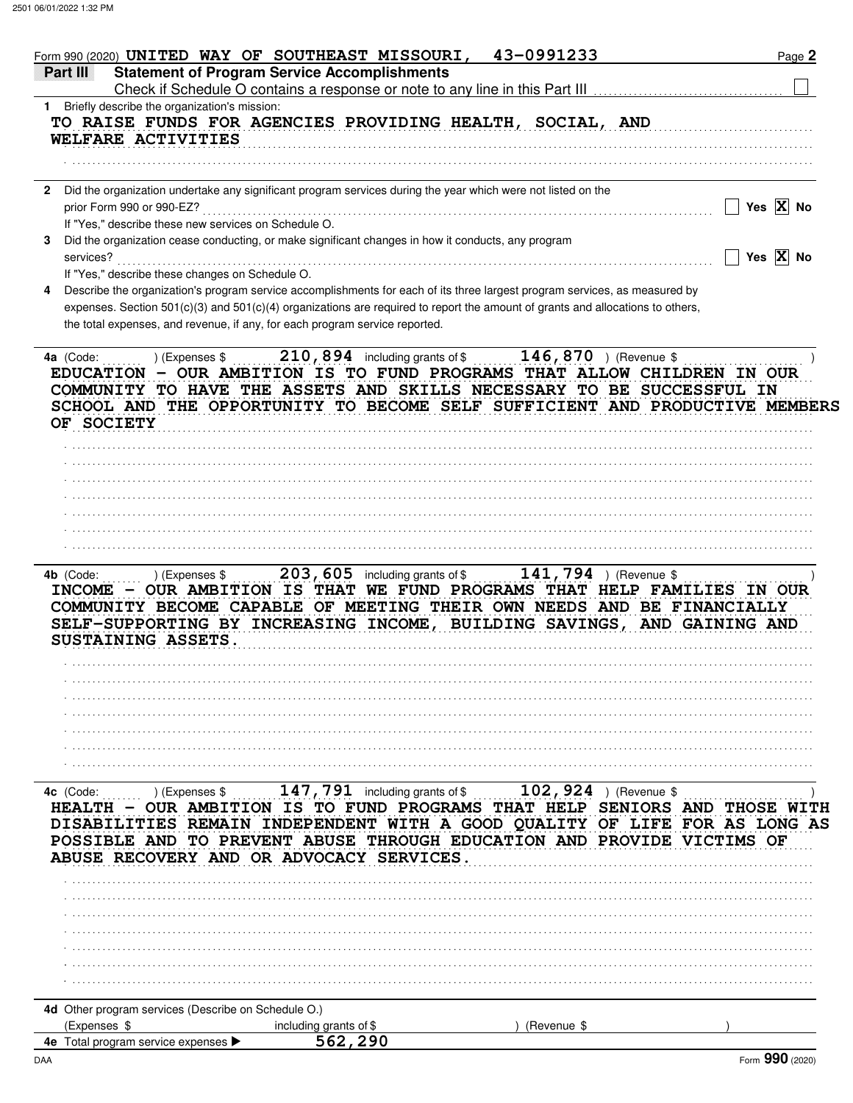|                            | 43-0991233<br>Form 990 (2020) UNITED WAY OF SOUTHEAST MISSOURI,                                                                                                                                                                                              | Page 2                |
|----------------------------|--------------------------------------------------------------------------------------------------------------------------------------------------------------------------------------------------------------------------------------------------------------|-----------------------|
| Part III                   | <b>Statement of Program Service Accomplishments</b>                                                                                                                                                                                                          |                       |
|                            |                                                                                                                                                                                                                                                              |                       |
|                            | 1 Briefly describe the organization's mission:<br>TO RAISE FUNDS FOR AGENCIES PROVIDING HEALTH, SOCIAL, AND                                                                                                                                                  |                       |
|                            | WELFARE ACTIVITIES                                                                                                                                                                                                                                           |                       |
|                            |                                                                                                                                                                                                                                                              |                       |
|                            |                                                                                                                                                                                                                                                              |                       |
|                            | Did the organization undertake any significant program services during the year which were not listed on the                                                                                                                                                 |                       |
|                            | prior Form 990 or 990-EZ?                                                                                                                                                                                                                                    | Yes $X$ No            |
|                            | If "Yes," describe these new services on Schedule O.                                                                                                                                                                                                         |                       |
|                            | Did the organization cease conducting, or make significant changes in how it conducts, any program                                                                                                                                                           |                       |
|                            | services?                                                                                                                                                                                                                                                    | Yes $\overline{X}$ No |
|                            | If "Yes," describe these changes on Schedule O.                                                                                                                                                                                                              |                       |
|                            | Describe the organization's program service accomplishments for each of its three largest program services, as measured by<br>expenses. Section 501(c)(3) and 501(c)(4) organizations are required to report the amount of grants and allocations to others, |                       |
|                            | the total expenses, and revenue, if any, for each program service reported.                                                                                                                                                                                  |                       |
| 4a (Code:                  | 210, 894 including grants of \$<br>146,870<br>) (Expenses \$<br>) (Revenue \$                                                                                                                                                                                |                       |
|                            | EDUCATION - OUR AMBITION IS TO FUND PROGRAMS THAT ALLOW CHILDREN IN OUR                                                                                                                                                                                      |                       |
|                            | COMMUNITY TO HAVE THE ASSETS AND SKILLS NECESSARY TO BE SUCCESSFUL IN                                                                                                                                                                                        |                       |
|                            | SCHOOL AND THE OPPORTUNITY TO BECOME SELF SUFFICIENT AND PRODUCTIVE MEMBERS                                                                                                                                                                                  |                       |
|                            | OF SOCIETY                                                                                                                                                                                                                                                   |                       |
|                            |                                                                                                                                                                                                                                                              |                       |
|                            |                                                                                                                                                                                                                                                              |                       |
|                            |                                                                                                                                                                                                                                                              |                       |
|                            |                                                                                                                                                                                                                                                              |                       |
|                            |                                                                                                                                                                                                                                                              |                       |
|                            |                                                                                                                                                                                                                                                              |                       |
|                            |                                                                                                                                                                                                                                                              |                       |
|                            | COMMUNITY BECOME CAPABLE OF MEETING THEIR OWN NEEDS AND BE FINANCIALLY<br>SELF-SUPPORTING BY INCREASING INCOME, BUILDING SAVINGS, AND GAINING AND<br>SUSTAINING ASSETS.                                                                                      |                       |
|                            |                                                                                                                                                                                                                                                              |                       |
|                            |                                                                                                                                                                                                                                                              |                       |
|                            |                                                                                                                                                                                                                                                              |                       |
|                            |                                                                                                                                                                                                                                                              |                       |
|                            |                                                                                                                                                                                                                                                              |                       |
|                            |                                                                                                                                                                                                                                                              |                       |
|                            |                                                                                                                                                                                                                                                              |                       |
|                            |                                                                                                                                                                                                                                                              |                       |
|                            | 147, 791 including grants of $$^{\circ}$<br>102, 924 ) (Revenue \$<br>) (Expenses \$                                                                                                                                                                         |                       |
|                            |                                                                                                                                                                                                                                                              |                       |
|                            | OUR AMBITION IS TO FUND PROGRAMS THAT HELP SENIORS AND THOSE WITH                                                                                                                                                                                            |                       |
|                            | DISABILITIES REMAIN INDEPENDENT WITH A GOOD QUALITY OF LIFE FOR AS LONG AS                                                                                                                                                                                   |                       |
|                            | TO PREVENT ABUSE THROUGH EDUCATION AND PROVIDE<br>POSSIBLE AND                                                                                                                                                                                               | VICTIMS OF            |
|                            | ABUSE RECOVERY AND OR ADVOCACY SERVICES                                                                                                                                                                                                                      |                       |
|                            |                                                                                                                                                                                                                                                              |                       |
|                            |                                                                                                                                                                                                                                                              |                       |
|                            |                                                                                                                                                                                                                                                              |                       |
|                            |                                                                                                                                                                                                                                                              |                       |
|                            |                                                                                                                                                                                                                                                              |                       |
|                            |                                                                                                                                                                                                                                                              |                       |
|                            |                                                                                                                                                                                                                                                              |                       |
|                            | 4d Other program services (Describe on Schedule O.)                                                                                                                                                                                                          |                       |
| 4c (Code:<br><b>HEALTH</b> | (Expenses \$<br>including grants of \$<br>(Revenue \$<br>562,290                                                                                                                                                                                             |                       |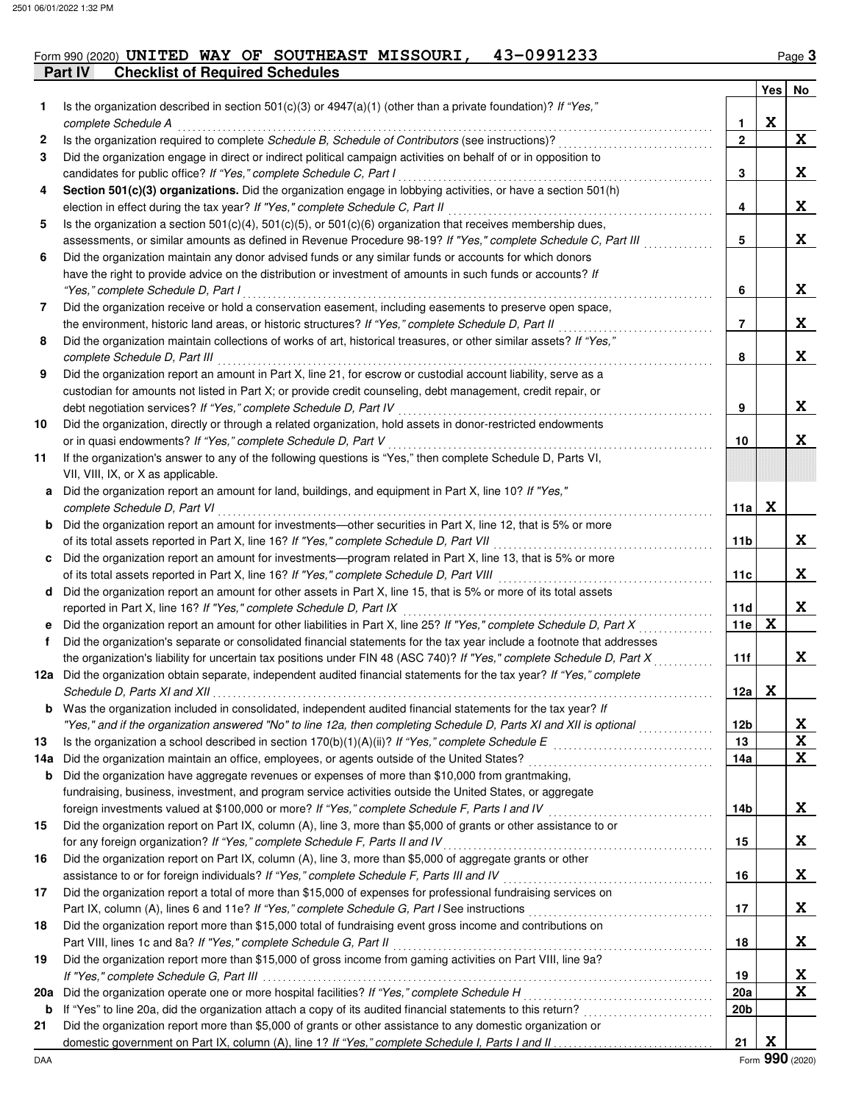#### **Part IV Checklist of Required Schedules** Form 990 (2020) **UNITED WAY OF SOUTHEAST MISSOURI, 43-0991233** Page 3

| Is the organization described in section $501(c)(3)$ or $4947(a)(1)$ (other than a private foundation)? If "Yes,"<br>1.<br>$\mathbf x$<br>complete Schedule A<br>$\mathbf{1}$<br>X<br>$\mathbf{2}$<br>Is the organization required to complete Schedule B, Schedule of Contributors (see instructions)?<br>2<br>3<br>Did the organization engage in direct or indirect political campaign activities on behalf of or in opposition to<br>X<br>candidates for public office? If "Yes," complete Schedule C, Part I<br>3<br>Section 501(c)(3) organizations. Did the organization engage in lobbying activities, or have a section 501(h)<br>4<br>X<br>election in effect during the tax year? If "Yes," complete Schedule C, Part II<br>4<br>Is the organization a section $501(c)(4)$ , $501(c)(5)$ , or $501(c)(6)$ organization that receives membership dues,<br>5<br>X<br>assessments, or similar amounts as defined in Revenue Procedure 98-19? If "Yes," complete Schedule C, Part III<br>5<br>Did the organization maintain any donor advised funds or any similar funds or accounts for which donors<br>6<br>have the right to provide advice on the distribution or investment of amounts in such funds or accounts? If<br>X<br>"Yes," complete Schedule D, Part I<br>6<br>Did the organization receive or hold a conservation easement, including easements to preserve open space,<br>7<br>X<br>the environment, historic land areas, or historic structures? If "Yes," complete Schedule D, Part II<br>7<br>Did the organization maintain collections of works of art, historical treasures, or other similar assets? If "Yes,"<br>8<br>X<br>complete Schedule D, Part III<br>8<br>Did the organization report an amount in Part X, line 21, for escrow or custodial account liability, serve as a<br>9<br>custodian for amounts not listed in Part X; or provide credit counseling, debt management, credit repair, or<br>X<br>debt negotiation services? If "Yes," complete Schedule D, Part IV<br>9<br>10<br>Did the organization, directly or through a related organization, hold assets in donor-restricted endowments<br>X<br>or in quasi endowments? If "Yes," complete Schedule D, Part V<br>10<br>If the organization's answer to any of the following questions is "Yes," then complete Schedule D, Parts VI,<br>VII, VIII, IX, or X as applicable.<br>Did the organization report an amount for land, buildings, and equipment in Part X, line 10? If "Yes,"<br>a<br>X<br>complete Schedule D, Part VI<br>11a<br><b>b</b> Did the organization report an amount for investments—other securities in Part X, line 12, that is 5% or more<br>X<br>of its total assets reported in Part X, line 16? If "Yes," complete Schedule D, Part VII<br>11b<br>c Did the organization report an amount for investments—program related in Part X, line 13, that is 5% or more<br>X<br>of its total assets reported in Part X, line 16? If "Yes," complete Schedule D, Part VIII [[[[[[[[[[[[[[[[[[[[<br>11c<br>Did the organization report an amount for other assets in Part X, line 15, that is 5% or more of its total assets<br>d<br>X<br>reported in Part X, line 16? If "Yes," complete Schedule D, Part IX<br>11d<br>X<br>11e<br>Did the organization report an amount for other liabilities in Part X, line 25? If "Yes," complete Schedule D, Part X<br>е<br>Did the organization's separate or consolidated financial statements for the tax year include a footnote that addresses<br>f<br>X<br>the organization's liability for uncertain tax positions under FIN 48 (ASC 740)? If "Yes," complete Schedule D, Part X<br>11f<br>12a Did the organization obtain separate, independent audited financial statements for the tax year? If "Yes," complete<br>X<br>12a<br>Was the organization included in consolidated, independent audited financial statements for the tax year? If<br>X<br>"Yes," and if the organization answered "No" to line 12a, then completing Schedule D, Parts XI and XII is optional<br>12b<br>X<br>13<br>X<br>14a<br>Did the organization have aggregate revenues or expenses of more than \$10,000 from grantmaking,<br>b<br>fundraising, business, investment, and program service activities outside the United States, or aggregate<br>X<br>14b<br>15<br>Did the organization report on Part IX, column (A), line 3, more than \$5,000 of grants or other assistance to or<br>X<br>for any foreign organization? If "Yes," complete Schedule F, Parts II and IV<br>15<br>Did the organization report on Part IX, column (A), line 3, more than \$5,000 of aggregate grants or other<br>16<br>X<br>assistance to or for foreign individuals? If "Yes," complete Schedule F, Parts III and IV<br>16<br>17<br>Did the organization report a total of more than \$15,000 of expenses for professional fundraising services on<br>X<br>17<br>Did the organization report more than \$15,000 total of fundraising event gross income and contributions on<br>18<br>X<br>Part VIII, lines 1c and 8a? If "Yes," complete Schedule G, Part II<br>18<br>19<br>Did the organization report more than \$15,000 of gross income from gaming activities on Part VIII, line 9a?<br>X<br>19<br>X<br>20a<br>20a<br>20b<br>b<br>Did the organization report more than \$5,000 of grants or other assistance to any domestic organization or<br>21<br>X<br>21 |     |  | Yes No |  |
|---------------------------------------------------------------------------------------------------------------------------------------------------------------------------------------------------------------------------------------------------------------------------------------------------------------------------------------------------------------------------------------------------------------------------------------------------------------------------------------------------------------------------------------------------------------------------------------------------------------------------------------------------------------------------------------------------------------------------------------------------------------------------------------------------------------------------------------------------------------------------------------------------------------------------------------------------------------------------------------------------------------------------------------------------------------------------------------------------------------------------------------------------------------------------------------------------------------------------------------------------------------------------------------------------------------------------------------------------------------------------------------------------------------------------------------------------------------------------------------------------------------------------------------------------------------------------------------------------------------------------------------------------------------------------------------------------------------------------------------------------------------------------------------------------------------------------------------------------------------------------------------------------------------------------------------------------------------------------------------------------------------------------------------------------------------------------------------------------------------------------------------------------------------------------------------------------------------------------------------------------------------------------------------------------------------------------------------------------------------------------------------------------------------------------------------------------------------------------------------------------------------------------------------------------------------------------------------------------------------------------------------------------------------------------------------------------------------------------------------------------------------------------------------------------------------------------------------------------------------------------------------------------------------------------------------------------------------------------------------------------------------------------------------------------------------------------------------------------------------------------------------------------------------------------------------------------------------------------------------------------------------------------------------------------------------------------------------------------------------------------------------------------------------------------------------------------------------------------------------------------------------------------------------------------------------------------------------------------------------------------------------------------------------------------------------------------------------------------------------------------------------------------------------------------------------------------------------------------------------------------------------------------------------------------------------------------------------------------------------------------------------------------------------------------------------------------------------------------------------------------------------------------------------------------------------------------------------------------------------------------------------------------------------------------------------------------------------------------------------------------------------------------------------------------------------------------------------------------------------------------------------------------------------------------------------------------------------------------------------------------------------------------------------------------------------------------------------------------------------------------------------------------------------------------------------------------------------------------------------------------------------------------------------------------------------------------------------------------------------------------------------------------------------------------------------------------------------------------------------------------------------------------------------------------------------------------------------------------------------------------------------------------------------------------------------------------------------------------------------------------------------------------|-----|--|--------|--|
|                                                                                                                                                                                                                                                                                                                                                                                                                                                                                                                                                                                                                                                                                                                                                                                                                                                                                                                                                                                                                                                                                                                                                                                                                                                                                                                                                                                                                                                                                                                                                                                                                                                                                                                                                                                                                                                                                                                                                                                                                                                                                                                                                                                                                                                                                                                                                                                                                                                                                                                                                                                                                                                                                                                                                                                                                                                                                                                                                                                                                                                                                                                                                                                                                                                                                                                                                                                                                                                                                                                                                                                                                                                                                                                                                                                                                                                                                                                                                                                                                                                                                                                                                                                                                                                                                                                                                                                                                                                                                                                                                                                                                                                                                                                                                                                                                                                                                                                                                                                                                                                                                                                                                                                                                                                                                                                                                                                                   |     |  |        |  |
|                                                                                                                                                                                                                                                                                                                                                                                                                                                                                                                                                                                                                                                                                                                                                                                                                                                                                                                                                                                                                                                                                                                                                                                                                                                                                                                                                                                                                                                                                                                                                                                                                                                                                                                                                                                                                                                                                                                                                                                                                                                                                                                                                                                                                                                                                                                                                                                                                                                                                                                                                                                                                                                                                                                                                                                                                                                                                                                                                                                                                                                                                                                                                                                                                                                                                                                                                                                                                                                                                                                                                                                                                                                                                                                                                                                                                                                                                                                                                                                                                                                                                                                                                                                                                                                                                                                                                                                                                                                                                                                                                                                                                                                                                                                                                                                                                                                                                                                                                                                                                                                                                                                                                                                                                                                                                                                                                                                                   |     |  |        |  |
|                                                                                                                                                                                                                                                                                                                                                                                                                                                                                                                                                                                                                                                                                                                                                                                                                                                                                                                                                                                                                                                                                                                                                                                                                                                                                                                                                                                                                                                                                                                                                                                                                                                                                                                                                                                                                                                                                                                                                                                                                                                                                                                                                                                                                                                                                                                                                                                                                                                                                                                                                                                                                                                                                                                                                                                                                                                                                                                                                                                                                                                                                                                                                                                                                                                                                                                                                                                                                                                                                                                                                                                                                                                                                                                                                                                                                                                                                                                                                                                                                                                                                                                                                                                                                                                                                                                                                                                                                                                                                                                                                                                                                                                                                                                                                                                                                                                                                                                                                                                                                                                                                                                                                                                                                                                                                                                                                                                                   |     |  |        |  |
|                                                                                                                                                                                                                                                                                                                                                                                                                                                                                                                                                                                                                                                                                                                                                                                                                                                                                                                                                                                                                                                                                                                                                                                                                                                                                                                                                                                                                                                                                                                                                                                                                                                                                                                                                                                                                                                                                                                                                                                                                                                                                                                                                                                                                                                                                                                                                                                                                                                                                                                                                                                                                                                                                                                                                                                                                                                                                                                                                                                                                                                                                                                                                                                                                                                                                                                                                                                                                                                                                                                                                                                                                                                                                                                                                                                                                                                                                                                                                                                                                                                                                                                                                                                                                                                                                                                                                                                                                                                                                                                                                                                                                                                                                                                                                                                                                                                                                                                                                                                                                                                                                                                                                                                                                                                                                                                                                                                                   |     |  |        |  |
|                                                                                                                                                                                                                                                                                                                                                                                                                                                                                                                                                                                                                                                                                                                                                                                                                                                                                                                                                                                                                                                                                                                                                                                                                                                                                                                                                                                                                                                                                                                                                                                                                                                                                                                                                                                                                                                                                                                                                                                                                                                                                                                                                                                                                                                                                                                                                                                                                                                                                                                                                                                                                                                                                                                                                                                                                                                                                                                                                                                                                                                                                                                                                                                                                                                                                                                                                                                                                                                                                                                                                                                                                                                                                                                                                                                                                                                                                                                                                                                                                                                                                                                                                                                                                                                                                                                                                                                                                                                                                                                                                                                                                                                                                                                                                                                                                                                                                                                                                                                                                                                                                                                                                                                                                                                                                                                                                                                                   |     |  |        |  |
|                                                                                                                                                                                                                                                                                                                                                                                                                                                                                                                                                                                                                                                                                                                                                                                                                                                                                                                                                                                                                                                                                                                                                                                                                                                                                                                                                                                                                                                                                                                                                                                                                                                                                                                                                                                                                                                                                                                                                                                                                                                                                                                                                                                                                                                                                                                                                                                                                                                                                                                                                                                                                                                                                                                                                                                                                                                                                                                                                                                                                                                                                                                                                                                                                                                                                                                                                                                                                                                                                                                                                                                                                                                                                                                                                                                                                                                                                                                                                                                                                                                                                                                                                                                                                                                                                                                                                                                                                                                                                                                                                                                                                                                                                                                                                                                                                                                                                                                                                                                                                                                                                                                                                                                                                                                                                                                                                                                                   |     |  |        |  |
|                                                                                                                                                                                                                                                                                                                                                                                                                                                                                                                                                                                                                                                                                                                                                                                                                                                                                                                                                                                                                                                                                                                                                                                                                                                                                                                                                                                                                                                                                                                                                                                                                                                                                                                                                                                                                                                                                                                                                                                                                                                                                                                                                                                                                                                                                                                                                                                                                                                                                                                                                                                                                                                                                                                                                                                                                                                                                                                                                                                                                                                                                                                                                                                                                                                                                                                                                                                                                                                                                                                                                                                                                                                                                                                                                                                                                                                                                                                                                                                                                                                                                                                                                                                                                                                                                                                                                                                                                                                                                                                                                                                                                                                                                                                                                                                                                                                                                                                                                                                                                                                                                                                                                                                                                                                                                                                                                                                                   |     |  |        |  |
|                                                                                                                                                                                                                                                                                                                                                                                                                                                                                                                                                                                                                                                                                                                                                                                                                                                                                                                                                                                                                                                                                                                                                                                                                                                                                                                                                                                                                                                                                                                                                                                                                                                                                                                                                                                                                                                                                                                                                                                                                                                                                                                                                                                                                                                                                                                                                                                                                                                                                                                                                                                                                                                                                                                                                                                                                                                                                                                                                                                                                                                                                                                                                                                                                                                                                                                                                                                                                                                                                                                                                                                                                                                                                                                                                                                                                                                                                                                                                                                                                                                                                                                                                                                                                                                                                                                                                                                                                                                                                                                                                                                                                                                                                                                                                                                                                                                                                                                                                                                                                                                                                                                                                                                                                                                                                                                                                                                                   |     |  |        |  |
|                                                                                                                                                                                                                                                                                                                                                                                                                                                                                                                                                                                                                                                                                                                                                                                                                                                                                                                                                                                                                                                                                                                                                                                                                                                                                                                                                                                                                                                                                                                                                                                                                                                                                                                                                                                                                                                                                                                                                                                                                                                                                                                                                                                                                                                                                                                                                                                                                                                                                                                                                                                                                                                                                                                                                                                                                                                                                                                                                                                                                                                                                                                                                                                                                                                                                                                                                                                                                                                                                                                                                                                                                                                                                                                                                                                                                                                                                                                                                                                                                                                                                                                                                                                                                                                                                                                                                                                                                                                                                                                                                                                                                                                                                                                                                                                                                                                                                                                                                                                                                                                                                                                                                                                                                                                                                                                                                                                                   |     |  |        |  |
|                                                                                                                                                                                                                                                                                                                                                                                                                                                                                                                                                                                                                                                                                                                                                                                                                                                                                                                                                                                                                                                                                                                                                                                                                                                                                                                                                                                                                                                                                                                                                                                                                                                                                                                                                                                                                                                                                                                                                                                                                                                                                                                                                                                                                                                                                                                                                                                                                                                                                                                                                                                                                                                                                                                                                                                                                                                                                                                                                                                                                                                                                                                                                                                                                                                                                                                                                                                                                                                                                                                                                                                                                                                                                                                                                                                                                                                                                                                                                                                                                                                                                                                                                                                                                                                                                                                                                                                                                                                                                                                                                                                                                                                                                                                                                                                                                                                                                                                                                                                                                                                                                                                                                                                                                                                                                                                                                                                                   |     |  |        |  |
|                                                                                                                                                                                                                                                                                                                                                                                                                                                                                                                                                                                                                                                                                                                                                                                                                                                                                                                                                                                                                                                                                                                                                                                                                                                                                                                                                                                                                                                                                                                                                                                                                                                                                                                                                                                                                                                                                                                                                                                                                                                                                                                                                                                                                                                                                                                                                                                                                                                                                                                                                                                                                                                                                                                                                                                                                                                                                                                                                                                                                                                                                                                                                                                                                                                                                                                                                                                                                                                                                                                                                                                                                                                                                                                                                                                                                                                                                                                                                                                                                                                                                                                                                                                                                                                                                                                                                                                                                                                                                                                                                                                                                                                                                                                                                                                                                                                                                                                                                                                                                                                                                                                                                                                                                                                                                                                                                                                                   |     |  |        |  |
|                                                                                                                                                                                                                                                                                                                                                                                                                                                                                                                                                                                                                                                                                                                                                                                                                                                                                                                                                                                                                                                                                                                                                                                                                                                                                                                                                                                                                                                                                                                                                                                                                                                                                                                                                                                                                                                                                                                                                                                                                                                                                                                                                                                                                                                                                                                                                                                                                                                                                                                                                                                                                                                                                                                                                                                                                                                                                                                                                                                                                                                                                                                                                                                                                                                                                                                                                                                                                                                                                                                                                                                                                                                                                                                                                                                                                                                                                                                                                                                                                                                                                                                                                                                                                                                                                                                                                                                                                                                                                                                                                                                                                                                                                                                                                                                                                                                                                                                                                                                                                                                                                                                                                                                                                                                                                                                                                                                                   |     |  |        |  |
|                                                                                                                                                                                                                                                                                                                                                                                                                                                                                                                                                                                                                                                                                                                                                                                                                                                                                                                                                                                                                                                                                                                                                                                                                                                                                                                                                                                                                                                                                                                                                                                                                                                                                                                                                                                                                                                                                                                                                                                                                                                                                                                                                                                                                                                                                                                                                                                                                                                                                                                                                                                                                                                                                                                                                                                                                                                                                                                                                                                                                                                                                                                                                                                                                                                                                                                                                                                                                                                                                                                                                                                                                                                                                                                                                                                                                                                                                                                                                                                                                                                                                                                                                                                                                                                                                                                                                                                                                                                                                                                                                                                                                                                                                                                                                                                                                                                                                                                                                                                                                                                                                                                                                                                                                                                                                                                                                                                                   |     |  |        |  |
|                                                                                                                                                                                                                                                                                                                                                                                                                                                                                                                                                                                                                                                                                                                                                                                                                                                                                                                                                                                                                                                                                                                                                                                                                                                                                                                                                                                                                                                                                                                                                                                                                                                                                                                                                                                                                                                                                                                                                                                                                                                                                                                                                                                                                                                                                                                                                                                                                                                                                                                                                                                                                                                                                                                                                                                                                                                                                                                                                                                                                                                                                                                                                                                                                                                                                                                                                                                                                                                                                                                                                                                                                                                                                                                                                                                                                                                                                                                                                                                                                                                                                                                                                                                                                                                                                                                                                                                                                                                                                                                                                                                                                                                                                                                                                                                                                                                                                                                                                                                                                                                                                                                                                                                                                                                                                                                                                                                                   |     |  |        |  |
|                                                                                                                                                                                                                                                                                                                                                                                                                                                                                                                                                                                                                                                                                                                                                                                                                                                                                                                                                                                                                                                                                                                                                                                                                                                                                                                                                                                                                                                                                                                                                                                                                                                                                                                                                                                                                                                                                                                                                                                                                                                                                                                                                                                                                                                                                                                                                                                                                                                                                                                                                                                                                                                                                                                                                                                                                                                                                                                                                                                                                                                                                                                                                                                                                                                                                                                                                                                                                                                                                                                                                                                                                                                                                                                                                                                                                                                                                                                                                                                                                                                                                                                                                                                                                                                                                                                                                                                                                                                                                                                                                                                                                                                                                                                                                                                                                                                                                                                                                                                                                                                                                                                                                                                                                                                                                                                                                                                                   |     |  |        |  |
|                                                                                                                                                                                                                                                                                                                                                                                                                                                                                                                                                                                                                                                                                                                                                                                                                                                                                                                                                                                                                                                                                                                                                                                                                                                                                                                                                                                                                                                                                                                                                                                                                                                                                                                                                                                                                                                                                                                                                                                                                                                                                                                                                                                                                                                                                                                                                                                                                                                                                                                                                                                                                                                                                                                                                                                                                                                                                                                                                                                                                                                                                                                                                                                                                                                                                                                                                                                                                                                                                                                                                                                                                                                                                                                                                                                                                                                                                                                                                                                                                                                                                                                                                                                                                                                                                                                                                                                                                                                                                                                                                                                                                                                                                                                                                                                                                                                                                                                                                                                                                                                                                                                                                                                                                                                                                                                                                                                                   |     |  |        |  |
|                                                                                                                                                                                                                                                                                                                                                                                                                                                                                                                                                                                                                                                                                                                                                                                                                                                                                                                                                                                                                                                                                                                                                                                                                                                                                                                                                                                                                                                                                                                                                                                                                                                                                                                                                                                                                                                                                                                                                                                                                                                                                                                                                                                                                                                                                                                                                                                                                                                                                                                                                                                                                                                                                                                                                                                                                                                                                                                                                                                                                                                                                                                                                                                                                                                                                                                                                                                                                                                                                                                                                                                                                                                                                                                                                                                                                                                                                                                                                                                                                                                                                                                                                                                                                                                                                                                                                                                                                                                                                                                                                                                                                                                                                                                                                                                                                                                                                                                                                                                                                                                                                                                                                                                                                                                                                                                                                                                                   |     |  |        |  |
|                                                                                                                                                                                                                                                                                                                                                                                                                                                                                                                                                                                                                                                                                                                                                                                                                                                                                                                                                                                                                                                                                                                                                                                                                                                                                                                                                                                                                                                                                                                                                                                                                                                                                                                                                                                                                                                                                                                                                                                                                                                                                                                                                                                                                                                                                                                                                                                                                                                                                                                                                                                                                                                                                                                                                                                                                                                                                                                                                                                                                                                                                                                                                                                                                                                                                                                                                                                                                                                                                                                                                                                                                                                                                                                                                                                                                                                                                                                                                                                                                                                                                                                                                                                                                                                                                                                                                                                                                                                                                                                                                                                                                                                                                                                                                                                                                                                                                                                                                                                                                                                                                                                                                                                                                                                                                                                                                                                                   |     |  |        |  |
|                                                                                                                                                                                                                                                                                                                                                                                                                                                                                                                                                                                                                                                                                                                                                                                                                                                                                                                                                                                                                                                                                                                                                                                                                                                                                                                                                                                                                                                                                                                                                                                                                                                                                                                                                                                                                                                                                                                                                                                                                                                                                                                                                                                                                                                                                                                                                                                                                                                                                                                                                                                                                                                                                                                                                                                                                                                                                                                                                                                                                                                                                                                                                                                                                                                                                                                                                                                                                                                                                                                                                                                                                                                                                                                                                                                                                                                                                                                                                                                                                                                                                                                                                                                                                                                                                                                                                                                                                                                                                                                                                                                                                                                                                                                                                                                                                                                                                                                                                                                                                                                                                                                                                                                                                                                                                                                                                                                                   |     |  |        |  |
|                                                                                                                                                                                                                                                                                                                                                                                                                                                                                                                                                                                                                                                                                                                                                                                                                                                                                                                                                                                                                                                                                                                                                                                                                                                                                                                                                                                                                                                                                                                                                                                                                                                                                                                                                                                                                                                                                                                                                                                                                                                                                                                                                                                                                                                                                                                                                                                                                                                                                                                                                                                                                                                                                                                                                                                                                                                                                                                                                                                                                                                                                                                                                                                                                                                                                                                                                                                                                                                                                                                                                                                                                                                                                                                                                                                                                                                                                                                                                                                                                                                                                                                                                                                                                                                                                                                                                                                                                                                                                                                                                                                                                                                                                                                                                                                                                                                                                                                                                                                                                                                                                                                                                                                                                                                                                                                                                                                                   | 11  |  |        |  |
|                                                                                                                                                                                                                                                                                                                                                                                                                                                                                                                                                                                                                                                                                                                                                                                                                                                                                                                                                                                                                                                                                                                                                                                                                                                                                                                                                                                                                                                                                                                                                                                                                                                                                                                                                                                                                                                                                                                                                                                                                                                                                                                                                                                                                                                                                                                                                                                                                                                                                                                                                                                                                                                                                                                                                                                                                                                                                                                                                                                                                                                                                                                                                                                                                                                                                                                                                                                                                                                                                                                                                                                                                                                                                                                                                                                                                                                                                                                                                                                                                                                                                                                                                                                                                                                                                                                                                                                                                                                                                                                                                                                                                                                                                                                                                                                                                                                                                                                                                                                                                                                                                                                                                                                                                                                                                                                                                                                                   |     |  |        |  |
|                                                                                                                                                                                                                                                                                                                                                                                                                                                                                                                                                                                                                                                                                                                                                                                                                                                                                                                                                                                                                                                                                                                                                                                                                                                                                                                                                                                                                                                                                                                                                                                                                                                                                                                                                                                                                                                                                                                                                                                                                                                                                                                                                                                                                                                                                                                                                                                                                                                                                                                                                                                                                                                                                                                                                                                                                                                                                                                                                                                                                                                                                                                                                                                                                                                                                                                                                                                                                                                                                                                                                                                                                                                                                                                                                                                                                                                                                                                                                                                                                                                                                                                                                                                                                                                                                                                                                                                                                                                                                                                                                                                                                                                                                                                                                                                                                                                                                                                                                                                                                                                                                                                                                                                                                                                                                                                                                                                                   |     |  |        |  |
|                                                                                                                                                                                                                                                                                                                                                                                                                                                                                                                                                                                                                                                                                                                                                                                                                                                                                                                                                                                                                                                                                                                                                                                                                                                                                                                                                                                                                                                                                                                                                                                                                                                                                                                                                                                                                                                                                                                                                                                                                                                                                                                                                                                                                                                                                                                                                                                                                                                                                                                                                                                                                                                                                                                                                                                                                                                                                                                                                                                                                                                                                                                                                                                                                                                                                                                                                                                                                                                                                                                                                                                                                                                                                                                                                                                                                                                                                                                                                                                                                                                                                                                                                                                                                                                                                                                                                                                                                                                                                                                                                                                                                                                                                                                                                                                                                                                                                                                                                                                                                                                                                                                                                                                                                                                                                                                                                                                                   |     |  |        |  |
|                                                                                                                                                                                                                                                                                                                                                                                                                                                                                                                                                                                                                                                                                                                                                                                                                                                                                                                                                                                                                                                                                                                                                                                                                                                                                                                                                                                                                                                                                                                                                                                                                                                                                                                                                                                                                                                                                                                                                                                                                                                                                                                                                                                                                                                                                                                                                                                                                                                                                                                                                                                                                                                                                                                                                                                                                                                                                                                                                                                                                                                                                                                                                                                                                                                                                                                                                                                                                                                                                                                                                                                                                                                                                                                                                                                                                                                                                                                                                                                                                                                                                                                                                                                                                                                                                                                                                                                                                                                                                                                                                                                                                                                                                                                                                                                                                                                                                                                                                                                                                                                                                                                                                                                                                                                                                                                                                                                                   |     |  |        |  |
|                                                                                                                                                                                                                                                                                                                                                                                                                                                                                                                                                                                                                                                                                                                                                                                                                                                                                                                                                                                                                                                                                                                                                                                                                                                                                                                                                                                                                                                                                                                                                                                                                                                                                                                                                                                                                                                                                                                                                                                                                                                                                                                                                                                                                                                                                                                                                                                                                                                                                                                                                                                                                                                                                                                                                                                                                                                                                                                                                                                                                                                                                                                                                                                                                                                                                                                                                                                                                                                                                                                                                                                                                                                                                                                                                                                                                                                                                                                                                                                                                                                                                                                                                                                                                                                                                                                                                                                                                                                                                                                                                                                                                                                                                                                                                                                                                                                                                                                                                                                                                                                                                                                                                                                                                                                                                                                                                                                                   |     |  |        |  |
|                                                                                                                                                                                                                                                                                                                                                                                                                                                                                                                                                                                                                                                                                                                                                                                                                                                                                                                                                                                                                                                                                                                                                                                                                                                                                                                                                                                                                                                                                                                                                                                                                                                                                                                                                                                                                                                                                                                                                                                                                                                                                                                                                                                                                                                                                                                                                                                                                                                                                                                                                                                                                                                                                                                                                                                                                                                                                                                                                                                                                                                                                                                                                                                                                                                                                                                                                                                                                                                                                                                                                                                                                                                                                                                                                                                                                                                                                                                                                                                                                                                                                                                                                                                                                                                                                                                                                                                                                                                                                                                                                                                                                                                                                                                                                                                                                                                                                                                                                                                                                                                                                                                                                                                                                                                                                                                                                                                                   |     |  |        |  |
|                                                                                                                                                                                                                                                                                                                                                                                                                                                                                                                                                                                                                                                                                                                                                                                                                                                                                                                                                                                                                                                                                                                                                                                                                                                                                                                                                                                                                                                                                                                                                                                                                                                                                                                                                                                                                                                                                                                                                                                                                                                                                                                                                                                                                                                                                                                                                                                                                                                                                                                                                                                                                                                                                                                                                                                                                                                                                                                                                                                                                                                                                                                                                                                                                                                                                                                                                                                                                                                                                                                                                                                                                                                                                                                                                                                                                                                                                                                                                                                                                                                                                                                                                                                                                                                                                                                                                                                                                                                                                                                                                                                                                                                                                                                                                                                                                                                                                                                                                                                                                                                                                                                                                                                                                                                                                                                                                                                                   |     |  |        |  |
|                                                                                                                                                                                                                                                                                                                                                                                                                                                                                                                                                                                                                                                                                                                                                                                                                                                                                                                                                                                                                                                                                                                                                                                                                                                                                                                                                                                                                                                                                                                                                                                                                                                                                                                                                                                                                                                                                                                                                                                                                                                                                                                                                                                                                                                                                                                                                                                                                                                                                                                                                                                                                                                                                                                                                                                                                                                                                                                                                                                                                                                                                                                                                                                                                                                                                                                                                                                                                                                                                                                                                                                                                                                                                                                                                                                                                                                                                                                                                                                                                                                                                                                                                                                                                                                                                                                                                                                                                                                                                                                                                                                                                                                                                                                                                                                                                                                                                                                                                                                                                                                                                                                                                                                                                                                                                                                                                                                                   |     |  |        |  |
|                                                                                                                                                                                                                                                                                                                                                                                                                                                                                                                                                                                                                                                                                                                                                                                                                                                                                                                                                                                                                                                                                                                                                                                                                                                                                                                                                                                                                                                                                                                                                                                                                                                                                                                                                                                                                                                                                                                                                                                                                                                                                                                                                                                                                                                                                                                                                                                                                                                                                                                                                                                                                                                                                                                                                                                                                                                                                                                                                                                                                                                                                                                                                                                                                                                                                                                                                                                                                                                                                                                                                                                                                                                                                                                                                                                                                                                                                                                                                                                                                                                                                                                                                                                                                                                                                                                                                                                                                                                                                                                                                                                                                                                                                                                                                                                                                                                                                                                                                                                                                                                                                                                                                                                                                                                                                                                                                                                                   |     |  |        |  |
|                                                                                                                                                                                                                                                                                                                                                                                                                                                                                                                                                                                                                                                                                                                                                                                                                                                                                                                                                                                                                                                                                                                                                                                                                                                                                                                                                                                                                                                                                                                                                                                                                                                                                                                                                                                                                                                                                                                                                                                                                                                                                                                                                                                                                                                                                                                                                                                                                                                                                                                                                                                                                                                                                                                                                                                                                                                                                                                                                                                                                                                                                                                                                                                                                                                                                                                                                                                                                                                                                                                                                                                                                                                                                                                                                                                                                                                                                                                                                                                                                                                                                                                                                                                                                                                                                                                                                                                                                                                                                                                                                                                                                                                                                                                                                                                                                                                                                                                                                                                                                                                                                                                                                                                                                                                                                                                                                                                                   |     |  |        |  |
|                                                                                                                                                                                                                                                                                                                                                                                                                                                                                                                                                                                                                                                                                                                                                                                                                                                                                                                                                                                                                                                                                                                                                                                                                                                                                                                                                                                                                                                                                                                                                                                                                                                                                                                                                                                                                                                                                                                                                                                                                                                                                                                                                                                                                                                                                                                                                                                                                                                                                                                                                                                                                                                                                                                                                                                                                                                                                                                                                                                                                                                                                                                                                                                                                                                                                                                                                                                                                                                                                                                                                                                                                                                                                                                                                                                                                                                                                                                                                                                                                                                                                                                                                                                                                                                                                                                                                                                                                                                                                                                                                                                                                                                                                                                                                                                                                                                                                                                                                                                                                                                                                                                                                                                                                                                                                                                                                                                                   |     |  |        |  |
|                                                                                                                                                                                                                                                                                                                                                                                                                                                                                                                                                                                                                                                                                                                                                                                                                                                                                                                                                                                                                                                                                                                                                                                                                                                                                                                                                                                                                                                                                                                                                                                                                                                                                                                                                                                                                                                                                                                                                                                                                                                                                                                                                                                                                                                                                                                                                                                                                                                                                                                                                                                                                                                                                                                                                                                                                                                                                                                                                                                                                                                                                                                                                                                                                                                                                                                                                                                                                                                                                                                                                                                                                                                                                                                                                                                                                                                                                                                                                                                                                                                                                                                                                                                                                                                                                                                                                                                                                                                                                                                                                                                                                                                                                                                                                                                                                                                                                                                                                                                                                                                                                                                                                                                                                                                                                                                                                                                                   |     |  |        |  |
|                                                                                                                                                                                                                                                                                                                                                                                                                                                                                                                                                                                                                                                                                                                                                                                                                                                                                                                                                                                                                                                                                                                                                                                                                                                                                                                                                                                                                                                                                                                                                                                                                                                                                                                                                                                                                                                                                                                                                                                                                                                                                                                                                                                                                                                                                                                                                                                                                                                                                                                                                                                                                                                                                                                                                                                                                                                                                                                                                                                                                                                                                                                                                                                                                                                                                                                                                                                                                                                                                                                                                                                                                                                                                                                                                                                                                                                                                                                                                                                                                                                                                                                                                                                                                                                                                                                                                                                                                                                                                                                                                                                                                                                                                                                                                                                                                                                                                                                                                                                                                                                                                                                                                                                                                                                                                                                                                                                                   |     |  |        |  |
|                                                                                                                                                                                                                                                                                                                                                                                                                                                                                                                                                                                                                                                                                                                                                                                                                                                                                                                                                                                                                                                                                                                                                                                                                                                                                                                                                                                                                                                                                                                                                                                                                                                                                                                                                                                                                                                                                                                                                                                                                                                                                                                                                                                                                                                                                                                                                                                                                                                                                                                                                                                                                                                                                                                                                                                                                                                                                                                                                                                                                                                                                                                                                                                                                                                                                                                                                                                                                                                                                                                                                                                                                                                                                                                                                                                                                                                                                                                                                                                                                                                                                                                                                                                                                                                                                                                                                                                                                                                                                                                                                                                                                                                                                                                                                                                                                                                                                                                                                                                                                                                                                                                                                                                                                                                                                                                                                                                                   |     |  |        |  |
|                                                                                                                                                                                                                                                                                                                                                                                                                                                                                                                                                                                                                                                                                                                                                                                                                                                                                                                                                                                                                                                                                                                                                                                                                                                                                                                                                                                                                                                                                                                                                                                                                                                                                                                                                                                                                                                                                                                                                                                                                                                                                                                                                                                                                                                                                                                                                                                                                                                                                                                                                                                                                                                                                                                                                                                                                                                                                                                                                                                                                                                                                                                                                                                                                                                                                                                                                                                                                                                                                                                                                                                                                                                                                                                                                                                                                                                                                                                                                                                                                                                                                                                                                                                                                                                                                                                                                                                                                                                                                                                                                                                                                                                                                                                                                                                                                                                                                                                                                                                                                                                                                                                                                                                                                                                                                                                                                                                                   |     |  |        |  |
|                                                                                                                                                                                                                                                                                                                                                                                                                                                                                                                                                                                                                                                                                                                                                                                                                                                                                                                                                                                                                                                                                                                                                                                                                                                                                                                                                                                                                                                                                                                                                                                                                                                                                                                                                                                                                                                                                                                                                                                                                                                                                                                                                                                                                                                                                                                                                                                                                                                                                                                                                                                                                                                                                                                                                                                                                                                                                                                                                                                                                                                                                                                                                                                                                                                                                                                                                                                                                                                                                                                                                                                                                                                                                                                                                                                                                                                                                                                                                                                                                                                                                                                                                                                                                                                                                                                                                                                                                                                                                                                                                                                                                                                                                                                                                                                                                                                                                                                                                                                                                                                                                                                                                                                                                                                                                                                                                                                                   | 13  |  |        |  |
|                                                                                                                                                                                                                                                                                                                                                                                                                                                                                                                                                                                                                                                                                                                                                                                                                                                                                                                                                                                                                                                                                                                                                                                                                                                                                                                                                                                                                                                                                                                                                                                                                                                                                                                                                                                                                                                                                                                                                                                                                                                                                                                                                                                                                                                                                                                                                                                                                                                                                                                                                                                                                                                                                                                                                                                                                                                                                                                                                                                                                                                                                                                                                                                                                                                                                                                                                                                                                                                                                                                                                                                                                                                                                                                                                                                                                                                                                                                                                                                                                                                                                                                                                                                                                                                                                                                                                                                                                                                                                                                                                                                                                                                                                                                                                                                                                                                                                                                                                                                                                                                                                                                                                                                                                                                                                                                                                                                                   | 14a |  |        |  |
|                                                                                                                                                                                                                                                                                                                                                                                                                                                                                                                                                                                                                                                                                                                                                                                                                                                                                                                                                                                                                                                                                                                                                                                                                                                                                                                                                                                                                                                                                                                                                                                                                                                                                                                                                                                                                                                                                                                                                                                                                                                                                                                                                                                                                                                                                                                                                                                                                                                                                                                                                                                                                                                                                                                                                                                                                                                                                                                                                                                                                                                                                                                                                                                                                                                                                                                                                                                                                                                                                                                                                                                                                                                                                                                                                                                                                                                                                                                                                                                                                                                                                                                                                                                                                                                                                                                                                                                                                                                                                                                                                                                                                                                                                                                                                                                                                                                                                                                                                                                                                                                                                                                                                                                                                                                                                                                                                                                                   |     |  |        |  |
|                                                                                                                                                                                                                                                                                                                                                                                                                                                                                                                                                                                                                                                                                                                                                                                                                                                                                                                                                                                                                                                                                                                                                                                                                                                                                                                                                                                                                                                                                                                                                                                                                                                                                                                                                                                                                                                                                                                                                                                                                                                                                                                                                                                                                                                                                                                                                                                                                                                                                                                                                                                                                                                                                                                                                                                                                                                                                                                                                                                                                                                                                                                                                                                                                                                                                                                                                                                                                                                                                                                                                                                                                                                                                                                                                                                                                                                                                                                                                                                                                                                                                                                                                                                                                                                                                                                                                                                                                                                                                                                                                                                                                                                                                                                                                                                                                                                                                                                                                                                                                                                                                                                                                                                                                                                                                                                                                                                                   |     |  |        |  |
|                                                                                                                                                                                                                                                                                                                                                                                                                                                                                                                                                                                                                                                                                                                                                                                                                                                                                                                                                                                                                                                                                                                                                                                                                                                                                                                                                                                                                                                                                                                                                                                                                                                                                                                                                                                                                                                                                                                                                                                                                                                                                                                                                                                                                                                                                                                                                                                                                                                                                                                                                                                                                                                                                                                                                                                                                                                                                                                                                                                                                                                                                                                                                                                                                                                                                                                                                                                                                                                                                                                                                                                                                                                                                                                                                                                                                                                                                                                                                                                                                                                                                                                                                                                                                                                                                                                                                                                                                                                                                                                                                                                                                                                                                                                                                                                                                                                                                                                                                                                                                                                                                                                                                                                                                                                                                                                                                                                                   |     |  |        |  |
|                                                                                                                                                                                                                                                                                                                                                                                                                                                                                                                                                                                                                                                                                                                                                                                                                                                                                                                                                                                                                                                                                                                                                                                                                                                                                                                                                                                                                                                                                                                                                                                                                                                                                                                                                                                                                                                                                                                                                                                                                                                                                                                                                                                                                                                                                                                                                                                                                                                                                                                                                                                                                                                                                                                                                                                                                                                                                                                                                                                                                                                                                                                                                                                                                                                                                                                                                                                                                                                                                                                                                                                                                                                                                                                                                                                                                                                                                                                                                                                                                                                                                                                                                                                                                                                                                                                                                                                                                                                                                                                                                                                                                                                                                                                                                                                                                                                                                                                                                                                                                                                                                                                                                                                                                                                                                                                                                                                                   |     |  |        |  |
|                                                                                                                                                                                                                                                                                                                                                                                                                                                                                                                                                                                                                                                                                                                                                                                                                                                                                                                                                                                                                                                                                                                                                                                                                                                                                                                                                                                                                                                                                                                                                                                                                                                                                                                                                                                                                                                                                                                                                                                                                                                                                                                                                                                                                                                                                                                                                                                                                                                                                                                                                                                                                                                                                                                                                                                                                                                                                                                                                                                                                                                                                                                                                                                                                                                                                                                                                                                                                                                                                                                                                                                                                                                                                                                                                                                                                                                                                                                                                                                                                                                                                                                                                                                                                                                                                                                                                                                                                                                                                                                                                                                                                                                                                                                                                                                                                                                                                                                                                                                                                                                                                                                                                                                                                                                                                                                                                                                                   |     |  |        |  |
|                                                                                                                                                                                                                                                                                                                                                                                                                                                                                                                                                                                                                                                                                                                                                                                                                                                                                                                                                                                                                                                                                                                                                                                                                                                                                                                                                                                                                                                                                                                                                                                                                                                                                                                                                                                                                                                                                                                                                                                                                                                                                                                                                                                                                                                                                                                                                                                                                                                                                                                                                                                                                                                                                                                                                                                                                                                                                                                                                                                                                                                                                                                                                                                                                                                                                                                                                                                                                                                                                                                                                                                                                                                                                                                                                                                                                                                                                                                                                                                                                                                                                                                                                                                                                                                                                                                                                                                                                                                                                                                                                                                                                                                                                                                                                                                                                                                                                                                                                                                                                                                                                                                                                                                                                                                                                                                                                                                                   |     |  |        |  |
|                                                                                                                                                                                                                                                                                                                                                                                                                                                                                                                                                                                                                                                                                                                                                                                                                                                                                                                                                                                                                                                                                                                                                                                                                                                                                                                                                                                                                                                                                                                                                                                                                                                                                                                                                                                                                                                                                                                                                                                                                                                                                                                                                                                                                                                                                                                                                                                                                                                                                                                                                                                                                                                                                                                                                                                                                                                                                                                                                                                                                                                                                                                                                                                                                                                                                                                                                                                                                                                                                                                                                                                                                                                                                                                                                                                                                                                                                                                                                                                                                                                                                                                                                                                                                                                                                                                                                                                                                                                                                                                                                                                                                                                                                                                                                                                                                                                                                                                                                                                                                                                                                                                                                                                                                                                                                                                                                                                                   |     |  |        |  |
|                                                                                                                                                                                                                                                                                                                                                                                                                                                                                                                                                                                                                                                                                                                                                                                                                                                                                                                                                                                                                                                                                                                                                                                                                                                                                                                                                                                                                                                                                                                                                                                                                                                                                                                                                                                                                                                                                                                                                                                                                                                                                                                                                                                                                                                                                                                                                                                                                                                                                                                                                                                                                                                                                                                                                                                                                                                                                                                                                                                                                                                                                                                                                                                                                                                                                                                                                                                                                                                                                                                                                                                                                                                                                                                                                                                                                                                                                                                                                                                                                                                                                                                                                                                                                                                                                                                                                                                                                                                                                                                                                                                                                                                                                                                                                                                                                                                                                                                                                                                                                                                                                                                                                                                                                                                                                                                                                                                                   |     |  |        |  |
|                                                                                                                                                                                                                                                                                                                                                                                                                                                                                                                                                                                                                                                                                                                                                                                                                                                                                                                                                                                                                                                                                                                                                                                                                                                                                                                                                                                                                                                                                                                                                                                                                                                                                                                                                                                                                                                                                                                                                                                                                                                                                                                                                                                                                                                                                                                                                                                                                                                                                                                                                                                                                                                                                                                                                                                                                                                                                                                                                                                                                                                                                                                                                                                                                                                                                                                                                                                                                                                                                                                                                                                                                                                                                                                                                                                                                                                                                                                                                                                                                                                                                                                                                                                                                                                                                                                                                                                                                                                                                                                                                                                                                                                                                                                                                                                                                                                                                                                                                                                                                                                                                                                                                                                                                                                                                                                                                                                                   |     |  |        |  |
|                                                                                                                                                                                                                                                                                                                                                                                                                                                                                                                                                                                                                                                                                                                                                                                                                                                                                                                                                                                                                                                                                                                                                                                                                                                                                                                                                                                                                                                                                                                                                                                                                                                                                                                                                                                                                                                                                                                                                                                                                                                                                                                                                                                                                                                                                                                                                                                                                                                                                                                                                                                                                                                                                                                                                                                                                                                                                                                                                                                                                                                                                                                                                                                                                                                                                                                                                                                                                                                                                                                                                                                                                                                                                                                                                                                                                                                                                                                                                                                                                                                                                                                                                                                                                                                                                                                                                                                                                                                                                                                                                                                                                                                                                                                                                                                                                                                                                                                                                                                                                                                                                                                                                                                                                                                                                                                                                                                                   |     |  |        |  |
|                                                                                                                                                                                                                                                                                                                                                                                                                                                                                                                                                                                                                                                                                                                                                                                                                                                                                                                                                                                                                                                                                                                                                                                                                                                                                                                                                                                                                                                                                                                                                                                                                                                                                                                                                                                                                                                                                                                                                                                                                                                                                                                                                                                                                                                                                                                                                                                                                                                                                                                                                                                                                                                                                                                                                                                                                                                                                                                                                                                                                                                                                                                                                                                                                                                                                                                                                                                                                                                                                                                                                                                                                                                                                                                                                                                                                                                                                                                                                                                                                                                                                                                                                                                                                                                                                                                                                                                                                                                                                                                                                                                                                                                                                                                                                                                                                                                                                                                                                                                                                                                                                                                                                                                                                                                                                                                                                                                                   |     |  |        |  |
|                                                                                                                                                                                                                                                                                                                                                                                                                                                                                                                                                                                                                                                                                                                                                                                                                                                                                                                                                                                                                                                                                                                                                                                                                                                                                                                                                                                                                                                                                                                                                                                                                                                                                                                                                                                                                                                                                                                                                                                                                                                                                                                                                                                                                                                                                                                                                                                                                                                                                                                                                                                                                                                                                                                                                                                                                                                                                                                                                                                                                                                                                                                                                                                                                                                                                                                                                                                                                                                                                                                                                                                                                                                                                                                                                                                                                                                                                                                                                                                                                                                                                                                                                                                                                                                                                                                                                                                                                                                                                                                                                                                                                                                                                                                                                                                                                                                                                                                                                                                                                                                                                                                                                                                                                                                                                                                                                                                                   |     |  |        |  |
|                                                                                                                                                                                                                                                                                                                                                                                                                                                                                                                                                                                                                                                                                                                                                                                                                                                                                                                                                                                                                                                                                                                                                                                                                                                                                                                                                                                                                                                                                                                                                                                                                                                                                                                                                                                                                                                                                                                                                                                                                                                                                                                                                                                                                                                                                                                                                                                                                                                                                                                                                                                                                                                                                                                                                                                                                                                                                                                                                                                                                                                                                                                                                                                                                                                                                                                                                                                                                                                                                                                                                                                                                                                                                                                                                                                                                                                                                                                                                                                                                                                                                                                                                                                                                                                                                                                                                                                                                                                                                                                                                                                                                                                                                                                                                                                                                                                                                                                                                                                                                                                                                                                                                                                                                                                                                                                                                                                                   |     |  |        |  |
|                                                                                                                                                                                                                                                                                                                                                                                                                                                                                                                                                                                                                                                                                                                                                                                                                                                                                                                                                                                                                                                                                                                                                                                                                                                                                                                                                                                                                                                                                                                                                                                                                                                                                                                                                                                                                                                                                                                                                                                                                                                                                                                                                                                                                                                                                                                                                                                                                                                                                                                                                                                                                                                                                                                                                                                                                                                                                                                                                                                                                                                                                                                                                                                                                                                                                                                                                                                                                                                                                                                                                                                                                                                                                                                                                                                                                                                                                                                                                                                                                                                                                                                                                                                                                                                                                                                                                                                                                                                                                                                                                                                                                                                                                                                                                                                                                                                                                                                                                                                                                                                                                                                                                                                                                                                                                                                                                                                                   |     |  |        |  |
|                                                                                                                                                                                                                                                                                                                                                                                                                                                                                                                                                                                                                                                                                                                                                                                                                                                                                                                                                                                                                                                                                                                                                                                                                                                                                                                                                                                                                                                                                                                                                                                                                                                                                                                                                                                                                                                                                                                                                                                                                                                                                                                                                                                                                                                                                                                                                                                                                                                                                                                                                                                                                                                                                                                                                                                                                                                                                                                                                                                                                                                                                                                                                                                                                                                                                                                                                                                                                                                                                                                                                                                                                                                                                                                                                                                                                                                                                                                                                                                                                                                                                                                                                                                                                                                                                                                                                                                                                                                                                                                                                                                                                                                                                                                                                                                                                                                                                                                                                                                                                                                                                                                                                                                                                                                                                                                                                                                                   |     |  |        |  |
|                                                                                                                                                                                                                                                                                                                                                                                                                                                                                                                                                                                                                                                                                                                                                                                                                                                                                                                                                                                                                                                                                                                                                                                                                                                                                                                                                                                                                                                                                                                                                                                                                                                                                                                                                                                                                                                                                                                                                                                                                                                                                                                                                                                                                                                                                                                                                                                                                                                                                                                                                                                                                                                                                                                                                                                                                                                                                                                                                                                                                                                                                                                                                                                                                                                                                                                                                                                                                                                                                                                                                                                                                                                                                                                                                                                                                                                                                                                                                                                                                                                                                                                                                                                                                                                                                                                                                                                                                                                                                                                                                                                                                                                                                                                                                                                                                                                                                                                                                                                                                                                                                                                                                                                                                                                                                                                                                                                                   |     |  |        |  |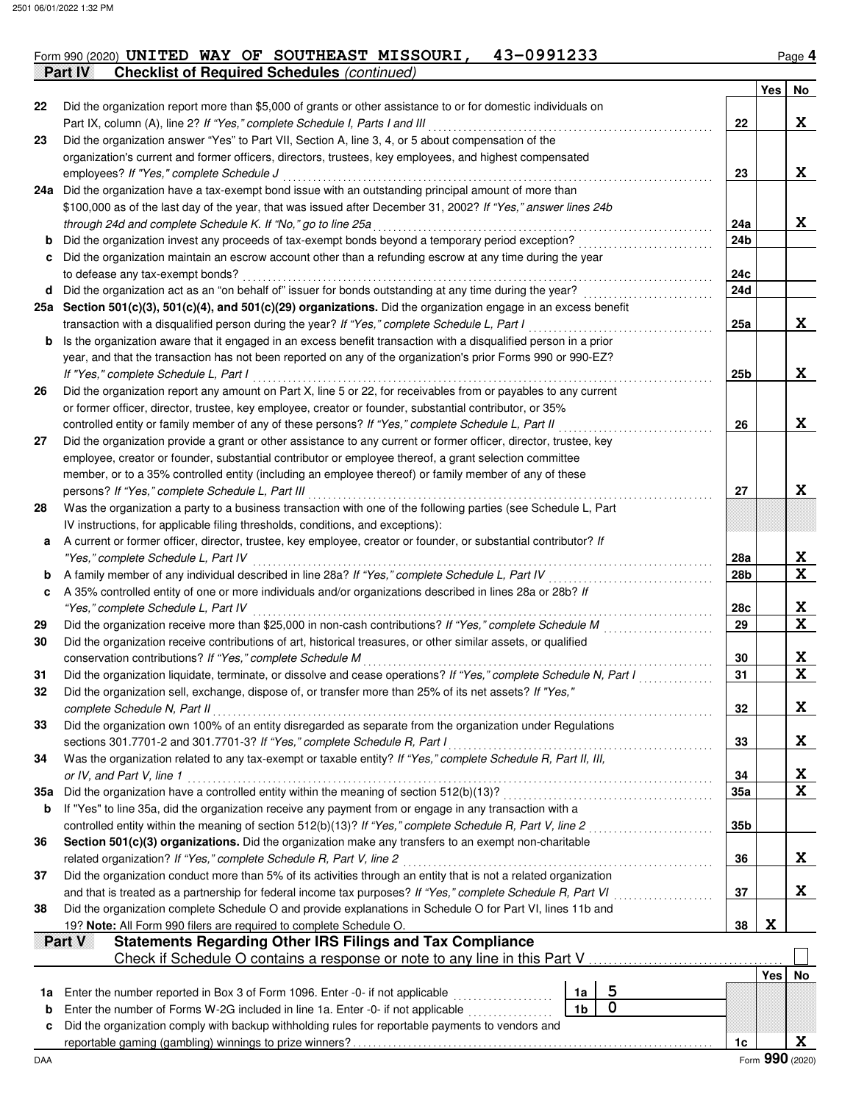### Form 990 (2020) **UNITED WAY OF SOUTHEAST MISSOURI, 43-0991233 Part IV** Checklist of Required Schedules (continued)

|     |                                                                                                                                                                                                                   |                 | Yes | No          |
|-----|-------------------------------------------------------------------------------------------------------------------------------------------------------------------------------------------------------------------|-----------------|-----|-------------|
| 22  | Did the organization report more than \$5,000 of grants or other assistance to or for domestic individuals on                                                                                                     |                 |     |             |
|     | Part IX, column (A), line 2? If "Yes," complete Schedule I, Parts I and III                                                                                                                                       | 22              |     | X           |
| 23  | Did the organization answer "Yes" to Part VII, Section A, line 3, 4, or 5 about compensation of the                                                                                                               |                 |     |             |
|     | organization's current and former officers, directors, trustees, key employees, and highest compensated                                                                                                           |                 |     |             |
|     | employees? If "Yes," complete Schedule J                                                                                                                                                                          | 23              |     | X           |
| 24a | Did the organization have a tax-exempt bond issue with an outstanding principal amount of more than                                                                                                               |                 |     |             |
|     | \$100,000 as of the last day of the year, that was issued after December 31, 2002? If "Yes," answer lines 24b                                                                                                     |                 |     |             |
|     | through 24d and complete Schedule K. If "No," go to line 25a                                                                                                                                                      | 24a             |     | X           |
| b   | Did the organization invest any proceeds of tax-exempt bonds beyond a temporary period exception?                                                                                                                 | 24b             |     |             |
| c   | Did the organization maintain an escrow account other than a refunding escrow at any time during the year                                                                                                         |                 |     |             |
|     | to defease any tax-exempt bonds?                                                                                                                                                                                  | 24c             |     |             |
| d   | Did the organization act as an "on behalf of" issuer for bonds outstanding at any time during the year?                                                                                                           | 24d             |     |             |
|     | 25a Section 501(c)(3), 501(c)(4), and 501(c)(29) organizations. Did the organization engage in an excess benefit<br>transaction with a disqualified person during the year? If "Yes," complete Schedule L, Part I | 25a             |     | X           |
| b   | Is the organization aware that it engaged in an excess benefit transaction with a disqualified person in a prior                                                                                                  |                 |     |             |
|     | year, and that the transaction has not been reported on any of the organization's prior Forms 990 or 990-EZ?                                                                                                      |                 |     |             |
|     | If "Yes," complete Schedule L, Part I                                                                                                                                                                             | 25b             |     | X           |
| 26  | Did the organization report any amount on Part X, line 5 or 22, for receivables from or payables to any current                                                                                                   |                 |     |             |
|     | or former officer, director, trustee, key employee, creator or founder, substantial contributor, or 35%                                                                                                           |                 |     |             |
|     | controlled entity or family member of any of these persons? If "Yes," complete Schedule L, Part II                                                                                                                | 26              |     | X           |
| 27  | Did the organization provide a grant or other assistance to any current or former officer, director, trustee, key                                                                                                 |                 |     |             |
|     | employee, creator or founder, substantial contributor or employee thereof, a grant selection committee                                                                                                            |                 |     |             |
|     | member, or to a 35% controlled entity (including an employee thereof) or family member of any of these                                                                                                            |                 |     |             |
|     | persons? If "Yes," complete Schedule L, Part III                                                                                                                                                                  | 27              |     | X           |
| 28  | Was the organization a party to a business transaction with one of the following parties (see Schedule L, Part                                                                                                    |                 |     |             |
|     | IV instructions, for applicable filing thresholds, conditions, and exceptions):                                                                                                                                   |                 |     |             |
| a   | A current or former officer, director, trustee, key employee, creator or founder, or substantial contributor? If                                                                                                  |                 |     |             |
|     | "Yes," complete Schedule L, Part IV                                                                                                                                                                               | 28a             |     | X           |
| b   | A family member of any individual described in line 28a? If "Yes," complete Schedule L, Part IV                                                                                                                   | 28b             |     | $\mathbf x$ |
| c   | A 35% controlled entity of one or more individuals and/or organizations described in lines 28a or 28b? If                                                                                                         |                 |     |             |
|     | "Yes," complete Schedule L, Part IV                                                                                                                                                                               | 28c             |     | X           |
| 29  | Did the organization receive more than \$25,000 in non-cash contributions? If "Yes," complete Schedule M                                                                                                          | 29              |     | $\mathbf x$ |
| 30  | Did the organization receive contributions of art, historical treasures, or other similar assets, or qualified                                                                                                    |                 |     |             |
|     | conservation contributions? If "Yes," complete Schedule M                                                                                                                                                         | 30              |     | X           |
| 31  | Did the organization liquidate, terminate, or dissolve and cease operations? If "Yes," complete Schedule N, Part I                                                                                                | 31              |     | X           |
| 32  | Did the organization sell, exchange, dispose of, or transfer more than 25% of its net assets? If "Yes,"                                                                                                           |                 |     |             |
|     | complete Schedule N, Part II                                                                                                                                                                                      | 32              |     | X           |
| 33  | Did the organization own 100% of an entity disregarded as separate from the organization under Regulations<br>sections 301.7701-2 and 301.7701-3? If "Yes," complete Schedule R, Part I                           | 33              |     | X           |
| 34  | Was the organization related to any tax-exempt or taxable entity? If "Yes," complete Schedule R, Part II, III,                                                                                                    |                 |     |             |
|     | or IV, and Part V, line 1                                                                                                                                                                                         | 34              |     | X           |
| 35а | Did the organization have a controlled entity within the meaning of section 512(b)(13)?                                                                                                                           | <b>35a</b>      |     | $\mathbf x$ |
| b   | If "Yes" to line 35a, did the organization receive any payment from or engage in any transaction with a                                                                                                           |                 |     |             |
|     | controlled entity within the meaning of section 512(b)(13)? If "Yes," complete Schedule R, Part V, line 2                                                                                                         | 35 <sub>b</sub> |     |             |
| 36  | Section 501(c)(3) organizations. Did the organization make any transfers to an exempt non-charitable                                                                                                              |                 |     |             |
|     | related organization? If "Yes," complete Schedule R, Part V, line 2                                                                                                                                               | 36              |     | X           |
| 37  | Did the organization conduct more than 5% of its activities through an entity that is not a related organization                                                                                                  |                 |     |             |
|     | and that is treated as a partnership for federal income tax purposes? If "Yes," complete Schedule R, Part VI                                                                                                      | 37              |     | X           |
| 38  | Did the organization complete Schedule O and provide explanations in Schedule O for Part VI, lines 11b and                                                                                                        |                 |     |             |
|     | 19? Note: All Form 990 filers are required to complete Schedule O.                                                                                                                                                | 38              | X   |             |
|     | <b>Statements Regarding Other IRS Filings and Tax Compliance</b><br>Part V                                                                                                                                        |                 |     |             |
|     | Check if Schedule O contains a response or note to any line in this Part V                                                                                                                                        |                 |     |             |
|     |                                                                                                                                                                                                                   |                 | Yes | No          |
| ٦а  | 5<br>Enter the number reported in Box 3 of Form 1096. Enter -0- if not applicable<br>1a                                                                                                                           |                 |     |             |
| b   | $\mathbf 0$<br>1 <sub>b</sub><br>Enter the number of Forms W-2G included in line 1a. Enter -0- if not applicable                                                                                                  |                 |     |             |
| c   | Did the organization comply with backup withholding rules for reportable payments to vendors and                                                                                                                  |                 |     |             |
|     |                                                                                                                                                                                                                   | 1c              |     | X           |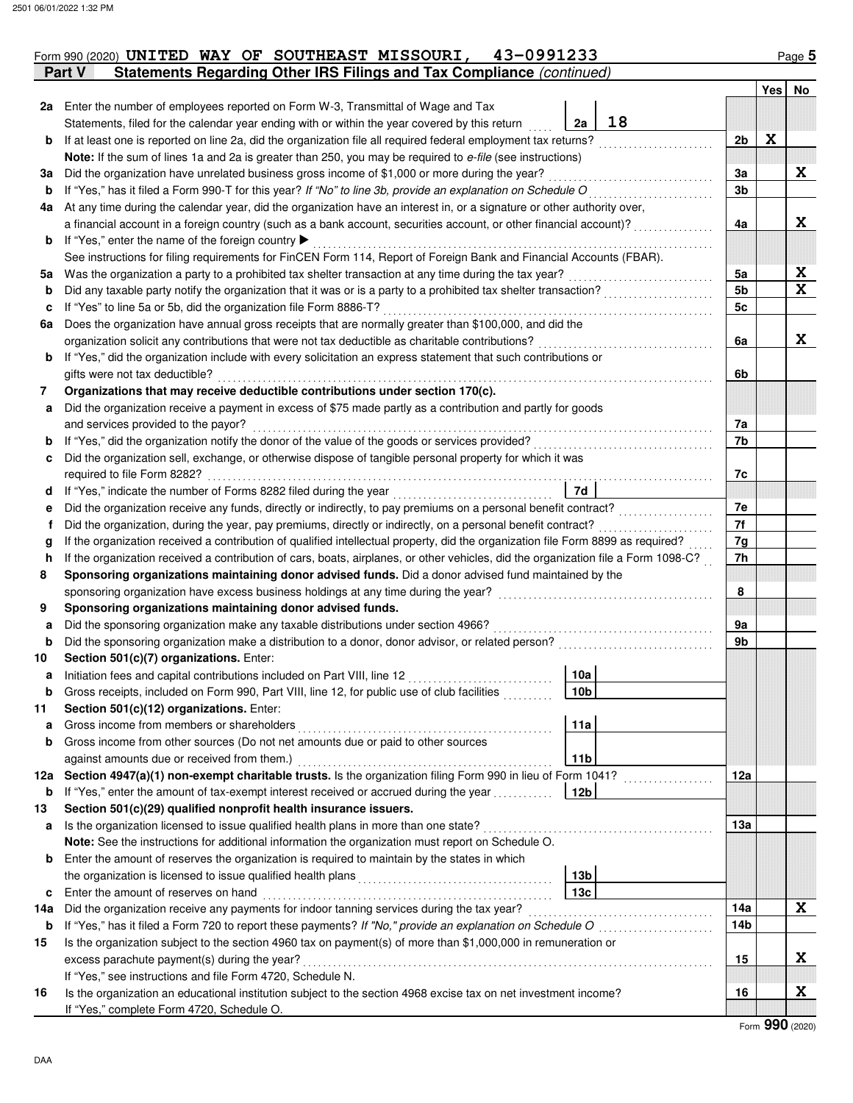|         |                                                                                                                                                                               |                 |    |                | Yes | No.         |
|---------|-------------------------------------------------------------------------------------------------------------------------------------------------------------------------------|-----------------|----|----------------|-----|-------------|
|         | 2a Enter the number of employees reported on Form W-3, Transmittal of Wage and Tax                                                                                            |                 |    |                |     |             |
|         | Statements, filed for the calendar year ending with or within the year covered by this return                                                                                 | 2a              | 18 |                |     |             |
| b       | If at least one is reported on line 2a, did the organization file all required federal employment tax returns?                                                                |                 |    | 2 <sub>b</sub> | X   |             |
|         | Note: If the sum of lines 1a and 2a is greater than 250, you may be required to e-file (see instructions)                                                                     |                 |    |                |     |             |
| За      | Did the organization have unrelated business gross income of \$1,000 or more during the year?                                                                                 |                 |    | За             |     | X           |
| b       | If "Yes," has it filed a Form 990-T for this year? If "No" to line 3b, provide an explanation on Schedule O                                                                   |                 |    | 3b             |     |             |
| 4a      | At any time during the calendar year, did the organization have an interest in, or a signature or other authority over,                                                       |                 |    |                |     |             |
|         | a financial account in a foreign country (such as a bank account, securities account, or other financial account)?                                                            |                 |    | 4a             |     | X           |
| b       | If "Yes," enter the name of the foreign country ▶                                                                                                                             |                 |    |                |     |             |
|         | See instructions for filing requirements for FinCEN Form 114, Report of Foreign Bank and Financial Accounts (FBAR).                                                           |                 |    |                |     |             |
| 5a      | Was the organization a party to a prohibited tax shelter transaction at any time during the tax year?                                                                         |                 |    | 5a             |     | X           |
| b       | Did any taxable party notify the organization that it was or is a party to a prohibited tax shelter transaction?                                                              |                 |    | 5b             |     | $\mathbf x$ |
| c       | If "Yes" to line 5a or 5b, did the organization file Form 8886-T?                                                                                                             |                 |    | 5c             |     |             |
| 6a      | Does the organization have annual gross receipts that are normally greater than \$100,000, and did the                                                                        |                 |    |                |     |             |
|         | organization solicit any contributions that were not tax deductible as charitable contributions?                                                                              |                 |    | 6a             |     | X           |
| b       | If "Yes," did the organization include with every solicitation an express statement that such contributions or                                                                |                 |    |                |     |             |
|         | gifts were not tax deductible?                                                                                                                                                |                 |    | 6b             |     |             |
| 7       | Organizations that may receive deductible contributions under section 170(c).                                                                                                 |                 |    |                |     |             |
| а       | Did the organization receive a payment in excess of \$75 made partly as a contribution and partly for goods                                                                   |                 |    |                |     |             |
|         | and services provided to the payor?                                                                                                                                           |                 |    | 7a             |     |             |
| b       | If "Yes," did the organization notify the donor of the value of the goods or services provided?                                                                               |                 |    | 7b             |     |             |
| c       | Did the organization sell, exchange, or otherwise dispose of tangible personal property for which it was                                                                      |                 |    |                |     |             |
|         | required to file Form 8282?                                                                                                                                                   |                 |    | 7c             |     |             |
| d       | If "Yes," indicate the number of Forms 8282 filed during the year                                                                                                             | 7d              |    |                |     |             |
| е       | Did the organization receive any funds, directly or indirectly, to pay premiums on a personal benefit contract?                                                               |                 |    | 7e             |     |             |
| f       | Did the organization, during the year, pay premiums, directly or indirectly, on a personal benefit contract?                                                                  |                 |    | 7f             |     |             |
| g       | If the organization received a contribution of qualified intellectual property, did the organization file Form 8899 as required?                                              |                 |    | 7g             |     |             |
| h       | If the organization received a contribution of cars, boats, airplanes, or other vehicles, did the organization file a Form 1098-C?                                            |                 |    | 7h             |     |             |
| 8       | Sponsoring organizations maintaining donor advised funds. Did a donor advised fund maintained by the                                                                          |                 |    |                |     |             |
|         | sponsoring organization have excess business holdings at any time during the year?                                                                                            |                 |    | 8              |     |             |
| 9       | Sponsoring organizations maintaining donor advised funds.                                                                                                                     |                 |    |                |     |             |
| а       | Did the sponsoring organization make any taxable distributions under section 4966?                                                                                            |                 |    | 9a             |     |             |
| b       | Did the sponsoring organization make a distribution to a donor, donor advisor, or related person?                                                                             |                 |    | 9b             |     |             |
| 10      | Section 501(c)(7) organizations. Enter:                                                                                                                                       |                 |    |                |     |             |
| а       | Initiation fees and capital contributions included on Part VIII, line 12                                                                                                      | 10a             |    |                |     |             |
|         | Gross receipts, included on Form 990, Part VIII, line 12, for public use of club facilities                                                                                   | 10 <sub>b</sub> |    |                |     |             |
|         | Section 501(c)(12) organizations. Enter:                                                                                                                                      |                 |    |                |     |             |
| a       | Gross income from members or shareholders                                                                                                                                     | 11a             |    |                |     |             |
| b       | Gross income from other sources (Do not net amounts due or paid to other sources                                                                                              |                 |    |                |     |             |
|         | against amounts due or received from them.)                                                                                                                                   | 11b             |    |                |     |             |
| 12a     | Section 4947(a)(1) non-exempt charitable trusts. Is the organization filing Form 990 in lieu of Form 1041?                                                                    |                 |    | 12a            |     |             |
| b       | If "Yes," enter the amount of tax-exempt interest received or accrued during the year                                                                                         | 12 <sub>b</sub> |    |                |     |             |
|         | Section 501(c)(29) qualified nonprofit health insurance issuers.                                                                                                              |                 |    |                |     |             |
| 13<br>а | Is the organization licensed to issue qualified health plans in more than one state?                                                                                          |                 |    | 13а            |     |             |
|         | Note: See the instructions for additional information the organization must report on Schedule O.                                                                             |                 |    |                |     |             |
|         | Enter the amount of reserves the organization is required to maintain by the states in which                                                                                  |                 |    |                |     |             |
| b       |                                                                                                                                                                               |                 |    |                |     |             |
|         |                                                                                                                                                                               | 13b             |    |                |     |             |
| c       | Enter the amount of reserves on hand                                                                                                                                          | 13с             |    |                |     |             |
| 14a     | Did the organization receive any payments for indoor tanning services during the tax year?                                                                                    |                 |    | 14a            |     | X           |
| b       |                                                                                                                                                                               |                 |    | 14b            |     |             |
| 15      | Is the organization subject to the section 4960 tax on payment(s) of more than \$1,000,000 in remuneration or                                                                 |                 |    |                |     |             |
|         | excess parachute payment(s) during the year?                                                                                                                                  |                 |    | 15             |     | X           |
|         |                                                                                                                                                                               |                 |    |                |     |             |
| 16      | If "Yes," see instructions and file Form 4720, Schedule N.<br>Is the organization an educational institution subject to the section 4968 excise tax on net investment income? |                 |    | 16             |     | X           |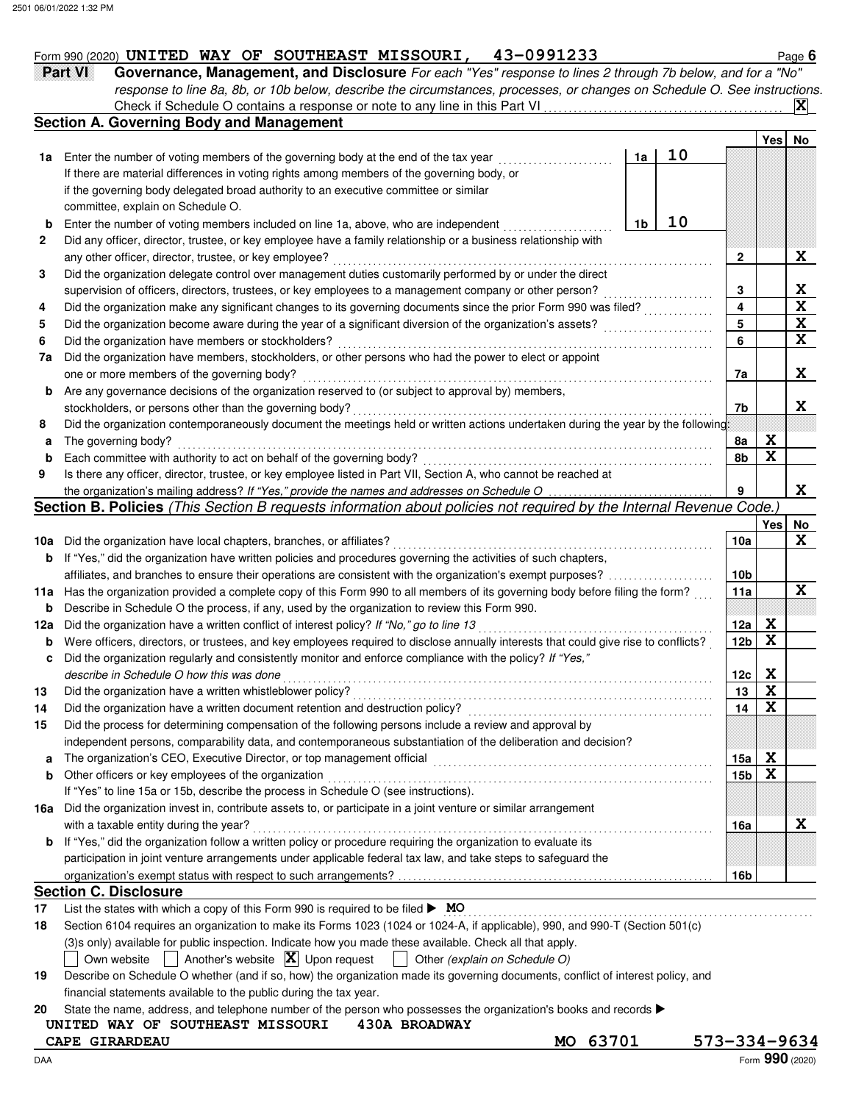|  |  |  |  |  | Form 990 (2020) UNITED WAY OF SOUTHEAST MISSOURI, |  | 43-0991233 | Page <b>b</b> |
|--|--|--|--|--|---------------------------------------------------|--|------------|---------------|
|--|--|--|--|--|---------------------------------------------------|--|------------|---------------|

| Part VI | Governance, Management, and Disclosure For each "Yes" response to lines 2 through 7b below, and for a "No"                |  |
|---------|---------------------------------------------------------------------------------------------------------------------------|--|
|         | response to line 8a, 8b, or 10b below, describe the circumstances, processes, or changes on Schedule O. See instructions. |  |
|         |                                                                                                                           |  |
|         | <b>Section A. Governing Body and Management</b>                                                                           |  |

| 10<br>1a<br>Enter the number of voting members of the governing body at the end of the tax year<br>1а<br>If there are material differences in voting rights among members of the governing body, or<br>if the governing body delegated broad authority to an executive committee or similar<br>committee, explain on Schedule O.<br>10<br>1 <sub>b</sub><br>Enter the number of voting members included on line 1a, above, who are independent<br>b<br>Did any officer, director, trustee, or key employee have a family relationship or a business relationship with<br>2<br>any other officer, director, trustee, or key employee?<br>$\mathbf{2}$<br>Did the organization delegate control over management duties customarily performed by or under the direct<br>3<br>3<br>supervision of officers, directors, trustees, or key employees to a management company or other person?<br>$\overline{\mathbf{4}}$<br>Did the organization make any significant changes to its governing documents since the prior Form 990 was filed?<br>4<br>5<br>5<br>6<br>Did the organization have members or stockholders?<br>6<br>Did the organization have members, stockholders, or other persons who had the power to elect or appoint<br>7a<br>one or more members of the governing body?<br>7a<br>Are any governance decisions of the organization reserved to (or subject to approval by) members,<br>b<br>stockholders, or persons other than the governing body?<br>7b<br>Did the organization contemporaneously document the meetings held or written actions undertaken during the year by the following:<br>8<br>The governing body?<br>8а<br>a<br>Each committee with authority to act on behalf of the governing body?<br>8b<br>b<br>Is there any officer, director, trustee, or key employee listed in Part VII, Section A, who cannot be reached at<br>9<br>9<br>the organization's mailing address? If "Yes," provide the names and addresses on Schedule O<br>Section B. Policies (This Section B requests information about policies not required by the Internal Revenue Code.)<br>10a<br>Did the organization have local chapters, branches, or affiliates?<br>10a<br>If "Yes," did the organization have written policies and procedures governing the activities of such chapters,<br>b<br>10 <sub>b</sub><br>affiliates, and branches to ensure their operations are consistent with the organization's exempt purposes?<br>Has the organization provided a complete copy of this Form 990 to all members of its governing body before filing the form?<br>11a<br>11a<br>Describe in Schedule O the process, if any, used by the organization to review this Form 990.<br>b<br>12a<br>Did the organization have a written conflict of interest policy? If "No," go to line 13<br>12a<br>12 <sub>b</sub><br>Were officers, directors, or trustees, and key employees required to disclose annually interests that could give rise to conflicts?<br>b<br>Did the organization regularly and consistently monitor and enforce compliance with the policy? If "Yes,"<br>c<br>12c<br>describe in Schedule O how this was done<br>13<br>Did the organization have a written whistleblower policy?<br>13<br>14<br>Did the organization have a written document retention and destruction policy?<br>14<br>Did the process for determining compensation of the following persons include a review and approval by<br>15<br>independent persons, comparability data, and contemporaneous substantiation of the deliberation and decision?<br>15a<br>а<br>Other officers or key employees of the organization<br>15 <sub>b</sub><br>b<br>If "Yes" to line 15a or 15b, describe the process in Schedule O (see instructions).<br>16a Did the organization invest in, contribute assets to, or participate in a joint venture or similar arrangement<br>with a taxable entity during the year?<br>16a<br>If "Yes," did the organization follow a written policy or procedure requiring the organization to evaluate its<br>b<br>participation in joint venture arrangements under applicable federal tax law, and take steps to safeguard the<br>16b<br><b>Section C. Disclosure</b><br>List the states with which a copy of this Form 990 is required to be filed $\triangleright$ MO<br>17 |                         |                         |
|-----------------------------------------------------------------------------------------------------------------------------------------------------------------------------------------------------------------------------------------------------------------------------------------------------------------------------------------------------------------------------------------------------------------------------------------------------------------------------------------------------------------------------------------------------------------------------------------------------------------------------------------------------------------------------------------------------------------------------------------------------------------------------------------------------------------------------------------------------------------------------------------------------------------------------------------------------------------------------------------------------------------------------------------------------------------------------------------------------------------------------------------------------------------------------------------------------------------------------------------------------------------------------------------------------------------------------------------------------------------------------------------------------------------------------------------------------------------------------------------------------------------------------------------------------------------------------------------------------------------------------------------------------------------------------------------------------------------------------------------------------------------------------------------------------------------------------------------------------------------------------------------------------------------------------------------------------------------------------------------------------------------------------------------------------------------------------------------------------------------------------------------------------------------------------------------------------------------------------------------------------------------------------------------------------------------------------------------------------------------------------------------------------------------------------------------------------------------------------------------------------------------------------------------------------------------------------------------------------------------------------------------------------------------------------------------------------------------------------------------------------------------------------------------------------------------------------------------------------------------------------------------------------------------------------------------------------------------------------------------------------------------------------------------------------------------------------------------------------------------------------------------------------------------------------------------------------------------------------------------------------------------------------------------------------------------------------------------------------------------------------------------------------------------------------------------------------------------------------------------------------------------------------------------------------------------------------------------------------------------------------------------------------------------------------------------------------------------------------------------------------------------------------------------------------------------------------------------------------------------------------------------------------------------------------------------------------------------------------------------------------------------------------------------------------------------------------------------------------------------------------------------------------------------------------------------------------------------------------------------------------------------------------------------------|-------------------------|-------------------------|
|                                                                                                                                                                                                                                                                                                                                                                                                                                                                                                                                                                                                                                                                                                                                                                                                                                                                                                                                                                                                                                                                                                                                                                                                                                                                                                                                                                                                                                                                                                                                                                                                                                                                                                                                                                                                                                                                                                                                                                                                                                                                                                                                                                                                                                                                                                                                                                                                                                                                                                                                                                                                                                                                                                                                                                                                                                                                                                                                                                                                                                                                                                                                                                                                                                                                                                                                                                                                                                                                                                                                                                                                                                                                                                                                                                                                                                                                                                                                                                                                                                                                                                                                                                                                                                                                                               |                         |                         |
|                                                                                                                                                                                                                                                                                                                                                                                                                                                                                                                                                                                                                                                                                                                                                                                                                                                                                                                                                                                                                                                                                                                                                                                                                                                                                                                                                                                                                                                                                                                                                                                                                                                                                                                                                                                                                                                                                                                                                                                                                                                                                                                                                                                                                                                                                                                                                                                                                                                                                                                                                                                                                                                                                                                                                                                                                                                                                                                                                                                                                                                                                                                                                                                                                                                                                                                                                                                                                                                                                                                                                                                                                                                                                                                                                                                                                                                                                                                                                                                                                                                                                                                                                                                                                                                                                               |                         |                         |
|                                                                                                                                                                                                                                                                                                                                                                                                                                                                                                                                                                                                                                                                                                                                                                                                                                                                                                                                                                                                                                                                                                                                                                                                                                                                                                                                                                                                                                                                                                                                                                                                                                                                                                                                                                                                                                                                                                                                                                                                                                                                                                                                                                                                                                                                                                                                                                                                                                                                                                                                                                                                                                                                                                                                                                                                                                                                                                                                                                                                                                                                                                                                                                                                                                                                                                                                                                                                                                                                                                                                                                                                                                                                                                                                                                                                                                                                                                                                                                                                                                                                                                                                                                                                                                                                                               |                         |                         |
|                                                                                                                                                                                                                                                                                                                                                                                                                                                                                                                                                                                                                                                                                                                                                                                                                                                                                                                                                                                                                                                                                                                                                                                                                                                                                                                                                                                                                                                                                                                                                                                                                                                                                                                                                                                                                                                                                                                                                                                                                                                                                                                                                                                                                                                                                                                                                                                                                                                                                                                                                                                                                                                                                                                                                                                                                                                                                                                                                                                                                                                                                                                                                                                                                                                                                                                                                                                                                                                                                                                                                                                                                                                                                                                                                                                                                                                                                                                                                                                                                                                                                                                                                                                                                                                                                               |                         |                         |
|                                                                                                                                                                                                                                                                                                                                                                                                                                                                                                                                                                                                                                                                                                                                                                                                                                                                                                                                                                                                                                                                                                                                                                                                                                                                                                                                                                                                                                                                                                                                                                                                                                                                                                                                                                                                                                                                                                                                                                                                                                                                                                                                                                                                                                                                                                                                                                                                                                                                                                                                                                                                                                                                                                                                                                                                                                                                                                                                                                                                                                                                                                                                                                                                                                                                                                                                                                                                                                                                                                                                                                                                                                                                                                                                                                                                                                                                                                                                                                                                                                                                                                                                                                                                                                                                                               |                         |                         |
|                                                                                                                                                                                                                                                                                                                                                                                                                                                                                                                                                                                                                                                                                                                                                                                                                                                                                                                                                                                                                                                                                                                                                                                                                                                                                                                                                                                                                                                                                                                                                                                                                                                                                                                                                                                                                                                                                                                                                                                                                                                                                                                                                                                                                                                                                                                                                                                                                                                                                                                                                                                                                                                                                                                                                                                                                                                                                                                                                                                                                                                                                                                                                                                                                                                                                                                                                                                                                                                                                                                                                                                                                                                                                                                                                                                                                                                                                                                                                                                                                                                                                                                                                                                                                                                                                               |                         |                         |
|                                                                                                                                                                                                                                                                                                                                                                                                                                                                                                                                                                                                                                                                                                                                                                                                                                                                                                                                                                                                                                                                                                                                                                                                                                                                                                                                                                                                                                                                                                                                                                                                                                                                                                                                                                                                                                                                                                                                                                                                                                                                                                                                                                                                                                                                                                                                                                                                                                                                                                                                                                                                                                                                                                                                                                                                                                                                                                                                                                                                                                                                                                                                                                                                                                                                                                                                                                                                                                                                                                                                                                                                                                                                                                                                                                                                                                                                                                                                                                                                                                                                                                                                                                                                                                                                                               |                         | X                       |
|                                                                                                                                                                                                                                                                                                                                                                                                                                                                                                                                                                                                                                                                                                                                                                                                                                                                                                                                                                                                                                                                                                                                                                                                                                                                                                                                                                                                                                                                                                                                                                                                                                                                                                                                                                                                                                                                                                                                                                                                                                                                                                                                                                                                                                                                                                                                                                                                                                                                                                                                                                                                                                                                                                                                                                                                                                                                                                                                                                                                                                                                                                                                                                                                                                                                                                                                                                                                                                                                                                                                                                                                                                                                                                                                                                                                                                                                                                                                                                                                                                                                                                                                                                                                                                                                                               |                         |                         |
|                                                                                                                                                                                                                                                                                                                                                                                                                                                                                                                                                                                                                                                                                                                                                                                                                                                                                                                                                                                                                                                                                                                                                                                                                                                                                                                                                                                                                                                                                                                                                                                                                                                                                                                                                                                                                                                                                                                                                                                                                                                                                                                                                                                                                                                                                                                                                                                                                                                                                                                                                                                                                                                                                                                                                                                                                                                                                                                                                                                                                                                                                                                                                                                                                                                                                                                                                                                                                                                                                                                                                                                                                                                                                                                                                                                                                                                                                                                                                                                                                                                                                                                                                                                                                                                                                               |                         | X                       |
|                                                                                                                                                                                                                                                                                                                                                                                                                                                                                                                                                                                                                                                                                                                                                                                                                                                                                                                                                                                                                                                                                                                                                                                                                                                                                                                                                                                                                                                                                                                                                                                                                                                                                                                                                                                                                                                                                                                                                                                                                                                                                                                                                                                                                                                                                                                                                                                                                                                                                                                                                                                                                                                                                                                                                                                                                                                                                                                                                                                                                                                                                                                                                                                                                                                                                                                                                                                                                                                                                                                                                                                                                                                                                                                                                                                                                                                                                                                                                                                                                                                                                                                                                                                                                                                                                               |                         | $\overline{\mathbf{x}}$ |
|                                                                                                                                                                                                                                                                                                                                                                                                                                                                                                                                                                                                                                                                                                                                                                                                                                                                                                                                                                                                                                                                                                                                                                                                                                                                                                                                                                                                                                                                                                                                                                                                                                                                                                                                                                                                                                                                                                                                                                                                                                                                                                                                                                                                                                                                                                                                                                                                                                                                                                                                                                                                                                                                                                                                                                                                                                                                                                                                                                                                                                                                                                                                                                                                                                                                                                                                                                                                                                                                                                                                                                                                                                                                                                                                                                                                                                                                                                                                                                                                                                                                                                                                                                                                                                                                                               |                         | $\overline{\mathbf{x}}$ |
|                                                                                                                                                                                                                                                                                                                                                                                                                                                                                                                                                                                                                                                                                                                                                                                                                                                                                                                                                                                                                                                                                                                                                                                                                                                                                                                                                                                                                                                                                                                                                                                                                                                                                                                                                                                                                                                                                                                                                                                                                                                                                                                                                                                                                                                                                                                                                                                                                                                                                                                                                                                                                                                                                                                                                                                                                                                                                                                                                                                                                                                                                                                                                                                                                                                                                                                                                                                                                                                                                                                                                                                                                                                                                                                                                                                                                                                                                                                                                                                                                                                                                                                                                                                                                                                                                               |                         | $\mathbf x$             |
|                                                                                                                                                                                                                                                                                                                                                                                                                                                                                                                                                                                                                                                                                                                                                                                                                                                                                                                                                                                                                                                                                                                                                                                                                                                                                                                                                                                                                                                                                                                                                                                                                                                                                                                                                                                                                                                                                                                                                                                                                                                                                                                                                                                                                                                                                                                                                                                                                                                                                                                                                                                                                                                                                                                                                                                                                                                                                                                                                                                                                                                                                                                                                                                                                                                                                                                                                                                                                                                                                                                                                                                                                                                                                                                                                                                                                                                                                                                                                                                                                                                                                                                                                                                                                                                                                               |                         |                         |
|                                                                                                                                                                                                                                                                                                                                                                                                                                                                                                                                                                                                                                                                                                                                                                                                                                                                                                                                                                                                                                                                                                                                                                                                                                                                                                                                                                                                                                                                                                                                                                                                                                                                                                                                                                                                                                                                                                                                                                                                                                                                                                                                                                                                                                                                                                                                                                                                                                                                                                                                                                                                                                                                                                                                                                                                                                                                                                                                                                                                                                                                                                                                                                                                                                                                                                                                                                                                                                                                                                                                                                                                                                                                                                                                                                                                                                                                                                                                                                                                                                                                                                                                                                                                                                                                                               |                         | X                       |
|                                                                                                                                                                                                                                                                                                                                                                                                                                                                                                                                                                                                                                                                                                                                                                                                                                                                                                                                                                                                                                                                                                                                                                                                                                                                                                                                                                                                                                                                                                                                                                                                                                                                                                                                                                                                                                                                                                                                                                                                                                                                                                                                                                                                                                                                                                                                                                                                                                                                                                                                                                                                                                                                                                                                                                                                                                                                                                                                                                                                                                                                                                                                                                                                                                                                                                                                                                                                                                                                                                                                                                                                                                                                                                                                                                                                                                                                                                                                                                                                                                                                                                                                                                                                                                                                                               |                         |                         |
|                                                                                                                                                                                                                                                                                                                                                                                                                                                                                                                                                                                                                                                                                                                                                                                                                                                                                                                                                                                                                                                                                                                                                                                                                                                                                                                                                                                                                                                                                                                                                                                                                                                                                                                                                                                                                                                                                                                                                                                                                                                                                                                                                                                                                                                                                                                                                                                                                                                                                                                                                                                                                                                                                                                                                                                                                                                                                                                                                                                                                                                                                                                                                                                                                                                                                                                                                                                                                                                                                                                                                                                                                                                                                                                                                                                                                                                                                                                                                                                                                                                                                                                                                                                                                                                                                               |                         | X                       |
|                                                                                                                                                                                                                                                                                                                                                                                                                                                                                                                                                                                                                                                                                                                                                                                                                                                                                                                                                                                                                                                                                                                                                                                                                                                                                                                                                                                                                                                                                                                                                                                                                                                                                                                                                                                                                                                                                                                                                                                                                                                                                                                                                                                                                                                                                                                                                                                                                                                                                                                                                                                                                                                                                                                                                                                                                                                                                                                                                                                                                                                                                                                                                                                                                                                                                                                                                                                                                                                                                                                                                                                                                                                                                                                                                                                                                                                                                                                                                                                                                                                                                                                                                                                                                                                                                               |                         |                         |
|                                                                                                                                                                                                                                                                                                                                                                                                                                                                                                                                                                                                                                                                                                                                                                                                                                                                                                                                                                                                                                                                                                                                                                                                                                                                                                                                                                                                                                                                                                                                                                                                                                                                                                                                                                                                                                                                                                                                                                                                                                                                                                                                                                                                                                                                                                                                                                                                                                                                                                                                                                                                                                                                                                                                                                                                                                                                                                                                                                                                                                                                                                                                                                                                                                                                                                                                                                                                                                                                                                                                                                                                                                                                                                                                                                                                                                                                                                                                                                                                                                                                                                                                                                                                                                                                                               | X                       |                         |
|                                                                                                                                                                                                                                                                                                                                                                                                                                                                                                                                                                                                                                                                                                                                                                                                                                                                                                                                                                                                                                                                                                                                                                                                                                                                                                                                                                                                                                                                                                                                                                                                                                                                                                                                                                                                                                                                                                                                                                                                                                                                                                                                                                                                                                                                                                                                                                                                                                                                                                                                                                                                                                                                                                                                                                                                                                                                                                                                                                                                                                                                                                                                                                                                                                                                                                                                                                                                                                                                                                                                                                                                                                                                                                                                                                                                                                                                                                                                                                                                                                                                                                                                                                                                                                                                                               | $\mathbf x$             |                         |
|                                                                                                                                                                                                                                                                                                                                                                                                                                                                                                                                                                                                                                                                                                                                                                                                                                                                                                                                                                                                                                                                                                                                                                                                                                                                                                                                                                                                                                                                                                                                                                                                                                                                                                                                                                                                                                                                                                                                                                                                                                                                                                                                                                                                                                                                                                                                                                                                                                                                                                                                                                                                                                                                                                                                                                                                                                                                                                                                                                                                                                                                                                                                                                                                                                                                                                                                                                                                                                                                                                                                                                                                                                                                                                                                                                                                                                                                                                                                                                                                                                                                                                                                                                                                                                                                                               |                         |                         |
|                                                                                                                                                                                                                                                                                                                                                                                                                                                                                                                                                                                                                                                                                                                                                                                                                                                                                                                                                                                                                                                                                                                                                                                                                                                                                                                                                                                                                                                                                                                                                                                                                                                                                                                                                                                                                                                                                                                                                                                                                                                                                                                                                                                                                                                                                                                                                                                                                                                                                                                                                                                                                                                                                                                                                                                                                                                                                                                                                                                                                                                                                                                                                                                                                                                                                                                                                                                                                                                                                                                                                                                                                                                                                                                                                                                                                                                                                                                                                                                                                                                                                                                                                                                                                                                                                               |                         | X                       |
|                                                                                                                                                                                                                                                                                                                                                                                                                                                                                                                                                                                                                                                                                                                                                                                                                                                                                                                                                                                                                                                                                                                                                                                                                                                                                                                                                                                                                                                                                                                                                                                                                                                                                                                                                                                                                                                                                                                                                                                                                                                                                                                                                                                                                                                                                                                                                                                                                                                                                                                                                                                                                                                                                                                                                                                                                                                                                                                                                                                                                                                                                                                                                                                                                                                                                                                                                                                                                                                                                                                                                                                                                                                                                                                                                                                                                                                                                                                                                                                                                                                                                                                                                                                                                                                                                               |                         |                         |
|                                                                                                                                                                                                                                                                                                                                                                                                                                                                                                                                                                                                                                                                                                                                                                                                                                                                                                                                                                                                                                                                                                                                                                                                                                                                                                                                                                                                                                                                                                                                                                                                                                                                                                                                                                                                                                                                                                                                                                                                                                                                                                                                                                                                                                                                                                                                                                                                                                                                                                                                                                                                                                                                                                                                                                                                                                                                                                                                                                                                                                                                                                                                                                                                                                                                                                                                                                                                                                                                                                                                                                                                                                                                                                                                                                                                                                                                                                                                                                                                                                                                                                                                                                                                                                                                                               | Yes                     | No                      |
|                                                                                                                                                                                                                                                                                                                                                                                                                                                                                                                                                                                                                                                                                                                                                                                                                                                                                                                                                                                                                                                                                                                                                                                                                                                                                                                                                                                                                                                                                                                                                                                                                                                                                                                                                                                                                                                                                                                                                                                                                                                                                                                                                                                                                                                                                                                                                                                                                                                                                                                                                                                                                                                                                                                                                                                                                                                                                                                                                                                                                                                                                                                                                                                                                                                                                                                                                                                                                                                                                                                                                                                                                                                                                                                                                                                                                                                                                                                                                                                                                                                                                                                                                                                                                                                                                               |                         | $\mathbf x$             |
|                                                                                                                                                                                                                                                                                                                                                                                                                                                                                                                                                                                                                                                                                                                                                                                                                                                                                                                                                                                                                                                                                                                                                                                                                                                                                                                                                                                                                                                                                                                                                                                                                                                                                                                                                                                                                                                                                                                                                                                                                                                                                                                                                                                                                                                                                                                                                                                                                                                                                                                                                                                                                                                                                                                                                                                                                                                                                                                                                                                                                                                                                                                                                                                                                                                                                                                                                                                                                                                                                                                                                                                                                                                                                                                                                                                                                                                                                                                                                                                                                                                                                                                                                                                                                                                                                               |                         |                         |
|                                                                                                                                                                                                                                                                                                                                                                                                                                                                                                                                                                                                                                                                                                                                                                                                                                                                                                                                                                                                                                                                                                                                                                                                                                                                                                                                                                                                                                                                                                                                                                                                                                                                                                                                                                                                                                                                                                                                                                                                                                                                                                                                                                                                                                                                                                                                                                                                                                                                                                                                                                                                                                                                                                                                                                                                                                                                                                                                                                                                                                                                                                                                                                                                                                                                                                                                                                                                                                                                                                                                                                                                                                                                                                                                                                                                                                                                                                                                                                                                                                                                                                                                                                                                                                                                                               |                         |                         |
|                                                                                                                                                                                                                                                                                                                                                                                                                                                                                                                                                                                                                                                                                                                                                                                                                                                                                                                                                                                                                                                                                                                                                                                                                                                                                                                                                                                                                                                                                                                                                                                                                                                                                                                                                                                                                                                                                                                                                                                                                                                                                                                                                                                                                                                                                                                                                                                                                                                                                                                                                                                                                                                                                                                                                                                                                                                                                                                                                                                                                                                                                                                                                                                                                                                                                                                                                                                                                                                                                                                                                                                                                                                                                                                                                                                                                                                                                                                                                                                                                                                                                                                                                                                                                                                                                               |                         | $\mathbf x$             |
|                                                                                                                                                                                                                                                                                                                                                                                                                                                                                                                                                                                                                                                                                                                                                                                                                                                                                                                                                                                                                                                                                                                                                                                                                                                                                                                                                                                                                                                                                                                                                                                                                                                                                                                                                                                                                                                                                                                                                                                                                                                                                                                                                                                                                                                                                                                                                                                                                                                                                                                                                                                                                                                                                                                                                                                                                                                                                                                                                                                                                                                                                                                                                                                                                                                                                                                                                                                                                                                                                                                                                                                                                                                                                                                                                                                                                                                                                                                                                                                                                                                                                                                                                                                                                                                                                               |                         |                         |
|                                                                                                                                                                                                                                                                                                                                                                                                                                                                                                                                                                                                                                                                                                                                                                                                                                                                                                                                                                                                                                                                                                                                                                                                                                                                                                                                                                                                                                                                                                                                                                                                                                                                                                                                                                                                                                                                                                                                                                                                                                                                                                                                                                                                                                                                                                                                                                                                                                                                                                                                                                                                                                                                                                                                                                                                                                                                                                                                                                                                                                                                                                                                                                                                                                                                                                                                                                                                                                                                                                                                                                                                                                                                                                                                                                                                                                                                                                                                                                                                                                                                                                                                                                                                                                                                                               | X                       |                         |
|                                                                                                                                                                                                                                                                                                                                                                                                                                                                                                                                                                                                                                                                                                                                                                                                                                                                                                                                                                                                                                                                                                                                                                                                                                                                                                                                                                                                                                                                                                                                                                                                                                                                                                                                                                                                                                                                                                                                                                                                                                                                                                                                                                                                                                                                                                                                                                                                                                                                                                                                                                                                                                                                                                                                                                                                                                                                                                                                                                                                                                                                                                                                                                                                                                                                                                                                                                                                                                                                                                                                                                                                                                                                                                                                                                                                                                                                                                                                                                                                                                                                                                                                                                                                                                                                                               | $\overline{\mathbf{x}}$ |                         |
|                                                                                                                                                                                                                                                                                                                                                                                                                                                                                                                                                                                                                                                                                                                                                                                                                                                                                                                                                                                                                                                                                                                                                                                                                                                                                                                                                                                                                                                                                                                                                                                                                                                                                                                                                                                                                                                                                                                                                                                                                                                                                                                                                                                                                                                                                                                                                                                                                                                                                                                                                                                                                                                                                                                                                                                                                                                                                                                                                                                                                                                                                                                                                                                                                                                                                                                                                                                                                                                                                                                                                                                                                                                                                                                                                                                                                                                                                                                                                                                                                                                                                                                                                                                                                                                                                               |                         |                         |
|                                                                                                                                                                                                                                                                                                                                                                                                                                                                                                                                                                                                                                                                                                                                                                                                                                                                                                                                                                                                                                                                                                                                                                                                                                                                                                                                                                                                                                                                                                                                                                                                                                                                                                                                                                                                                                                                                                                                                                                                                                                                                                                                                                                                                                                                                                                                                                                                                                                                                                                                                                                                                                                                                                                                                                                                                                                                                                                                                                                                                                                                                                                                                                                                                                                                                                                                                                                                                                                                                                                                                                                                                                                                                                                                                                                                                                                                                                                                                                                                                                                                                                                                                                                                                                                                                               | X                       |                         |
|                                                                                                                                                                                                                                                                                                                                                                                                                                                                                                                                                                                                                                                                                                                                                                                                                                                                                                                                                                                                                                                                                                                                                                                                                                                                                                                                                                                                                                                                                                                                                                                                                                                                                                                                                                                                                                                                                                                                                                                                                                                                                                                                                                                                                                                                                                                                                                                                                                                                                                                                                                                                                                                                                                                                                                                                                                                                                                                                                                                                                                                                                                                                                                                                                                                                                                                                                                                                                                                                                                                                                                                                                                                                                                                                                                                                                                                                                                                                                                                                                                                                                                                                                                                                                                                                                               | $\mathbf x$             |                         |
|                                                                                                                                                                                                                                                                                                                                                                                                                                                                                                                                                                                                                                                                                                                                                                                                                                                                                                                                                                                                                                                                                                                                                                                                                                                                                                                                                                                                                                                                                                                                                                                                                                                                                                                                                                                                                                                                                                                                                                                                                                                                                                                                                                                                                                                                                                                                                                                                                                                                                                                                                                                                                                                                                                                                                                                                                                                                                                                                                                                                                                                                                                                                                                                                                                                                                                                                                                                                                                                                                                                                                                                                                                                                                                                                                                                                                                                                                                                                                                                                                                                                                                                                                                                                                                                                                               | $\overline{\mathbf{x}}$ |                         |
|                                                                                                                                                                                                                                                                                                                                                                                                                                                                                                                                                                                                                                                                                                                                                                                                                                                                                                                                                                                                                                                                                                                                                                                                                                                                                                                                                                                                                                                                                                                                                                                                                                                                                                                                                                                                                                                                                                                                                                                                                                                                                                                                                                                                                                                                                                                                                                                                                                                                                                                                                                                                                                                                                                                                                                                                                                                                                                                                                                                                                                                                                                                                                                                                                                                                                                                                                                                                                                                                                                                                                                                                                                                                                                                                                                                                                                                                                                                                                                                                                                                                                                                                                                                                                                                                                               |                         |                         |
|                                                                                                                                                                                                                                                                                                                                                                                                                                                                                                                                                                                                                                                                                                                                                                                                                                                                                                                                                                                                                                                                                                                                                                                                                                                                                                                                                                                                                                                                                                                                                                                                                                                                                                                                                                                                                                                                                                                                                                                                                                                                                                                                                                                                                                                                                                                                                                                                                                                                                                                                                                                                                                                                                                                                                                                                                                                                                                                                                                                                                                                                                                                                                                                                                                                                                                                                                                                                                                                                                                                                                                                                                                                                                                                                                                                                                                                                                                                                                                                                                                                                                                                                                                                                                                                                                               |                         |                         |
|                                                                                                                                                                                                                                                                                                                                                                                                                                                                                                                                                                                                                                                                                                                                                                                                                                                                                                                                                                                                                                                                                                                                                                                                                                                                                                                                                                                                                                                                                                                                                                                                                                                                                                                                                                                                                                                                                                                                                                                                                                                                                                                                                                                                                                                                                                                                                                                                                                                                                                                                                                                                                                                                                                                                                                                                                                                                                                                                                                                                                                                                                                                                                                                                                                                                                                                                                                                                                                                                                                                                                                                                                                                                                                                                                                                                                                                                                                                                                                                                                                                                                                                                                                                                                                                                                               | X                       |                         |
|                                                                                                                                                                                                                                                                                                                                                                                                                                                                                                                                                                                                                                                                                                                                                                                                                                                                                                                                                                                                                                                                                                                                                                                                                                                                                                                                                                                                                                                                                                                                                                                                                                                                                                                                                                                                                                                                                                                                                                                                                                                                                                                                                                                                                                                                                                                                                                                                                                                                                                                                                                                                                                                                                                                                                                                                                                                                                                                                                                                                                                                                                                                                                                                                                                                                                                                                                                                                                                                                                                                                                                                                                                                                                                                                                                                                                                                                                                                                                                                                                                                                                                                                                                                                                                                                                               | X                       |                         |
|                                                                                                                                                                                                                                                                                                                                                                                                                                                                                                                                                                                                                                                                                                                                                                                                                                                                                                                                                                                                                                                                                                                                                                                                                                                                                                                                                                                                                                                                                                                                                                                                                                                                                                                                                                                                                                                                                                                                                                                                                                                                                                                                                                                                                                                                                                                                                                                                                                                                                                                                                                                                                                                                                                                                                                                                                                                                                                                                                                                                                                                                                                                                                                                                                                                                                                                                                                                                                                                                                                                                                                                                                                                                                                                                                                                                                                                                                                                                                                                                                                                                                                                                                                                                                                                                                               |                         |                         |
|                                                                                                                                                                                                                                                                                                                                                                                                                                                                                                                                                                                                                                                                                                                                                                                                                                                                                                                                                                                                                                                                                                                                                                                                                                                                                                                                                                                                                                                                                                                                                                                                                                                                                                                                                                                                                                                                                                                                                                                                                                                                                                                                                                                                                                                                                                                                                                                                                                                                                                                                                                                                                                                                                                                                                                                                                                                                                                                                                                                                                                                                                                                                                                                                                                                                                                                                                                                                                                                                                                                                                                                                                                                                                                                                                                                                                                                                                                                                                                                                                                                                                                                                                                                                                                                                                               |                         |                         |
|                                                                                                                                                                                                                                                                                                                                                                                                                                                                                                                                                                                                                                                                                                                                                                                                                                                                                                                                                                                                                                                                                                                                                                                                                                                                                                                                                                                                                                                                                                                                                                                                                                                                                                                                                                                                                                                                                                                                                                                                                                                                                                                                                                                                                                                                                                                                                                                                                                                                                                                                                                                                                                                                                                                                                                                                                                                                                                                                                                                                                                                                                                                                                                                                                                                                                                                                                                                                                                                                                                                                                                                                                                                                                                                                                                                                                                                                                                                                                                                                                                                                                                                                                                                                                                                                                               |                         | X                       |
|                                                                                                                                                                                                                                                                                                                                                                                                                                                                                                                                                                                                                                                                                                                                                                                                                                                                                                                                                                                                                                                                                                                                                                                                                                                                                                                                                                                                                                                                                                                                                                                                                                                                                                                                                                                                                                                                                                                                                                                                                                                                                                                                                                                                                                                                                                                                                                                                                                                                                                                                                                                                                                                                                                                                                                                                                                                                                                                                                                                                                                                                                                                                                                                                                                                                                                                                                                                                                                                                                                                                                                                                                                                                                                                                                                                                                                                                                                                                                                                                                                                                                                                                                                                                                                                                                               |                         |                         |
|                                                                                                                                                                                                                                                                                                                                                                                                                                                                                                                                                                                                                                                                                                                                                                                                                                                                                                                                                                                                                                                                                                                                                                                                                                                                                                                                                                                                                                                                                                                                                                                                                                                                                                                                                                                                                                                                                                                                                                                                                                                                                                                                                                                                                                                                                                                                                                                                                                                                                                                                                                                                                                                                                                                                                                                                                                                                                                                                                                                                                                                                                                                                                                                                                                                                                                                                                                                                                                                                                                                                                                                                                                                                                                                                                                                                                                                                                                                                                                                                                                                                                                                                                                                                                                                                                               |                         |                         |
|                                                                                                                                                                                                                                                                                                                                                                                                                                                                                                                                                                                                                                                                                                                                                                                                                                                                                                                                                                                                                                                                                                                                                                                                                                                                                                                                                                                                                                                                                                                                                                                                                                                                                                                                                                                                                                                                                                                                                                                                                                                                                                                                                                                                                                                                                                                                                                                                                                                                                                                                                                                                                                                                                                                                                                                                                                                                                                                                                                                                                                                                                                                                                                                                                                                                                                                                                                                                                                                                                                                                                                                                                                                                                                                                                                                                                                                                                                                                                                                                                                                                                                                                                                                                                                                                                               |                         |                         |
|                                                                                                                                                                                                                                                                                                                                                                                                                                                                                                                                                                                                                                                                                                                                                                                                                                                                                                                                                                                                                                                                                                                                                                                                                                                                                                                                                                                                                                                                                                                                                                                                                                                                                                                                                                                                                                                                                                                                                                                                                                                                                                                                                                                                                                                                                                                                                                                                                                                                                                                                                                                                                                                                                                                                                                                                                                                                                                                                                                                                                                                                                                                                                                                                                                                                                                                                                                                                                                                                                                                                                                                                                                                                                                                                                                                                                                                                                                                                                                                                                                                                                                                                                                                                                                                                                               |                         |                         |
|                                                                                                                                                                                                                                                                                                                                                                                                                                                                                                                                                                                                                                                                                                                                                                                                                                                                                                                                                                                                                                                                                                                                                                                                                                                                                                                                                                                                                                                                                                                                                                                                                                                                                                                                                                                                                                                                                                                                                                                                                                                                                                                                                                                                                                                                                                                                                                                                                                                                                                                                                                                                                                                                                                                                                                                                                                                                                                                                                                                                                                                                                                                                                                                                                                                                                                                                                                                                                                                                                                                                                                                                                                                                                                                                                                                                                                                                                                                                                                                                                                                                                                                                                                                                                                                                                               |                         |                         |
| Section 6104 requires an organization to make its Forms 1023 (1024 or 1024-A, if applicable), 990, and 990-T (Section 501(c)<br>18                                                                                                                                                                                                                                                                                                                                                                                                                                                                                                                                                                                                                                                                                                                                                                                                                                                                                                                                                                                                                                                                                                                                                                                                                                                                                                                                                                                                                                                                                                                                                                                                                                                                                                                                                                                                                                                                                                                                                                                                                                                                                                                                                                                                                                                                                                                                                                                                                                                                                                                                                                                                                                                                                                                                                                                                                                                                                                                                                                                                                                                                                                                                                                                                                                                                                                                                                                                                                                                                                                                                                                                                                                                                                                                                                                                                                                                                                                                                                                                                                                                                                                                                                            |                         |                         |
| (3)s only) available for public inspection. Indicate how you made these available. Check all that apply.                                                                                                                                                                                                                                                                                                                                                                                                                                                                                                                                                                                                                                                                                                                                                                                                                                                                                                                                                                                                                                                                                                                                                                                                                                                                                                                                                                                                                                                                                                                                                                                                                                                                                                                                                                                                                                                                                                                                                                                                                                                                                                                                                                                                                                                                                                                                                                                                                                                                                                                                                                                                                                                                                                                                                                                                                                                                                                                                                                                                                                                                                                                                                                                                                                                                                                                                                                                                                                                                                                                                                                                                                                                                                                                                                                                                                                                                                                                                                                                                                                                                                                                                                                                      |                         |                         |
| Another's website $ \mathbf{X} $ Upon request<br>Other (explain on Schedule O)<br>Own website                                                                                                                                                                                                                                                                                                                                                                                                                                                                                                                                                                                                                                                                                                                                                                                                                                                                                                                                                                                                                                                                                                                                                                                                                                                                                                                                                                                                                                                                                                                                                                                                                                                                                                                                                                                                                                                                                                                                                                                                                                                                                                                                                                                                                                                                                                                                                                                                                                                                                                                                                                                                                                                                                                                                                                                                                                                                                                                                                                                                                                                                                                                                                                                                                                                                                                                                                                                                                                                                                                                                                                                                                                                                                                                                                                                                                                                                                                                                                                                                                                                                                                                                                                                                 |                         |                         |
| Describe on Schedule O whether (and if so, how) the organization made its governing documents, conflict of interest policy, and                                                                                                                                                                                                                                                                                                                                                                                                                                                                                                                                                                                                                                                                                                                                                                                                                                                                                                                                                                                                                                                                                                                                                                                                                                                                                                                                                                                                                                                                                                                                                                                                                                                                                                                                                                                                                                                                                                                                                                                                                                                                                                                                                                                                                                                                                                                                                                                                                                                                                                                                                                                                                                                                                                                                                                                                                                                                                                                                                                                                                                                                                                                                                                                                                                                                                                                                                                                                                                                                                                                                                                                                                                                                                                                                                                                                                                                                                                                                                                                                                                                                                                                                                               |                         |                         |

financial statements available to the public during the tax year.

**20** State the name, address, and telephone number of the person who possesses the organization's books and records  $\blacktriangleright$ 

## **UNITED WAY OF SOUTHEAST MISSOURI 430A BROADWAY CAPE GIRARDEAU MO 63701 573-334-9634**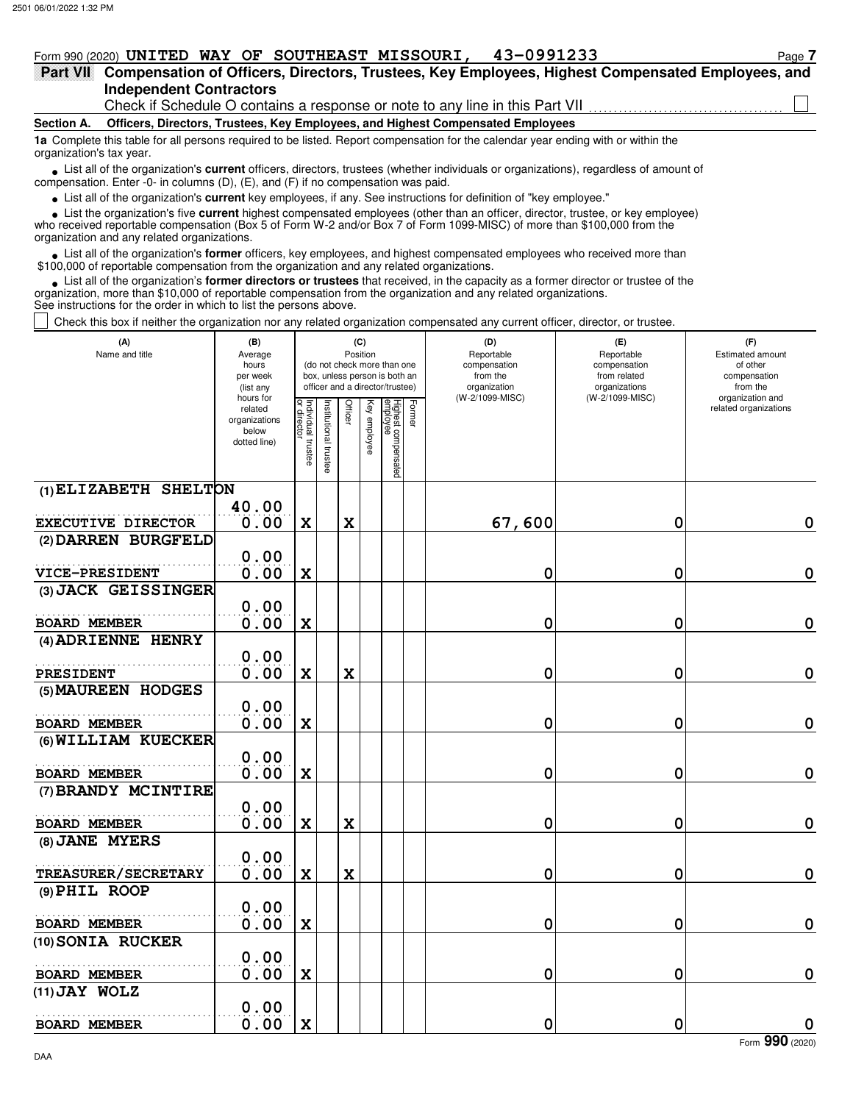## Form 990 (2020) **UNITED WAY OF SOUTHEAST MISSOURI, 43-0991233**

|                   | Part VII Compensation of Officers, Directors, Trustees, Key Employees, Highest Compensated Employees, and                         |  |  |  |  |  |  |  |  |
|-------------------|-----------------------------------------------------------------------------------------------------------------------------------|--|--|--|--|--|--|--|--|
|                   | <b>Independent Contractors</b>                                                                                                    |  |  |  |  |  |  |  |  |
|                   | Check if Schedule O contains a response or note to any line in this Part VII                                                      |  |  |  |  |  |  |  |  |
| <b>Section A.</b> | Officers, Directors, Trustees, Key Employees, and Highest Compensated Employees                                                   |  |  |  |  |  |  |  |  |
|                   | 1a Complete this table for all persons required to be listed. Report compensation for the calendar year ending with or within the |  |  |  |  |  |  |  |  |

■ List all of the organization's **current** officers, directors, trustees (whether individuals or organizations), regardless of amount of the organization Fritary of amount of compensation. Enter -0- in columns (D), (E), and (F) if no compensation was paid. organization's tax year.

List all of the organization's **current** key employees, if any. See instructions for definition of "key employee." **•**

who received reportable compensation (Box 5 of Form W-2 and/or Box 7 of Form 1099-MISC) of more than \$100,000 from the organization and any related organizations. ■ List the organization's five **current** highest compensated employees (other than an officer, director, trustee, or key employee)<br> **•** Preceived reportable compensation (Box 5 of Form W-2 and/or Box 7 of Form 1099-MISC)

• List all of the organization's **former** officers, key employees, and highest compensated employees who received more than<br>00,000 of reportable compensation from the organization and any related organizations \$100,000 of reportable compensation from the organization and any related organizations.

**•** List all of the organization's **former directors or trustees** that received, in the capacity as a former director or trustee of the anization more than \$10,000 of reportable compensation from the organization and any r organization, more than \$10,000 of reportable compensation from the organization and any related organizations. See instructions for the order in which to list the persons above.

Check this box if neither the organization nor any related organization compensated any current officer, director, or trustee.

| (A)<br>Name and title                  | (B)<br>Average<br>hours<br>per week<br>(list any               |                                   |                      |             | (C)<br>Position<br>(do not check more than one<br>box, unless person is both an<br>officer and a director/trustee) |                                 |        | (D)<br>Reportable<br>compensation<br>from the<br>organization | (E)<br>Reportable<br>compensation<br>from related<br>organizations<br>(W-2/1099-MISC) | (F)<br>Estimated amount<br>of other<br>compensation<br>from the<br>organization and |
|----------------------------------------|----------------------------------------------------------------|-----------------------------------|----------------------|-------------|--------------------------------------------------------------------------------------------------------------------|---------------------------------|--------|---------------------------------------------------------------|---------------------------------------------------------------------------------------|-------------------------------------------------------------------------------------|
|                                        | hours for<br>related<br>organizations<br>below<br>dotted line) | Individual trustee<br>or director | nstitutional trustee | Officer     | Key employee                                                                                                       | Highest compensated<br>employee | Former | (W-2/1099-MISC)                                               |                                                                                       | related organizations                                                               |
| (1) ELIZABETH SHELTON                  |                                                                |                                   |                      |             |                                                                                                                    |                                 |        |                                                               |                                                                                       |                                                                                     |
| EXECUTIVE DIRECTOR                     | 40.00<br>0.00                                                  | $\mathbf x$                       |                      | $\mathbf x$ |                                                                                                                    |                                 |        | 67,600                                                        | 0                                                                                     | $\mathbf 0$                                                                         |
| (2) DARREN BURGFELD                    |                                                                |                                   |                      |             |                                                                                                                    |                                 |        |                                                               |                                                                                       |                                                                                     |
| VICE-PRESIDENT                         | 0.00<br>0.00                                                   | $\mathbf x$                       |                      |             |                                                                                                                    |                                 |        | 0                                                             | 0                                                                                     | $\mathbf 0$                                                                         |
| (3) JACK GEISSINGER                    |                                                                |                                   |                      |             |                                                                                                                    |                                 |        |                                                               |                                                                                       |                                                                                     |
| <b>BOARD MEMBER</b>                    | 0.00<br>0.00                                                   | $\mathbf x$                       |                      |             |                                                                                                                    |                                 |        | 0                                                             | 0                                                                                     | $\mathbf 0$                                                                         |
| (4) ADRIENNE HENRY                     |                                                                |                                   |                      |             |                                                                                                                    |                                 |        |                                                               |                                                                                       |                                                                                     |
| PRESIDENT                              | 0.00<br>0.00                                                   | $\mathbf x$                       |                      | $\mathbf x$ |                                                                                                                    |                                 |        | 0                                                             | 0                                                                                     | $\mathbf 0$                                                                         |
| (5) MAUREEN HODGES                     |                                                                |                                   |                      |             |                                                                                                                    |                                 |        |                                                               |                                                                                       |                                                                                     |
| <b>BOARD MEMBER</b>                    | 0.00<br>0.00                                                   | $\mathbf x$                       |                      |             |                                                                                                                    |                                 |        | 0                                                             | 0                                                                                     | $\mathbf 0$                                                                         |
| (6) WILLIAM KUECKER                    |                                                                |                                   |                      |             |                                                                                                                    |                                 |        |                                                               |                                                                                       |                                                                                     |
| <b>BOARD MEMBER</b>                    | 0.00<br>0.00                                                   | $\mathbf x$                       |                      |             |                                                                                                                    |                                 |        | 0                                                             | 0                                                                                     | $\mathbf 0$                                                                         |
| (7) BRANDY MCINTIRE                    |                                                                |                                   |                      |             |                                                                                                                    |                                 |        |                                                               |                                                                                       |                                                                                     |
|                                        | 0.00                                                           |                                   |                      |             |                                                                                                                    |                                 |        |                                                               |                                                                                       |                                                                                     |
| <b>BOARD MEMBER</b><br>(8) JANE MYERS  | 0.00                                                           | $\mathbf x$                       |                      | $\mathbf x$ |                                                                                                                    |                                 |        | 0                                                             | 0                                                                                     | $\mathbf 0$                                                                         |
|                                        | 0.00                                                           |                                   |                      |             |                                                                                                                    |                                 |        |                                                               |                                                                                       |                                                                                     |
| TREASURER/SECRETARY<br>$(9)$ PHIL ROOP | 0.00                                                           | $\mathbf x$                       |                      | $\mathbf x$ |                                                                                                                    |                                 |        | 0                                                             | 0                                                                                     | $\mathbf 0$                                                                         |
|                                        | 0.00                                                           |                                   |                      |             |                                                                                                                    |                                 |        |                                                               |                                                                                       |                                                                                     |
| <b>BOARD MEMBER</b>                    | 0.00                                                           | X                                 |                      |             |                                                                                                                    |                                 |        | 0                                                             | 0                                                                                     | $\mathbf 0$                                                                         |
| (10) SONIA RUCKER                      |                                                                |                                   |                      |             |                                                                                                                    |                                 |        |                                                               |                                                                                       |                                                                                     |
| <b>BOARD MEMBER</b>                    | 0.00<br>0.00                                                   | $\mathbf x$                       |                      |             |                                                                                                                    |                                 |        | 0                                                             | $\mathbf 0$                                                                           | $\mathbf 0$                                                                         |
| $(11)$ JAY WOLZ                        |                                                                |                                   |                      |             |                                                                                                                    |                                 |        |                                                               |                                                                                       |                                                                                     |
|                                        | 0.00                                                           |                                   |                      |             |                                                                                                                    |                                 |        |                                                               |                                                                                       |                                                                                     |
| <b>BOARD MEMBER</b>                    | 0.00                                                           | $\mathbf x$                       |                      |             |                                                                                                                    |                                 |        | 0                                                             | 0                                                                                     | $\mathbf 0$                                                                         |

Form **990** (2020)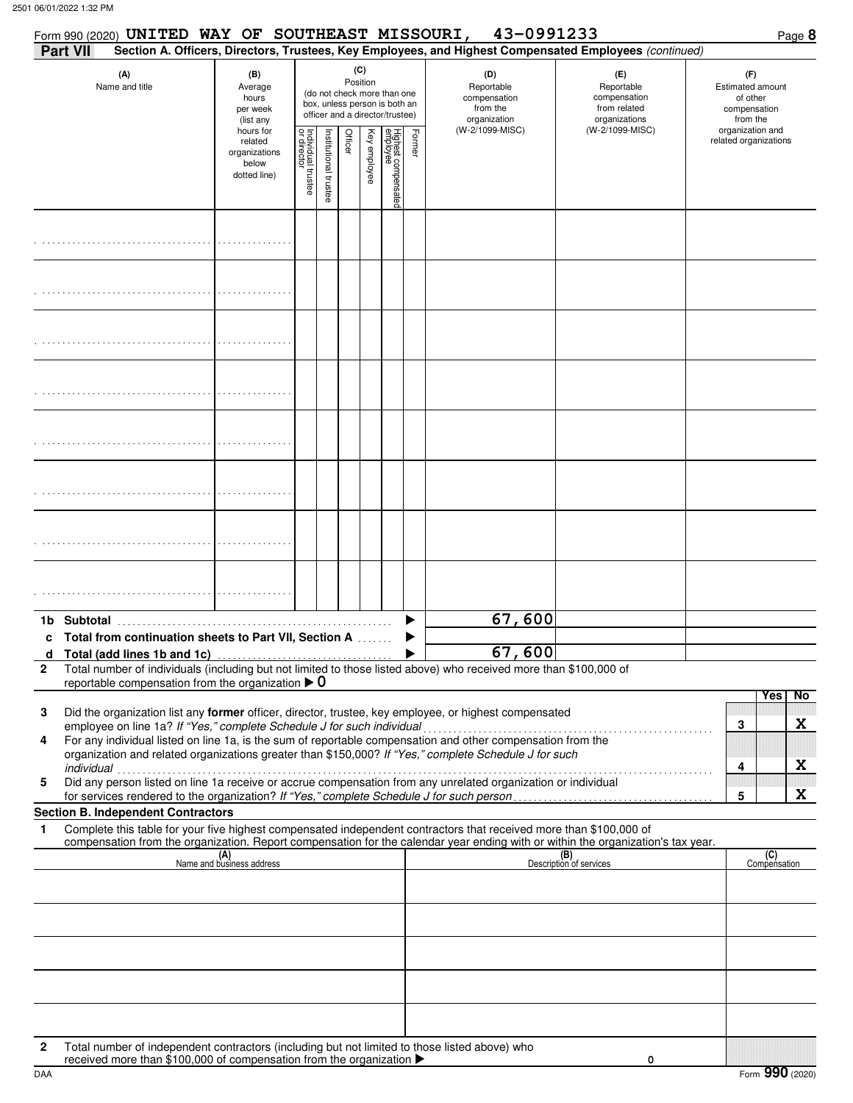|                   |            | Form 990 (2020) UNITED WAY OF SOUTHEAST MISSOURI,                                    |                                                                |                                        |                     |         |                 |                                                                                                 |        | 43-0991233                                                                                                                                                                                                                                                                                                                    |                                                                                                                                                                    | Page 8                                                          |
|-------------------|------------|--------------------------------------------------------------------------------------|----------------------------------------------------------------|----------------------------------------|---------------------|---------|-----------------|-------------------------------------------------------------------------------------------------|--------|-------------------------------------------------------------------------------------------------------------------------------------------------------------------------------------------------------------------------------------------------------------------------------------------------------------------------------|--------------------------------------------------------------------------------------------------------------------------------------------------------------------|-----------------------------------------------------------------|
|                   | Part VII   |                                                                                      |                                                                |                                        |                     |         |                 |                                                                                                 |        |                                                                                                                                                                                                                                                                                                                               | Section A. Officers, Directors, Trustees, Key Employees, and Highest Compensated Employees (continued)                                                             |                                                                 |
|                   |            | (A)<br>Name and title                                                                | (B)<br>Average<br>hours<br>per week<br>(list any               |                                        |                     |         | (C)<br>Position | (do not check more than one<br>box, unless person is both an<br>officer and a director/trustee) |        | (D)<br>Reportable<br>compensation<br>from the<br>organization                                                                                                                                                                                                                                                                 | (E)<br>Reportable<br>compensation<br>from related<br>organizations                                                                                                 | (F)<br>Estimated amount<br>of other<br>compensation<br>from the |
|                   |            |                                                                                      | hours for<br>related<br>organizations<br>below<br>dotted line) | Individual 1<br>or director<br>trustee | nstitutional truste | Officer | Key employee    | Highest compensated<br>employee                                                                 | Former | (W-2/1099-MISC)                                                                                                                                                                                                                                                                                                               | (W-2/1099-MISC)                                                                                                                                                    | organization and<br>related organizations                       |
|                   |            |                                                                                      |                                                                |                                        |                     |         |                 |                                                                                                 |        |                                                                                                                                                                                                                                                                                                                               |                                                                                                                                                                    |                                                                 |
|                   |            |                                                                                      |                                                                |                                        |                     |         |                 |                                                                                                 |        |                                                                                                                                                                                                                                                                                                                               |                                                                                                                                                                    |                                                                 |
|                   |            |                                                                                      |                                                                |                                        |                     |         |                 |                                                                                                 |        |                                                                                                                                                                                                                                                                                                                               |                                                                                                                                                                    |                                                                 |
|                   |            |                                                                                      |                                                                |                                        |                     |         |                 |                                                                                                 |        |                                                                                                                                                                                                                                                                                                                               |                                                                                                                                                                    |                                                                 |
|                   |            |                                                                                      |                                                                |                                        |                     |         |                 |                                                                                                 |        |                                                                                                                                                                                                                                                                                                                               |                                                                                                                                                                    |                                                                 |
|                   |            |                                                                                      |                                                                |                                        |                     |         |                 |                                                                                                 |        |                                                                                                                                                                                                                                                                                                                               |                                                                                                                                                                    |                                                                 |
|                   |            |                                                                                      |                                                                |                                        |                     |         |                 |                                                                                                 |        |                                                                                                                                                                                                                                                                                                                               |                                                                                                                                                                    |                                                                 |
|                   |            |                                                                                      |                                                                |                                        |                     |         |                 |                                                                                                 |        |                                                                                                                                                                                                                                                                                                                               |                                                                                                                                                                    |                                                                 |
|                   |            | Total from continuation sheets to Part VII, Section A<br>Total (add lines 1b and 1c) |                                                                |                                        |                     |         |                 |                                                                                                 |        | 67,600<br>67,600                                                                                                                                                                                                                                                                                                              |                                                                                                                                                                    |                                                                 |
| a<br>$\mathbf{2}$ |            | reportable compensation from the organization $\triangleright$ 0                     |                                                                |                                        |                     |         |                 |                                                                                                 |        | Total number of individuals (including but not limited to those listed above) who received more than \$100,000 of                                                                                                                                                                                                             |                                                                                                                                                                    |                                                                 |
| 3<br>4            | individual | employee on line 1a? If "Yes," complete Schedule J for such individual               |                                                                |                                        |                     |         |                 |                                                                                                 |        | Did the organization list any former officer, director, trustee, key employee, or highest compensated<br>For any individual listed on line 1a, is the sum of reportable compensation and other compensation from the<br>organization and related organizations greater than \$150,000? If "Yes," complete Schedule J for such |                                                                                                                                                                    | No<br>Yes<br>X<br>3<br>X<br>4                                   |
| 5                 |            |                                                                                      |                                                                |                                        |                     |         |                 |                                                                                                 |        | individual<br>Did any person listed on line 1a receive or accrue compensation from any unrelated organization or individual                                                                                                                                                                                                   |                                                                                                                                                                    | X<br>5                                                          |
| 1                 |            | <b>Section B. Independent Contractors</b>                                            |                                                                |                                        |                     |         |                 |                                                                                                 |        | Complete this table for your five highest compensated independent contractors that received more than \$100,000 of                                                                                                                                                                                                            |                                                                                                                                                                    |                                                                 |
|                   |            |                                                                                      | (A)<br>Name and business address                               |                                        |                     |         |                 |                                                                                                 |        |                                                                                                                                                                                                                                                                                                                               | compensation from the organization. Report compensation for the calendar year ending with or within the organization's tax year.<br>(B)<br>Description of services | (C)<br>Compensation                                             |
|                   |            |                                                                                      |                                                                |                                        |                     |         |                 |                                                                                                 |        |                                                                                                                                                                                                                                                                                                                               |                                                                                                                                                                    |                                                                 |
|                   |            |                                                                                      |                                                                |                                        |                     |         |                 |                                                                                                 |        |                                                                                                                                                                                                                                                                                                                               |                                                                                                                                                                    |                                                                 |
|                   |            |                                                                                      |                                                                |                                        |                     |         |                 |                                                                                                 |        |                                                                                                                                                                                                                                                                                                                               |                                                                                                                                                                    |                                                                 |
| 2                 |            | received more than \$100,000 of compensation from the organization ▶                 |                                                                |                                        |                     |         |                 |                                                                                                 |        | Total number of independent contractors (including but not limited to those listed above) who                                                                                                                                                                                                                                 | 0                                                                                                                                                                  |                                                                 |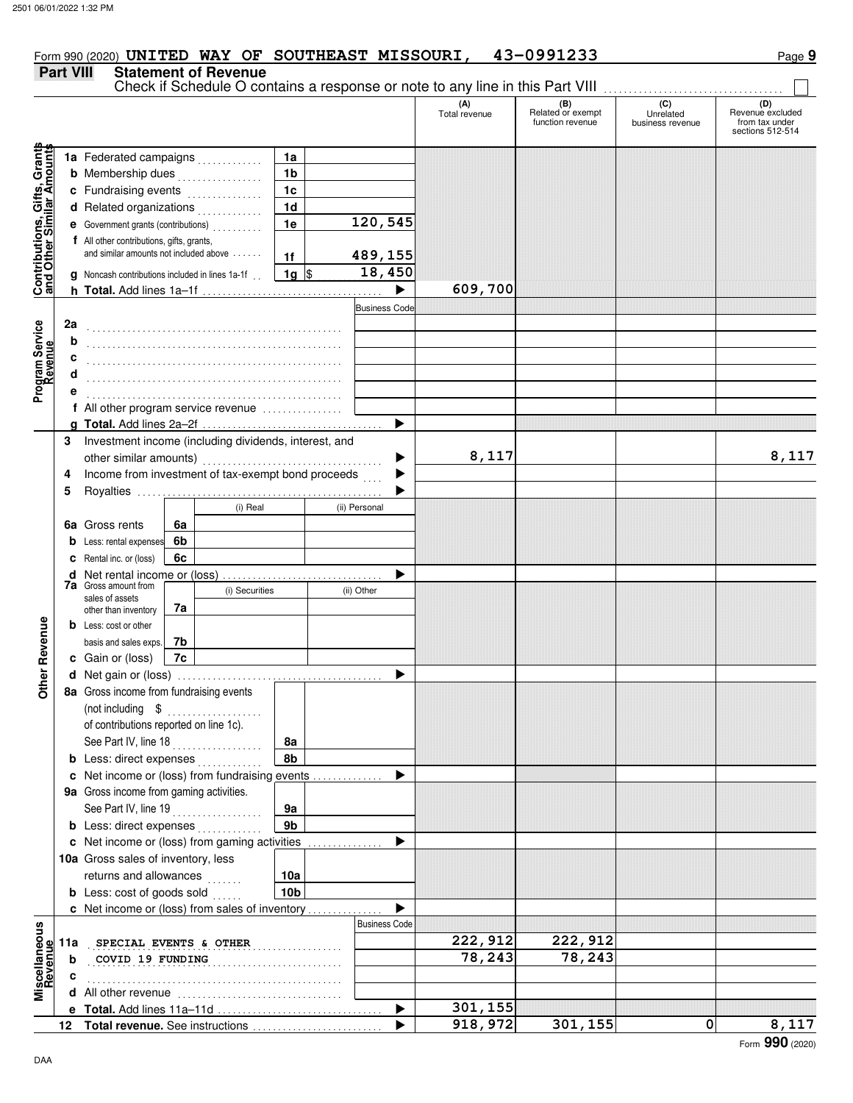|                                     |     |                                                       |    |                                            |                 |   |                      |                      | Check if Schedule O contains a response or note to any line in this Part VIII |                                      |                                                               |
|-------------------------------------|-----|-------------------------------------------------------|----|--------------------------------------------|-----------------|---|----------------------|----------------------|-------------------------------------------------------------------------------|--------------------------------------|---------------------------------------------------------------|
|                                     |     |                                                       |    |                                            |                 |   |                      | (A)<br>Total revenue | (B)<br>Related or exempt<br>function revenue                                  | (C)<br>Unrelated<br>business revenue | (D)<br>Revenue excluded<br>from tax under<br>sections 512-514 |
|                                     |     | 1a Federated campaigns                                |    | <u>.</u><br>1986 - Paul Barbara, president | 1a              |   |                      |                      |                                                                               |                                      |                                                               |
|                                     |     | <b>b</b> Membership dues                              |    | .                                          | 1 <sub>b</sub>  |   |                      |                      |                                                                               |                                      |                                                               |
|                                     |     | c Fundraising events                                  |    | .                                          | 1 <sub>c</sub>  |   |                      |                      |                                                                               |                                      |                                                               |
|                                     |     | d Related organizations                               |    | .                                          | 1 <sub>d</sub>  |   |                      |                      |                                                                               |                                      |                                                               |
|                                     |     | e Government grants (contributions)<br>               |    |                                            | 1e              |   | 120,545              |                      |                                                                               |                                      |                                                               |
|                                     |     | f All other contributions, gifts, grants,             |    |                                            |                 |   |                      |                      |                                                                               |                                      |                                                               |
| <b>Contributions, Gifts, Grants</b> |     | and similar amounts not included above                |    |                                            | 1f              |   | 489,155              |                      |                                                                               |                                      |                                                               |
|                                     | a   | Noncash contributions included in lines 1a-1f.        |    |                                            | $1g$ \$         |   | 18,450               |                      |                                                                               |                                      |                                                               |
|                                     |     |                                                       |    |                                            |                 |   | ь                    | 609,700              |                                                                               |                                      |                                                               |
|                                     |     |                                                       |    |                                            |                 |   | <b>Business Code</b> |                      |                                                                               |                                      |                                                               |
|                                     | 2a  |                                                       |    |                                            |                 |   |                      |                      |                                                                               |                                      |                                                               |
| Program Service<br>Revenue          | b   |                                                       |    |                                            |                 |   |                      |                      |                                                                               |                                      |                                                               |
|                                     | c   |                                                       |    |                                            |                 |   |                      |                      |                                                                               |                                      |                                                               |
|                                     | d   |                                                       |    |                                            |                 |   |                      |                      |                                                                               |                                      |                                                               |
|                                     |     |                                                       |    |                                            |                 |   |                      |                      |                                                                               |                                      |                                                               |
|                                     |     | f All other program service revenue                   |    |                                            |                 |   |                      |                      |                                                                               |                                      |                                                               |
|                                     |     |                                                       |    |                                            |                 |   | ▶                    |                      |                                                                               |                                      |                                                               |
|                                     | 3   | Investment income (including dividends, interest, and |    |                                            |                 |   |                      |                      |                                                                               |                                      |                                                               |
|                                     |     | other similar amounts)                                |    |                                            |                 |   |                      | 8,117                |                                                                               |                                      | 8,117                                                         |
|                                     | 4   | Income from investment of tax-exempt bond proceeds    |    |                                            |                 |   |                      |                      |                                                                               |                                      |                                                               |
|                                     | 5   |                                                       |    |                                            |                 |   |                      |                      |                                                                               |                                      |                                                               |
|                                     |     |                                                       |    | (i) Real                                   |                 |   | (ii) Personal        |                      |                                                                               |                                      |                                                               |
|                                     |     | <b>6a</b> Gross rents                                 | 6a |                                            |                 |   |                      |                      |                                                                               |                                      |                                                               |
|                                     |     | Less: rental expenses                                 | 6b |                                            |                 |   |                      |                      |                                                                               |                                      |                                                               |
|                                     |     | <b>C</b> Rental inc. or (loss)                        | 6c |                                            |                 |   |                      |                      |                                                                               |                                      |                                                               |
|                                     |     | <b>d</b> Net rental income or (loss)                  |    |                                            |                 |   |                      |                      |                                                                               |                                      |                                                               |
|                                     |     | <b>7a</b> Gross amount from                           |    | (i) Securities                             |                 |   | (ii) Other           |                      |                                                                               |                                      |                                                               |
|                                     |     | sales of assets<br>other than inventory               | 7a |                                            |                 |   |                      |                      |                                                                               |                                      |                                                               |
|                                     |     | <b>b</b> Less: cost or other                          |    |                                            |                 |   |                      |                      |                                                                               |                                      |                                                               |
| <b>Other Revenue</b>                |     | basis and sales exps.                                 | 7b |                                            |                 |   |                      |                      |                                                                               |                                      |                                                               |
|                                     |     | c Gain or (loss)                                      | 7c |                                            |                 |   |                      |                      |                                                                               |                                      |                                                               |
|                                     |     |                                                       |    |                                            |                 |   |                      |                      |                                                                               |                                      |                                                               |
|                                     |     | 8a Gross income from fundraising events               |    |                                            |                 |   |                      |                      |                                                                               |                                      |                                                               |
|                                     |     | (not including \$                                     |    | .                                          |                 |   |                      |                      |                                                                               |                                      |                                                               |
|                                     |     | of contributions reported on line 1c).                |    |                                            |                 |   |                      |                      |                                                                               |                                      |                                                               |
|                                     |     | See Part IV, line 18                                  |    | .                                          | 8a              |   |                      |                      |                                                                               |                                      |                                                               |
|                                     |     | <b>b</b> Less: direct expenses                        |    |                                            | 8b              |   |                      |                      |                                                                               |                                      |                                                               |
|                                     |     | c Net income or (loss) from fundraising events        |    |                                            |                 |   |                      |                      |                                                                               |                                      |                                                               |
|                                     |     | 9a Gross income from gaming activities.               |    |                                            |                 |   |                      |                      |                                                                               |                                      |                                                               |
|                                     |     | See Part IV, line 19                                  |    | .                                          | 9а              |   |                      |                      |                                                                               |                                      |                                                               |
|                                     |     | <b>b</b> Less: direct expenses                        |    |                                            | 9 <sub>b</sub>  |   |                      |                      |                                                                               |                                      |                                                               |
|                                     |     | c Net income or (loss) from gaming activities         |    |                                            |                 |   |                      |                      |                                                                               |                                      |                                                               |
|                                     |     | 10a Gross sales of inventory, less                    |    |                                            |                 |   |                      |                      |                                                                               |                                      |                                                               |
|                                     |     | returns and allowances                                |    | a sa sa                                    | 10a             |   |                      |                      |                                                                               |                                      |                                                               |
|                                     |     | <b>b</b> Less: cost of goods sold                     |    |                                            | 10 <sub>b</sub> |   |                      |                      |                                                                               |                                      |                                                               |
|                                     |     | c Net income or (loss) from sales of inventory        |    |                                            |                 |   |                      |                      |                                                                               |                                      |                                                               |
|                                     |     |                                                       |    |                                            |                 |   | <b>Business Code</b> |                      |                                                                               |                                      |                                                               |
|                                     | 11a | SPECIAL EVENTS & OTHER                                |    |                                            |                 |   |                      | 222, 912             | 222, 912                                                                      |                                      |                                                               |
|                                     | b   | COVID 19 FUNDING                                      |    |                                            |                 | . |                      | 78,243               | 78,243                                                                        |                                      |                                                               |
|                                     |     |                                                       |    |                                            |                 |   |                      |                      |                                                                               |                                      |                                                               |
| Miscellaneous<br>Revenue            |     |                                                       |    |                                            |                 |   |                      |                      |                                                                               |                                      |                                                               |
|                                     |     |                                                       |    |                                            |                 |   |                      | 301,155              |                                                                               |                                      |                                                               |
|                                     |     |                                                       |    |                                            |                 |   |                      | 918, 972             | 301, 155                                                                      | $\mathbf 0$                          | 8,117                                                         |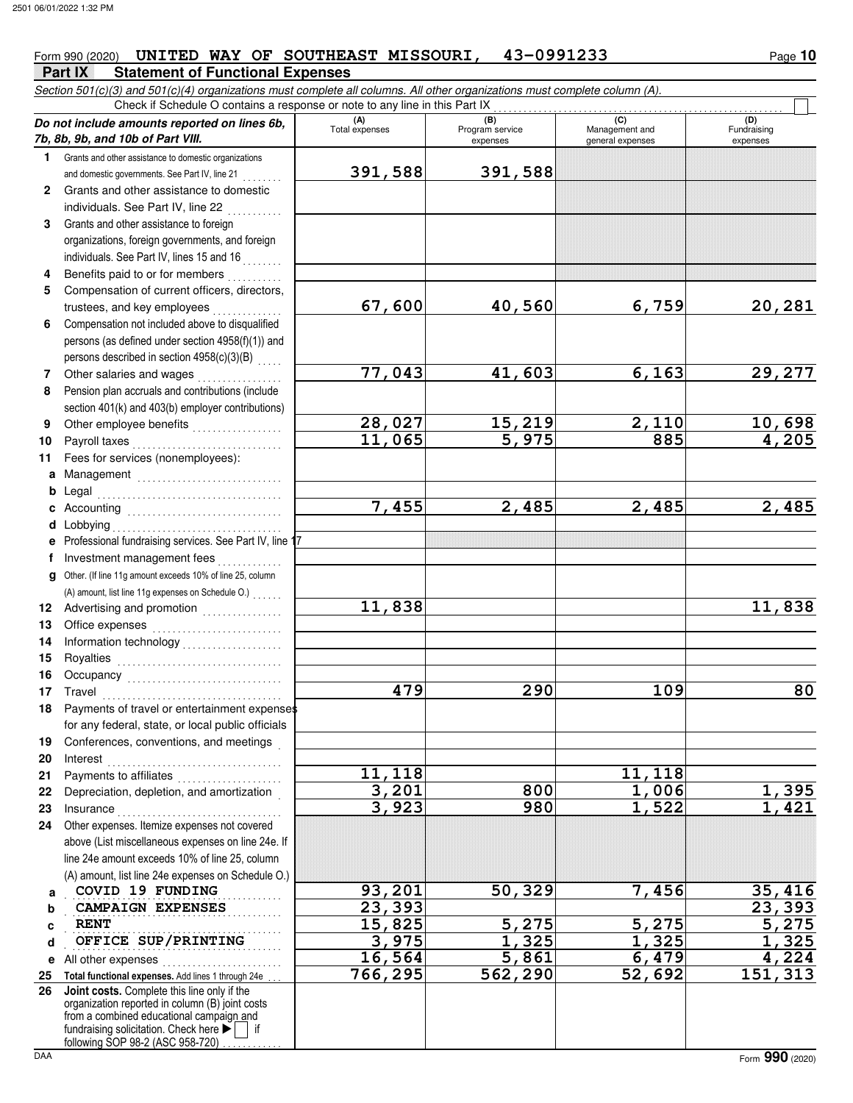## Form 990 (2020) **UNITED WAY OF SOUTHEAST MISSOURI, 43-0991233** Page 10

 $\Box$ 

**Part IX Statement of Functional Expenses** Section 501(c)(3) and 501(c)(4) organizations must complete all columns. All other organizations must complete column (A). Check if Schedule O contains a response or note to any line in this Part IX

|          | Crieck in Scriedule O contains a response or note to any line in this r art is<br>Do not include amounts reported on lines 6b,<br>7b, 8b, 9b, and 10b of Part VIII.                                                     | (A)<br>Total expenses | (B)<br>Program service<br>expenses | (C)<br>Management and<br>general expenses | (D)<br>Fundraising<br>expenses |
|----------|-------------------------------------------------------------------------------------------------------------------------------------------------------------------------------------------------------------------------|-----------------------|------------------------------------|-------------------------------------------|--------------------------------|
|          | 1 Grants and other assistance to domestic organizations                                                                                                                                                                 |                       |                                    |                                           |                                |
|          | and domestic governments. See Part IV, line 21                                                                                                                                                                          | 391,588               | 391,588                            |                                           |                                |
|          | 2 Grants and other assistance to domestic                                                                                                                                                                               |                       |                                    |                                           |                                |
|          | individuals. See Part IV, line 22                                                                                                                                                                                       |                       |                                    |                                           |                                |
| 3        | Grants and other assistance to foreign                                                                                                                                                                                  |                       |                                    |                                           |                                |
|          | organizations, foreign governments, and foreign                                                                                                                                                                         |                       |                                    |                                           |                                |
|          | individuals. See Part IV, lines 15 and 16                                                                                                                                                                               |                       |                                    |                                           |                                |
| 4        | Benefits paid to or for members                                                                                                                                                                                         |                       |                                    |                                           |                                |
| 5        | Compensation of current officers, directors,                                                                                                                                                                            |                       |                                    |                                           |                                |
|          | trustees, and key employees                                                                                                                                                                                             | 67,600                | 40,560                             | 6,759                                     | 20,281                         |
| 6        | Compensation not included above to disqualified                                                                                                                                                                         |                       |                                    |                                           |                                |
|          | persons (as defined under section 4958(f)(1)) and                                                                                                                                                                       |                       |                                    |                                           |                                |
|          | persons described in section 4958(c)(3)(B)                                                                                                                                                                              |                       |                                    |                                           |                                |
| 7        | Other salaries and wages                                                                                                                                                                                                | 77,043                | 41,603                             | 6,163                                     | 29,277                         |
| 8        | Pension plan accruals and contributions (include                                                                                                                                                                        |                       |                                    |                                           |                                |
|          | section 401(k) and 403(b) employer contributions)                                                                                                                                                                       |                       |                                    |                                           |                                |
| 9        |                                                                                                                                                                                                                         | 28,027                | 15,219                             | 2,110                                     | 10,698                         |
| 10       | Payroll taxes                                                                                                                                                                                                           | 11,065                | 5,975                              | 885                                       | 4,205                          |
| 11       | Fees for services (nonemployees):                                                                                                                                                                                       |                       |                                    |                                           |                                |
| a        | Management                                                                                                                                                                                                              |                       |                                    |                                           |                                |
|          | <b>b</b> Legal                                                                                                                                                                                                          |                       |                                    |                                           |                                |
| c        | Accounting                                                                                                                                                                                                              | 7,455                 | 2,485                              | 2,485                                     | 2,485                          |
|          | <b>d</b> Lobbying                                                                                                                                                                                                       |                       |                                    |                                           |                                |
| е        | Professional fundraising services. See Part IV, line 17                                                                                                                                                                 |                       |                                    |                                           |                                |
| f        | Investment management fees                                                                                                                                                                                              |                       |                                    |                                           |                                |
| a        | Other. (If line 11g amount exceeds 10% of line 25, column                                                                                                                                                               |                       |                                    |                                           |                                |
|          | (A) amount, list line 11g expenses on Schedule O.)                                                                                                                                                                      |                       |                                    |                                           |                                |
|          | 12 Advertising and promotion<br>                                                                                                                                                                                        | 11,838                |                                    |                                           | 11,838                         |
| 13       | Office expenses                                                                                                                                                                                                         |                       |                                    |                                           |                                |
| 14       |                                                                                                                                                                                                                         |                       |                                    |                                           |                                |
| 15       | Royalties                                                                                                                                                                                                               |                       |                                    |                                           |                                |
| 16       |                                                                                                                                                                                                                         | 479                   | 290                                | 109                                       | 80                             |
| 17       | Travel                                                                                                                                                                                                                  |                       |                                    |                                           |                                |
| 18       | Payments of travel or entertainment expenses                                                                                                                                                                            |                       |                                    |                                           |                                |
|          | for any federal, state, or local public officials                                                                                                                                                                       |                       |                                    |                                           |                                |
| 19       | Conferences, conventions, and meetings                                                                                                                                                                                  |                       |                                    |                                           |                                |
| 20<br>21 | Interest<br>Payments to affiliates                                                                                                                                                                                      | 11,118                |                                    | 11,118                                    |                                |
| 22       | Depreciation, depletion, and amortization                                                                                                                                                                               | 3,201                 | 800                                |                                           | 1,395                          |
| 23       |                                                                                                                                                                                                                         | 3,923                 | 980                                | $\frac{1,006}{1,522}$                     | $\overline{1}$ , 421           |
| 24       | Other expenses. Itemize expenses not covered                                                                                                                                                                            |                       |                                    |                                           |                                |
|          | above (List miscellaneous expenses on line 24e. If                                                                                                                                                                      |                       |                                    |                                           |                                |
|          | line 24e amount exceeds 10% of line 25, column                                                                                                                                                                          |                       |                                    |                                           |                                |
|          | (A) amount, list line 24e expenses on Schedule O.)                                                                                                                                                                      |                       |                                    |                                           |                                |
| a        | <b>COVID 19 FUNDING</b>                                                                                                                                                                                                 | 93,201                | 50,329                             | 7,456                                     | 35,416                         |
| b        | <b>CAMPAIGN EXPENSES</b>                                                                                                                                                                                                | 23,393                |                                    |                                           | 23,393                         |
| c        | <b>RENT</b>                                                                                                                                                                                                             | 15,825                | 5,275                              | 5,275                                     | 5,275                          |
| d        | OFFICE SUP/PRINTING                                                                                                                                                                                                     | 3,975                 | 1,325                              | 1,325                                     |                                |
| е        | All other expenses                                                                                                                                                                                                      | 16,564                | $\overline{5,861}$                 | 6,479                                     | $\frac{1,325}{4,224}$          |
| 25       | Total functional expenses. Add lines 1 through 24e                                                                                                                                                                      | $\overline{766, 295}$ | 562, 290                           | 52,692                                    | 151, 313                       |
| 26       | Joint costs. Complete this line only if the<br>organization reported in column (B) joint costs<br>from a combined educational campaign and<br>fundraising solicitation. Check here<br>following SOP 98-2 (ASC 958-720). |                       |                                    |                                           |                                |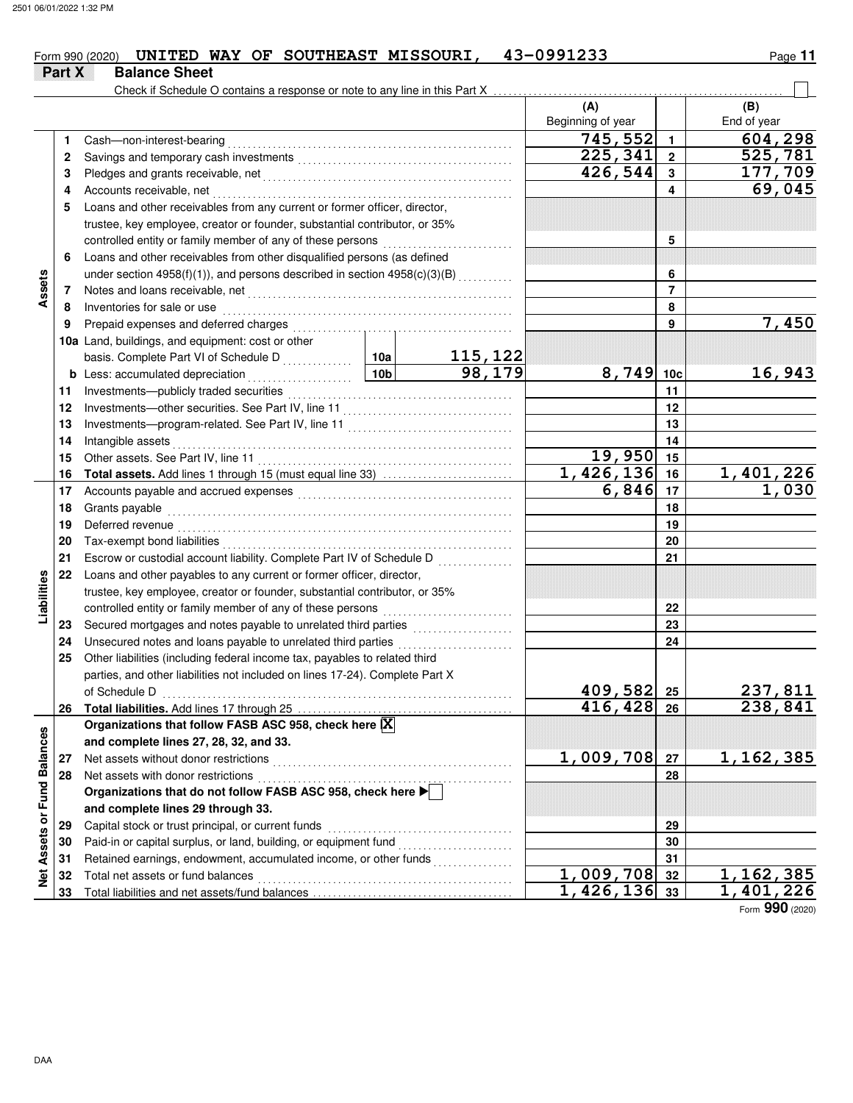## Form 990 (2020) **UNITED WAY OF SOUTHEAST MISSOURI, 43-0991233** Page 11

|                             | Part X   | <b>Balance Sheet</b>                                                                                   |                 |                          |    |                   |                |                  |         |
|-----------------------------|----------|--------------------------------------------------------------------------------------------------------|-----------------|--------------------------|----|-------------------|----------------|------------------|---------|
|                             |          | Check if Schedule O contains a response or note to any line in this Part X                             |                 |                          |    |                   |                |                  |         |
|                             |          |                                                                                                        |                 |                          |    | (A)               |                | (B)              |         |
|                             |          |                                                                                                        |                 |                          |    | Beginning of year |                | End of year      |         |
|                             | 1        | Cash-non-interest-bearing                                                                              |                 |                          |    | 745,552           | $\mathbf{1}$   |                  | 604,298 |
|                             | 2        |                                                                                                        |                 |                          |    | 225,341           | $\overline{2}$ |                  | 525,781 |
|                             | 3        | Pledges and grants receivable, net manufactured and grants receivable, net                             |                 |                          |    | 426,544           | $\mathbf{3}$   |                  | 177,709 |
|                             | 4        | Accounts receivable, net                                                                               |                 |                          |    |                   | 4              |                  | 69,045  |
|                             | 5        | Loans and other receivables from any current or former officer, director,                              |                 |                          |    |                   |                |                  |         |
|                             |          | trustee, key employee, creator or founder, substantial contributor, or 35%                             |                 |                          |    |                   |                |                  |         |
|                             |          | controlled entity or family member of any of these persons                                             |                 |                          |    |                   | 5              |                  |         |
|                             | 6        | Loans and other receivables from other disqualified persons (as defined                                |                 |                          |    |                   |                |                  |         |
|                             |          | under section 4958(f)(1)), and persons described in section $4958(c)(3)(B)$ <sub>[111111111111</sub> ] |                 |                          |    |                   | 6              |                  |         |
| Assets                      | 7        |                                                                                                        |                 |                          |    |                   | $\overline{7}$ |                  |         |
|                             | 8        | Inventories for sale or use                                                                            |                 | 8                        |    |                   |                |                  |         |
|                             | 9        |                                                                                                        |                 |                          |    |                   | 9              |                  | 7,450   |
|                             |          | 10a Land, buildings, and equipment: cost or other                                                      |                 |                          |    |                   |                |                  |         |
|                             |          |                                                                                                        |                 | $\frac{115,122}{98,179}$ |    |                   |                |                  |         |
|                             |          | <b>b</b> Less: accumulated depreciation<br>.                                                           | 10 <sub>b</sub> |                          |    | $8,749$ 10c       |                |                  | 16,943  |
|                             | 11       |                                                                                                        |                 |                          |    |                   | 11             |                  |         |
|                             | 12       |                                                                                                        |                 |                          |    |                   | 12<br>13       |                  |         |
|                             | 13       |                                                                                                        |                 |                          |    |                   | 14             |                  |         |
|                             | 14       | Intangible assets                                                                                      |                 |                          |    | 19,950            | 15             |                  |         |
|                             | 15<br>16 |                                                                                                        |                 |                          |    | 1,426,136         | 16             | 1,401,226        |         |
|                             | 17       |                                                                                                        |                 |                          |    | 6,846             | 17             |                  | 1,030   |
|                             | 18       | Grants payable                                                                                         |                 |                          |    |                   | 18             |                  |         |
|                             | 19       | Deferred revenue                                                                                       |                 |                          | 19 |                   |                |                  |         |
|                             | 20       |                                                                                                        |                 |                          | 20 |                   |                |                  |         |
|                             | 21       | Escrow or custodial account liability. Complete Part IV of Schedule D                                  |                 |                          |    |                   | 21             |                  |         |
|                             | 22       | Loans and other payables to any current or former officer, director,                                   |                 |                          |    |                   |                |                  |         |
|                             |          | trustee, key employee, creator or founder, substantial contributor, or 35%                             |                 |                          |    |                   |                |                  |         |
| Liabilities                 |          | controlled entity or family member of any of these persons                                             |                 |                          |    |                   | 22             |                  |         |
|                             | 23       |                                                                                                        |                 |                          |    |                   | 23             |                  |         |
|                             | 24       | Unsecured notes and loans payable to unrelated third parties                                           |                 | .                        |    |                   | 24             |                  |         |
|                             | 25       | Other liabilities (including federal income tax, payables to related third                             |                 |                          |    |                   |                |                  |         |
|                             |          | parties, and other liabilities not included on lines 17-24). Complete Part X                           |                 |                          |    |                   |                |                  |         |
|                             |          | of Schedule D                                                                                          |                 |                          |    | 409,582           | 25             |                  | 731,811 |
|                             | 26       |                                                                                                        |                 |                          |    | 416,428           | 26             |                  | 238,841 |
|                             |          | Organizations that follow FASB ASC 958, check here X                                                   |                 |                          |    |                   |                |                  |         |
|                             |          | and complete lines 27, 28, 32, and 33.                                                                 |                 |                          |    |                   |                |                  |         |
|                             | 27       | Net assets without donor restrictions                                                                  |                 |                          |    | 1,009,708         | 27             | 1, 162, 385      |         |
|                             | 28       | Net assets with donor restrictions                                                                     |                 |                          |    |                   | 28             |                  |         |
|                             |          | The assets with donor restrictions<br>Organizations that do not follow FASB ASC 958, check here ▶      |                 |                          |    |                   |                |                  |         |
| Net Assets or Fund Balances |          | and complete lines 29 through 33.                                                                      |                 |                          |    |                   |                |                  |         |
|                             | 29       | Capital stock or trust principal, or current funds                                                     |                 |                          |    |                   | 29             |                  |         |
|                             | 30       | Paid-in or capital surplus, or land, building, or equipment fund                                       |                 |                          |    |                   | 30             |                  |         |
|                             | 31       | Retained earnings, endowment, accumulated income, or other funds                                       |                 |                          |    |                   | 31             |                  |         |
|                             | 32       | Total net assets or fund balances                                                                      |                 |                          |    | 1,009,708         | 32             | <u>1,162,385</u> |         |
|                             | 33       |                                                                                                        |                 |                          |    | 1,426,136         | 33             | 1,401,226        |         |

Form **990** (2020)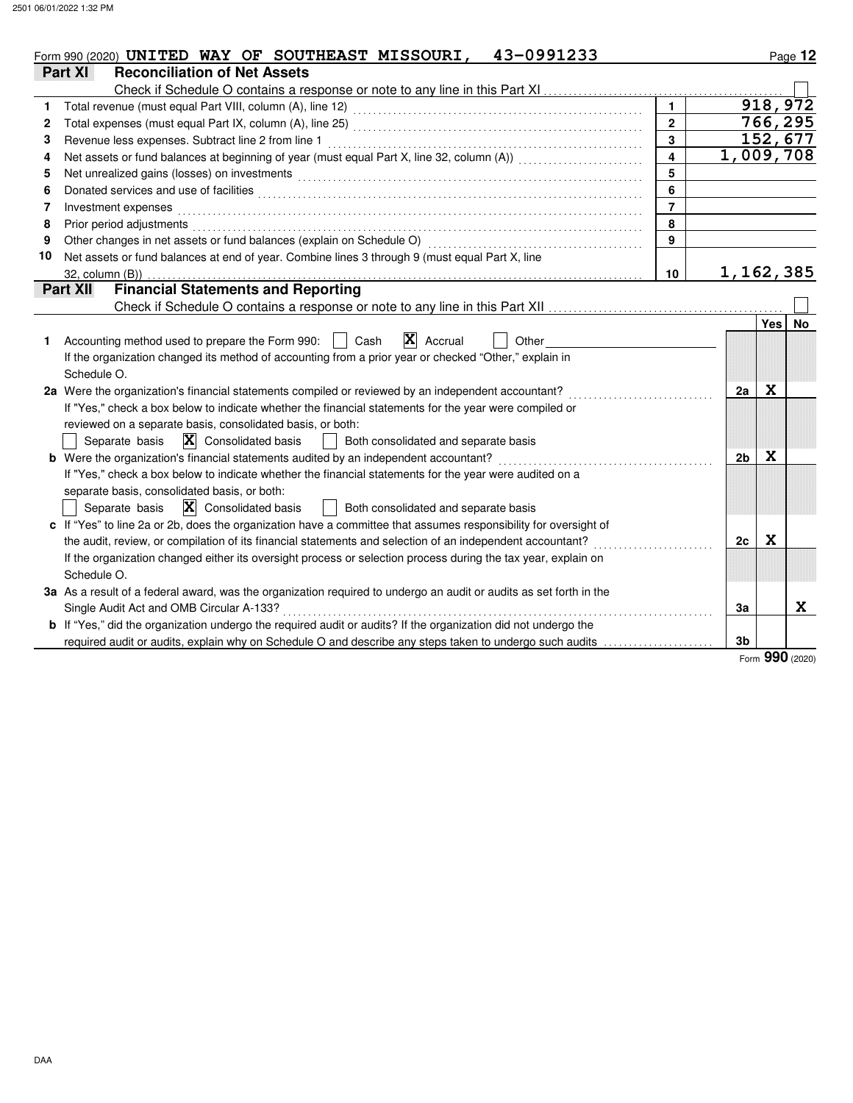| Part XI<br><b>Reconciliation of Net Assets</b><br>1                                                                   | $\overline{2}$<br>$\overline{3}$ | 918, 972<br>766,295 |
|-----------------------------------------------------------------------------------------------------------------------|----------------------------------|---------------------|
|                                                                                                                       |                                  |                     |
|                                                                                                                       |                                  |                     |
|                                                                                                                       |                                  |                     |
| 2                                                                                                                     |                                  |                     |
| Revenue less expenses. Subtract line 2 from line 1<br>3                                                               |                                  | 152, 677            |
| $\overline{4}$<br>Net assets or fund balances at beginning of year (must equal Part X, line 32, column (A))<br>4      |                                  | 1,009,708           |
| 5<br>5                                                                                                                |                                  |                     |
| 6<br>6                                                                                                                |                                  |                     |
| $\overline{7}$<br>Investment expenses<br>7                                                                            |                                  |                     |
| 8<br>Prior period adjustments<br>8                                                                                    |                                  |                     |
| Other changes in net assets or fund balances (explain on Schedule O)<br>9<br>9                                        |                                  |                     |
| Net assets or fund balances at end of year. Combine lines 3 through 9 (must equal Part X, line<br>10                  |                                  |                     |
| 10<br>32, column (B))                                                                                                 |                                  | 1, 162, 385         |
| <b>Financial Statements and Reporting</b><br>Part XII                                                                 |                                  |                     |
|                                                                                                                       |                                  |                     |
|                                                                                                                       |                                  | Yes<br>No           |
| $\mathbf{X}$ Accrual<br>Accounting method used to prepare the Form 990:  <br>Cash<br>Other<br>1                       |                                  |                     |
| If the organization changed its method of accounting from a prior year or checked "Other," explain in                 |                                  |                     |
| Schedule O.                                                                                                           |                                  |                     |
| 2a Were the organization's financial statements compiled or reviewed by an independent accountant?                    | 2a                               | X                   |
| If "Yes," check a box below to indicate whether the financial statements for the year were compiled or                |                                  |                     |
| reviewed on a separate basis, consolidated basis, or both:                                                            |                                  |                     |
| $ \mathbf{X} $ Consolidated basis<br>Separate basis<br>Both consolidated and separate basis                           |                                  |                     |
| b Were the organization's financial statements audited by an independent accountant?                                  | 2 <sub>b</sub>                   | X                   |
| If "Yes," check a box below to indicate whether the financial statements for the year were audited on a               |                                  |                     |
| separate basis, consolidated basis, or both:                                                                          |                                  |                     |
| $\mathbf{X}$ Consolidated basis<br>  Both consolidated and separate basis<br>Separate basis                           |                                  |                     |
| c If "Yes" to line 2a or 2b, does the organization have a committee that assumes responsibility for oversight of      |                                  |                     |
| the audit, review, or compilation of its financial statements and selection of an independent accountant?             | 2c                               | X                   |
| If the organization changed either its oversight process or selection process during the tax year, explain on         |                                  |                     |
| Schedule O.                                                                                                           |                                  |                     |
| 3a As a result of a federal award, was the organization required to undergo an audit or audits as set forth in the    |                                  |                     |
| Single Audit Act and OMB Circular A-133?                                                                              | 3a                               | X                   |
| <b>b</b> If "Yes," did the organization undergo the required audit or audits? If the organization did not undergo the |                                  |                     |
| required audit or audits, explain why on Schedule O and describe any steps taken to undergo such audits               | 3 <sub>b</sub>                   |                     |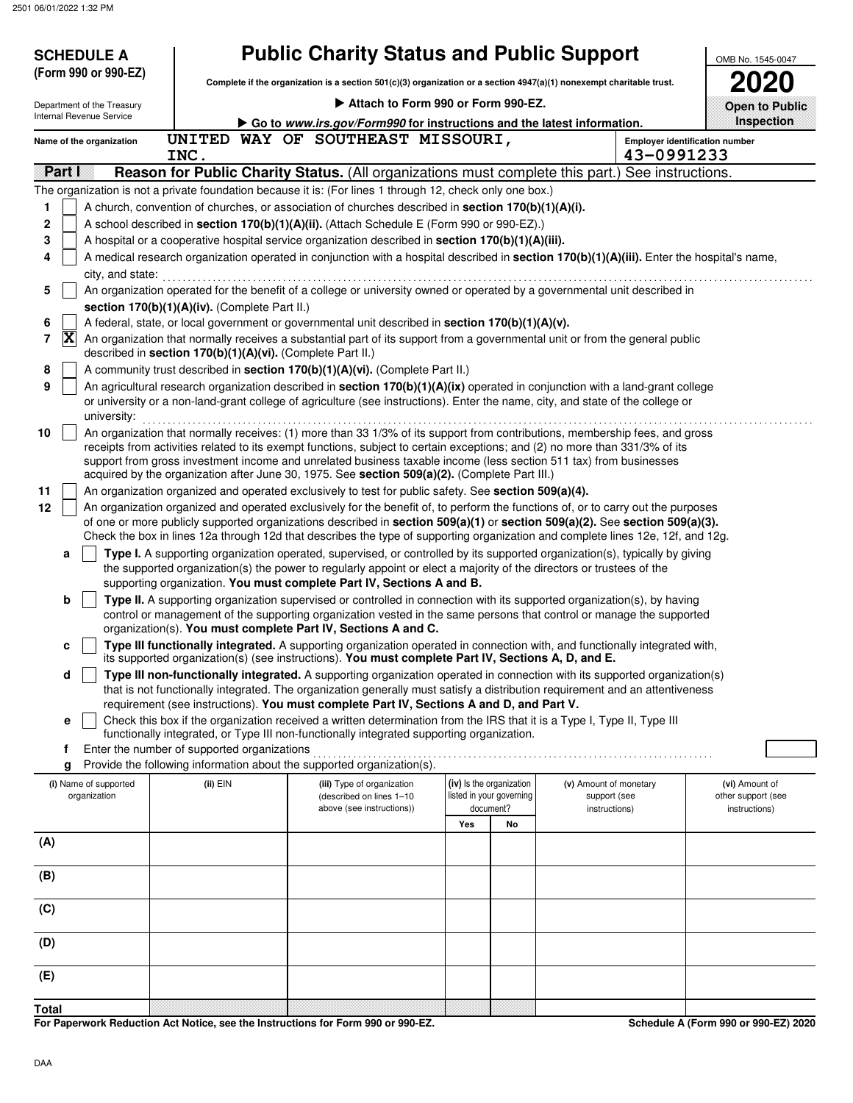| <b>SCHEDULE A</b><br>(Form 990 or 990-EZ)  |                                                            | <b>Public Charity Status and Public Support</b><br>Complete if the organization is a section 501(c)(3) organization or a section 4947(a)(1) nonexempt charitable trust.                       |                                                      |                                                                                                                                                                                                                                                                                                                                                                                                    | OMB No. 1545-0047<br>ZUZU             |
|--------------------------------------------|------------------------------------------------------------|-----------------------------------------------------------------------------------------------------------------------------------------------------------------------------------------------|------------------------------------------------------|----------------------------------------------------------------------------------------------------------------------------------------------------------------------------------------------------------------------------------------------------------------------------------------------------------------------------------------------------------------------------------------------------|---------------------------------------|
| Department of the Treasury                 |                                                            | Attach to Form 990 or Form 990-EZ.                                                                                                                                                            |                                                      |                                                                                                                                                                                                                                                                                                                                                                                                    |                                       |
| Internal Revenue Service                   |                                                            |                                                                                                                                                                                               |                                                      |                                                                                                                                                                                                                                                                                                                                                                                                    | <b>Open to Public</b><br>Inspection   |
| Name of the organization                   |                                                            | Go to www.irs.gov/Form990 for instructions and the latest information.<br>UNITED WAY OF SOUTHEAST MISSOURI,                                                                                   |                                                      |                                                                                                                                                                                                                                                                                                                                                                                                    | <b>Employer identification number</b> |
|                                            | INC.                                                       |                                                                                                                                                                                               |                                                      | 43-0991233                                                                                                                                                                                                                                                                                                                                                                                         |                                       |
| Part I                                     |                                                            | Reason for Public Charity Status. (All organizations must complete this part.)                                                                                                                |                                                      | See instructions.                                                                                                                                                                                                                                                                                                                                                                                  |                                       |
|                                            |                                                            | The organization is not a private foundation because it is: (For lines 1 through 12, check only one box.)                                                                                     |                                                      |                                                                                                                                                                                                                                                                                                                                                                                                    |                                       |
| 1                                          |                                                            | A church, convention of churches, or association of churches described in section 170(b)(1)(A)(i).                                                                                            |                                                      |                                                                                                                                                                                                                                                                                                                                                                                                    |                                       |
| 2                                          |                                                            | A school described in section 170(b)(1)(A)(ii). (Attach Schedule E (Form 990 or 990-EZ).)                                                                                                     |                                                      |                                                                                                                                                                                                                                                                                                                                                                                                    |                                       |
| 3                                          |                                                            | A hospital or a cooperative hospital service organization described in section 170(b)(1)(A)(iii).                                                                                             |                                                      |                                                                                                                                                                                                                                                                                                                                                                                                    |                                       |
| 4                                          |                                                            |                                                                                                                                                                                               |                                                      | A medical research organization operated in conjunction with a hospital described in section 170(b)(1)(A)(iii). Enter the hospital's name,                                                                                                                                                                                                                                                         |                                       |
| city, and state:                           |                                                            |                                                                                                                                                                                               |                                                      |                                                                                                                                                                                                                                                                                                                                                                                                    |                                       |
| 5                                          |                                                            |                                                                                                                                                                                               |                                                      | An organization operated for the benefit of a college or university owned or operated by a governmental unit described in                                                                                                                                                                                                                                                                          |                                       |
|                                            | section 170(b)(1)(A)(iv). (Complete Part II.)              |                                                                                                                                                                                               |                                                      |                                                                                                                                                                                                                                                                                                                                                                                                    |                                       |
| 6                                          |                                                            | A federal, state, or local government or governmental unit described in section 170(b)(1)(A)(v).                                                                                              |                                                      |                                                                                                                                                                                                                                                                                                                                                                                                    |                                       |
| $\mathbf{x}$<br>7                          | described in section 170(b)(1)(A)(vi). (Complete Part II.) |                                                                                                                                                                                               |                                                      | An organization that normally receives a substantial part of its support from a governmental unit or from the general public                                                                                                                                                                                                                                                                       |                                       |
| 8                                          |                                                            | A community trust described in section 170(b)(1)(A)(vi). (Complete Part II.)                                                                                                                  |                                                      |                                                                                                                                                                                                                                                                                                                                                                                                    |                                       |
| 9<br>university:                           |                                                            |                                                                                                                                                                                               |                                                      | An agricultural research organization described in section 170(b)(1)(A)(ix) operated in conjunction with a land-grant college<br>or university or a non-land-grant college of agriculture (see instructions). Enter the name, city, and state of the college or                                                                                                                                    |                                       |
| 10                                         |                                                            |                                                                                                                                                                                               |                                                      | An organization that normally receives: (1) more than 33 1/3% of its support from contributions, membership fees, and gross<br>receipts from activities related to its exempt functions, subject to certain exceptions; and (2) no more than 331/3% of its<br>support from gross investment income and unrelated business taxable income (less section 511 tax) from businesses                    |                                       |
|                                            |                                                            | acquired by the organization after June 30, 1975. See section 509(a)(2). (Complete Part III.)                                                                                                 |                                                      |                                                                                                                                                                                                                                                                                                                                                                                                    |                                       |
| 11                                         |                                                            | An organization organized and operated exclusively to test for public safety. See section 509(a)(4).                                                                                          |                                                      |                                                                                                                                                                                                                                                                                                                                                                                                    |                                       |
| 12                                         |                                                            |                                                                                                                                                                                               |                                                      | An organization organized and operated exclusively for the benefit of, to perform the functions of, or to carry out the purposes<br>of one or more publicly supported organizations described in section 509(a)(1) or section 509(a)(2). See section 509(a)(3).<br>Check the box in lines 12a through 12d that describes the type of supporting organization and complete lines 12e, 12f, and 12g. |                                       |
| a                                          |                                                            | the supported organization(s) the power to regularly appoint or elect a majority of the directors or trustees of the<br>supporting organization. You must complete Part IV, Sections A and B. |                                                      | Type I. A supporting organization operated, supervised, or controlled by its supported organization(s), typically by giving                                                                                                                                                                                                                                                                        |                                       |
| b                                          |                                                            |                                                                                                                                                                                               |                                                      | Type II. A supporting organization supervised or controlled in connection with its supported organization(s), by having                                                                                                                                                                                                                                                                            |                                       |
|                                            |                                                            |                                                                                                                                                                                               |                                                      | control or management of the supporting organization vested in the same persons that control or manage the supported                                                                                                                                                                                                                                                                               |                                       |
|                                            |                                                            | organization(s). You must complete Part IV, Sections A and C.                                                                                                                                 |                                                      |                                                                                                                                                                                                                                                                                                                                                                                                    |                                       |
| c                                          |                                                            |                                                                                                                                                                                               |                                                      | Type III functionally integrated. A supporting organization operated in connection with, and functionally integrated with,                                                                                                                                                                                                                                                                         |                                       |
| d                                          |                                                            | its supported organization(s) (see instructions). You must complete Part IV, Sections A, D, and E.                                                                                            |                                                      | Type III non-functionally integrated. A supporting organization operated in connection with its supported organization(s)                                                                                                                                                                                                                                                                          |                                       |
|                                            |                                                            | requirement (see instructions). You must complete Part IV, Sections A and D, and Part V.                                                                                                      |                                                      | that is not functionally integrated. The organization generally must satisfy a distribution requirement and an attentiveness                                                                                                                                                                                                                                                                       |                                       |
| е                                          |                                                            |                                                                                                                                                                                               |                                                      | Check this box if the organization received a written determination from the IRS that it is a Type I, Type II, Type III                                                                                                                                                                                                                                                                            |                                       |
|                                            |                                                            | functionally integrated, or Type III non-functionally integrated supporting organization.                                                                                                     |                                                      |                                                                                                                                                                                                                                                                                                                                                                                                    |                                       |
| f                                          | Enter the number of supported organizations                | Provide the following information about the supported organization(s).                                                                                                                        |                                                      |                                                                                                                                                                                                                                                                                                                                                                                                    |                                       |
| g<br>(i) Name of supported<br>organization | $(ii)$ EIN                                                 | (iii) Type of organization                                                                                                                                                                    | (iv) Is the organization<br>listed in your governing | (v) Amount of monetary                                                                                                                                                                                                                                                                                                                                                                             | (vi) Amount of<br>other support (see  |
|                                            |                                                            | (described on lines 1-10<br>above (see instructions))                                                                                                                                         | document?                                            | support (see<br>instructions)                                                                                                                                                                                                                                                                                                                                                                      | instructions)                         |
|                                            |                                                            |                                                                                                                                                                                               | Yes<br>No                                            |                                                                                                                                                                                                                                                                                                                                                                                                    |                                       |
| (A)                                        |                                                            |                                                                                                                                                                                               |                                                      |                                                                                                                                                                                                                                                                                                                                                                                                    |                                       |
| (B)                                        |                                                            |                                                                                                                                                                                               |                                                      |                                                                                                                                                                                                                                                                                                                                                                                                    |                                       |
| (C)                                        |                                                            |                                                                                                                                                                                               |                                                      |                                                                                                                                                                                                                                                                                                                                                                                                    |                                       |
| (D)                                        |                                                            |                                                                                                                                                                                               |                                                      |                                                                                                                                                                                                                                                                                                                                                                                                    |                                       |
| (E)                                        |                                                            |                                                                                                                                                                                               |                                                      |                                                                                                                                                                                                                                                                                                                                                                                                    |                                       |
| <b>Total</b>                               |                                                            |                                                                                                                                                                                               |                                                      |                                                                                                                                                                                                                                                                                                                                                                                                    |                                       |

**For Paperwork Reduction Act Notice, see the Instructions for Form 990 or 990-EZ.**

**Schedule A (Form 990 or 990-EZ) 2020**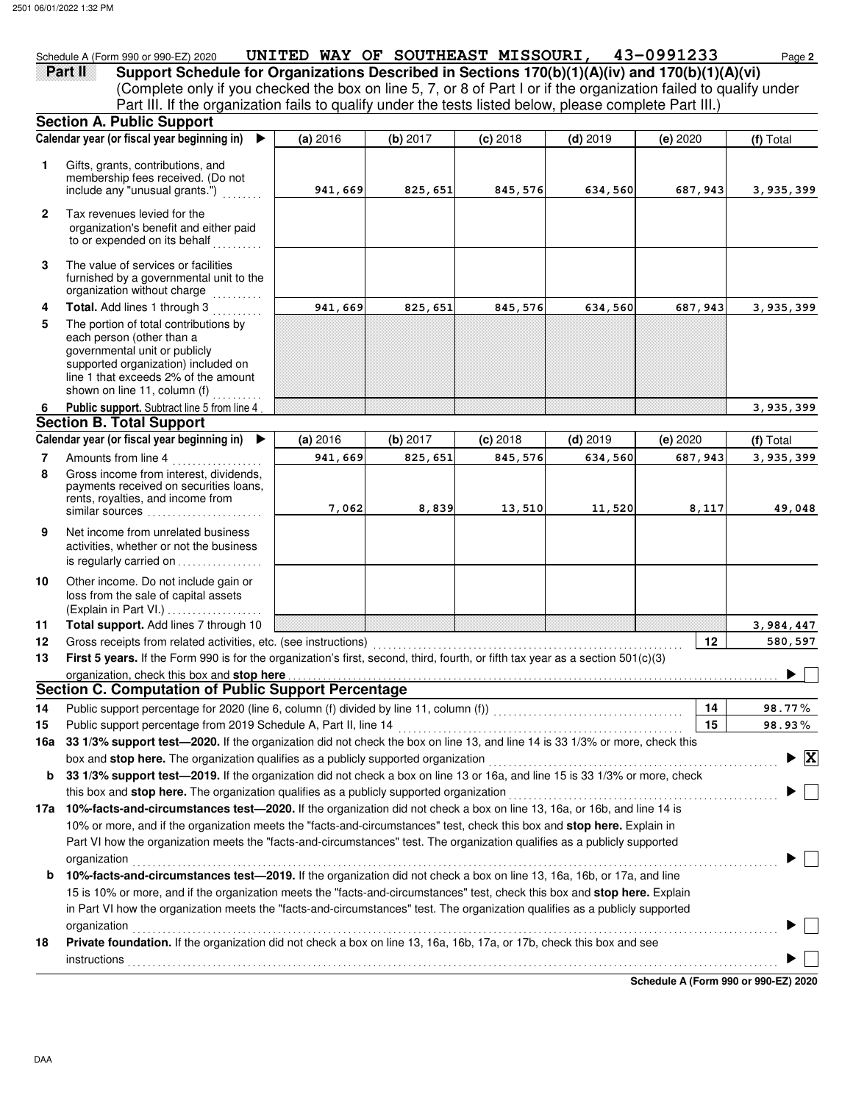|  | 1991233 |  |
|--|---------|--|

 $\overline{a}$ 

|         | Schedule A (Form 990 or 990-EZ) 2020                                                                    |  | UNITED WAY OF SOUTHEAST MISSOURI, | 43-0991233                                                                                                        | Page 2 |
|---------|---------------------------------------------------------------------------------------------------------|--|-----------------------------------|-------------------------------------------------------------------------------------------------------------------|--------|
| Part II |                                                                                                         |  |                                   | Support Schedule for Organizations Described in Sections 170(b)(1)(A)(iv) and 170(b)(1)(A)(vi)                    |        |
|         |                                                                                                         |  |                                   | (Complete only if you checked the box on line 5, 7, or 8 of Part I or if the organization failed to qualify under |        |
|         | Part III. If the organization fails to qualify under the tests listed below, please complete Part III.) |  |                                   |                                                                                                                   |        |
|         | <b>Section A Public Support</b>                                                                         |  |                                   |                                                                                                                   |        |

|                | Section A. Public Support<br>Calendar year (or fiscal year beginning in)                                                                                                                                                                                             | (a) 2016 | (b) 2017 | $(c)$ 2018 | $(d)$ 2019 | (e) 2020                             | (f) Total                                     |
|----------------|----------------------------------------------------------------------------------------------------------------------------------------------------------------------------------------------------------------------------------------------------------------------|----------|----------|------------|------------|--------------------------------------|-----------------------------------------------|
| 1              | Gifts, grants, contributions, and<br>membership fees received. (Do not<br>include any "unusual grants.")                                                                                                                                                             | 941,669  | 825,651  | 845,576    | 634,560    | 687,943                              | 3, 935, 399                                   |
| $\overline{2}$ | Tax revenues levied for the<br>organization's benefit and either paid<br>to or expended on its behalf                                                                                                                                                                |          |          |            |            |                                      |                                               |
| 3              | The value of services or facilities<br>furnished by a governmental unit to the<br>organization without charge                                                                                                                                                        |          |          |            |            |                                      |                                               |
| 4              | Total. Add lines 1 through 3                                                                                                                                                                                                                                         | 941,669  | 825,651  | 845,576    | 634,560    | 687,943                              | 3,935,399                                     |
| 5              | The portion of total contributions by<br>each person (other than a<br>governmental unit or publicly<br>supported organization) included on<br>line 1 that exceeds 2% of the amount<br>shown on line 11, column (f)                                                   |          |          |            |            |                                      |                                               |
| 6              | Public support. Subtract line 5 from line 4                                                                                                                                                                                                                          |          |          |            |            |                                      | 3, 935, 399                                   |
|                | <b>Section B. Total Support</b>                                                                                                                                                                                                                                      |          |          |            |            |                                      |                                               |
|                | Calendar year (or fiscal year beginning in) ▶                                                                                                                                                                                                                        | (a) 2016 | (b) 2017 | $(c)$ 2018 | $(d)$ 2019 | (e) 2020                             | (f) Total                                     |
| 7              | Amounts from line 4                                                                                                                                                                                                                                                  | 941,669  | 825,651  | 845,576    | 634,560    | 687,943                              | 3,935,399                                     |
| 8              | Gross income from interest, dividends,<br>payments received on securities loans,<br>rents, royalties, and income from<br>similar sources                                                                                                                             | 7,062    | 8,839    | 13,510     | 11,520     | 8,117                                | 49,048                                        |
| 9              | Net income from unrelated business<br>activities, whether or not the business<br>is regularly carried on                                                                                                                                                             |          |          |            |            |                                      |                                               |
| 10             | Other income. Do not include gain or<br>loss from the sale of capital assets<br>(Explain in Part VI.)                                                                                                                                                                |          |          |            |            |                                      |                                               |
| 11             | Total support. Add lines 7 through 10                                                                                                                                                                                                                                |          |          |            |            |                                      | 3,984,447                                     |
| 12             | Gross receipts from related activities, etc. (see instructions)                                                                                                                                                                                                      |          |          |            |            | 12                                   | 580,597                                       |
| 13             | First 5 years. If the Form 990 is for the organization's first, second, third, fourth, or fifth tax year as a section 501(c)(3)                                                                                                                                      |          |          |            |            |                                      |                                               |
|                | organization, check this box and stop here                                                                                                                                                                                                                           |          |          |            |            |                                      |                                               |
|                | <b>Section C. Computation of Public Support Percentage</b>                                                                                                                                                                                                           |          |          |            |            |                                      |                                               |
| 14             | Public support percentage for 2020 (line 6, column (f) divided by line 11, column (f)) [[[[[[[[[[[[[[[[[[[[[[                                                                                                                                                        |          |          |            |            | 14                                   | 98.77%                                        |
| 15             | Public support percentage from 2019 Schedule A, Part II, line 14                                                                                                                                                                                                     |          |          |            |            | 15                                   | 98.93%                                        |
| 16a            | 33 1/3% support test-2020. If the organization did not check the box on line 13, and line 14 is 33 1/3% or more, check this                                                                                                                                          |          |          |            |            |                                      |                                               |
|                | box and stop here. The organization qualifies as a publicly supported organization                                                                                                                                                                                   |          |          |            |            |                                      | $\blacktriangleright$ $\overline{\mathbf{X}}$ |
| b              | 33 1/3% support test-2019. If the organization did not check a box on line 13 or 16a, and line 15 is 33 1/3% or more, check                                                                                                                                          |          |          |            |            |                                      |                                               |
|                | this box and stop here. The organization qualifies as a publicly supported organization                                                                                                                                                                              |          |          |            |            |                                      |                                               |
|                | 17a 10%-facts-and-circumstances test-2020. If the organization did not check a box on line 13, 16a, or 16b, and line 14 is                                                                                                                                           |          |          |            |            |                                      |                                               |
|                | 10% or more, and if the organization meets the "facts-and-circumstances" test, check this box and stop here. Explain in<br>Part VI how the organization meets the "facts-and-circumstances" test. The organization qualifies as a publicly supported<br>organization |          |          |            |            |                                      |                                               |
| b              | 10%-facts-and-circumstances test-2019. If the organization did not check a box on line 13, 16a, 16b, or 17a, and line                                                                                                                                                |          |          |            |            |                                      |                                               |
|                | 15 is 10% or more, and if the organization meets the "facts-and-circumstances" test, check this box and stop here. Explain                                                                                                                                           |          |          |            |            |                                      |                                               |
|                | in Part VI how the organization meets the "facts-and-circumstances" test. The organization qualifies as a publicly supported                                                                                                                                         |          |          |            |            |                                      |                                               |
|                | organization                                                                                                                                                                                                                                                         |          |          |            |            |                                      |                                               |
| 18             | Private foundation. If the organization did not check a box on line 13, 16a, 16b, 17a, or 17b, check this box and see                                                                                                                                                |          |          |            |            |                                      |                                               |
|                |                                                                                                                                                                                                                                                                      |          |          |            |            |                                      |                                               |
|                |                                                                                                                                                                                                                                                                      |          |          |            |            | Schedule A (Form 990 or 990-EZ) 2020 |                                               |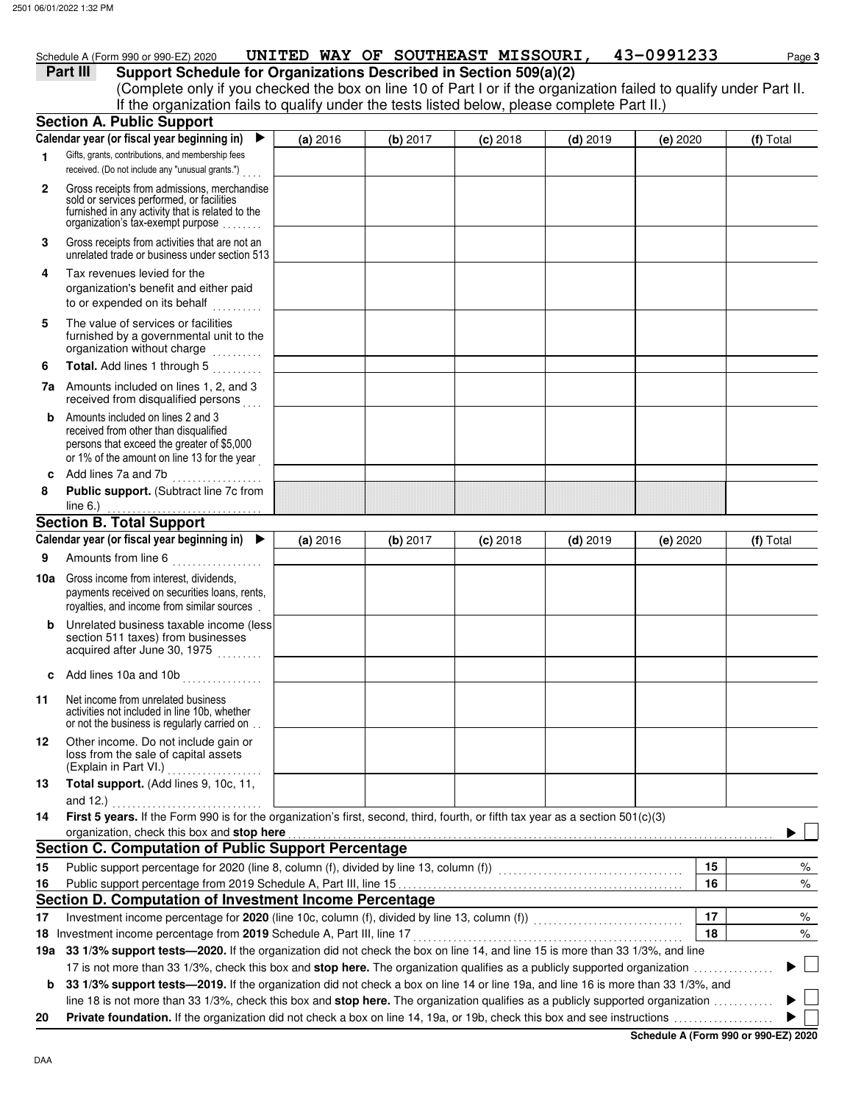|              | Schedule A (Form 990 or 990-EZ) 2020                                                                                                                                                           |          | UNITED WAY OF SOUTHEAST MISSOURI, |            |            | 43-0991233 | Page 3    |
|--------------|------------------------------------------------------------------------------------------------------------------------------------------------------------------------------------------------|----------|-----------------------------------|------------|------------|------------|-----------|
|              | Support Schedule for Organizations Described in Section 509(a)(2)<br>Part III                                                                                                                  |          |                                   |            |            |            |           |
|              | (Complete only if you checked the box on line 10 of Part I or if the organization failed to qualify under Part II.                                                                             |          |                                   |            |            |            |           |
|              | If the organization fails to qualify under the tests listed below, please complete Part II.)                                                                                                   |          |                                   |            |            |            |           |
|              | <b>Section A. Public Support</b>                                                                                                                                                               |          |                                   |            |            |            |           |
|              | Calendar year (or fiscal year beginning in)<br>▶                                                                                                                                               | (a) 2016 | (b) 2017                          | $(c)$ 2018 | $(d)$ 2019 | (e) 2020   | (f) Total |
| 1            | Gifts, grants, contributions, and membership fees<br>received. (Do not include any "unusual grants.")                                                                                          |          |                                   |            |            |            |           |
| $\mathbf{2}$ | Gross receipts from admissions, merchandise<br>sold or services performed, or facilities<br>furnished in any activity that is related to the<br>organization's tax-exempt purpose              |          |                                   |            |            |            |           |
| 3            | Gross receipts from activities that are not an<br>unrelated trade or business under section 513                                                                                                |          |                                   |            |            |            |           |
| 4            | Tax revenues levied for the<br>organization's benefit and either paid<br>to or expended on its behalf                                                                                          |          |                                   |            |            |            |           |
| 5            | The value of services or facilities<br>furnished by a governmental unit to the<br>organization without charge                                                                                  |          |                                   |            |            |            |           |
| 6            | Total. Add lines 1 through 5                                                                                                                                                                   |          |                                   |            |            |            |           |
|              | 7a Amounts included on lines 1, 2, and 3<br>received from disqualified persons                                                                                                                 |          |                                   |            |            |            |           |
| b<br>c       | Amounts included on lines 2 and 3<br>received from other than disqualified<br>persons that exceed the greater of \$5,000<br>or 1% of the amount on line 13 for the year<br>Add lines 7a and 7b |          |                                   |            |            |            |           |
| 8            | Public support. (Subtract line 7c from<br>line $6.$ )                                                                                                                                          |          |                                   |            |            |            |           |
|              | <b>Section B. Total Support</b>                                                                                                                                                                |          |                                   |            |            |            |           |
|              | Calendar year (or fiscal year beginning in)                                                                                                                                                    | (a) 2016 |                                   | $(c)$ 2018 | $(d)$ 2019 | (e) 2020   | (f) Total |
|              |                                                                                                                                                                                                |          |                                   |            |            |            |           |
|              |                                                                                                                                                                                                |          | (b) $2017$                        |            |            |            |           |
| 9<br>10a     | Amounts from line 6<br>Gross income from interest, dividends,<br>payments received on securities loans, rents,                                                                                 |          |                                   |            |            |            |           |
|              | royalties, and income from similar sources.                                                                                                                                                    |          |                                   |            |            |            |           |
| b            | Unrelated business taxable income (less<br>section 511 taxes) from businesses<br>acquired after June 30, 1975<br>.                                                                             |          |                                   |            |            |            |           |
|              | Add lines 10a and 10b                                                                                                                                                                          |          |                                   |            |            |            |           |
| 11           | Net income from unrelated business<br>activities not included in line 10b, whether<br>or not the business is regularly carried on                                                              |          |                                   |            |            |            |           |
| 12           | Other income. Do not include gain or<br>loss from the sale of capital assets                                                                                                                   |          |                                   |            |            |            |           |
| 13           | (Explain in Part VI.)<br>.<br>Total support. (Add lines 9, 10c, 11,                                                                                                                            |          |                                   |            |            |            |           |
| 14           | and $12.$ )<br>First 5 years. If the Form 990 is for the organization's first, second, third, fourth, or fifth tax year as a section 501(c)(3)                                                 |          |                                   |            |            |            |           |
|              | organization, check this box and stop here                                                                                                                                                     |          |                                   |            |            |            |           |
|              | <b>Section C. Computation of Public Support Percentage</b>                                                                                                                                     |          |                                   |            |            |            |           |
| 15           |                                                                                                                                                                                                |          |                                   |            |            | 15         | %         |
| 16           |                                                                                                                                                                                                |          |                                   |            |            | 16         | $\%$      |
|              | Section D. Computation of Investment Income Percentage                                                                                                                                         |          |                                   |            |            |            |           |
| 17           |                                                                                                                                                                                                |          |                                   |            |            | 17<br>18   | %         |
|              | 18 Investment income percentage from 2019 Schedule A, Part III, line 17                                                                                                                        |          |                                   |            |            |            | $\%$      |
|              | 19a 33 1/3% support tests-2020. If the organization did not check the box on line 14, and line 15 is more than 33 1/3%, and line                                                               |          |                                   |            |            |            |           |
| b            | 33 1/3% support tests—2019. If the organization did not check a box on line 14 or line 19a, and line 16 is more than 33 1/3%, and                                                              |          |                                   |            |            |            |           |

**20 Private foundation.** If the organization did not check a box on line 14, 19a, or 19b, check this box and see instructions . . . . . . . . . . . . . . . . . . . .

**Schedule A (Form 990 or 990-EZ) 2020**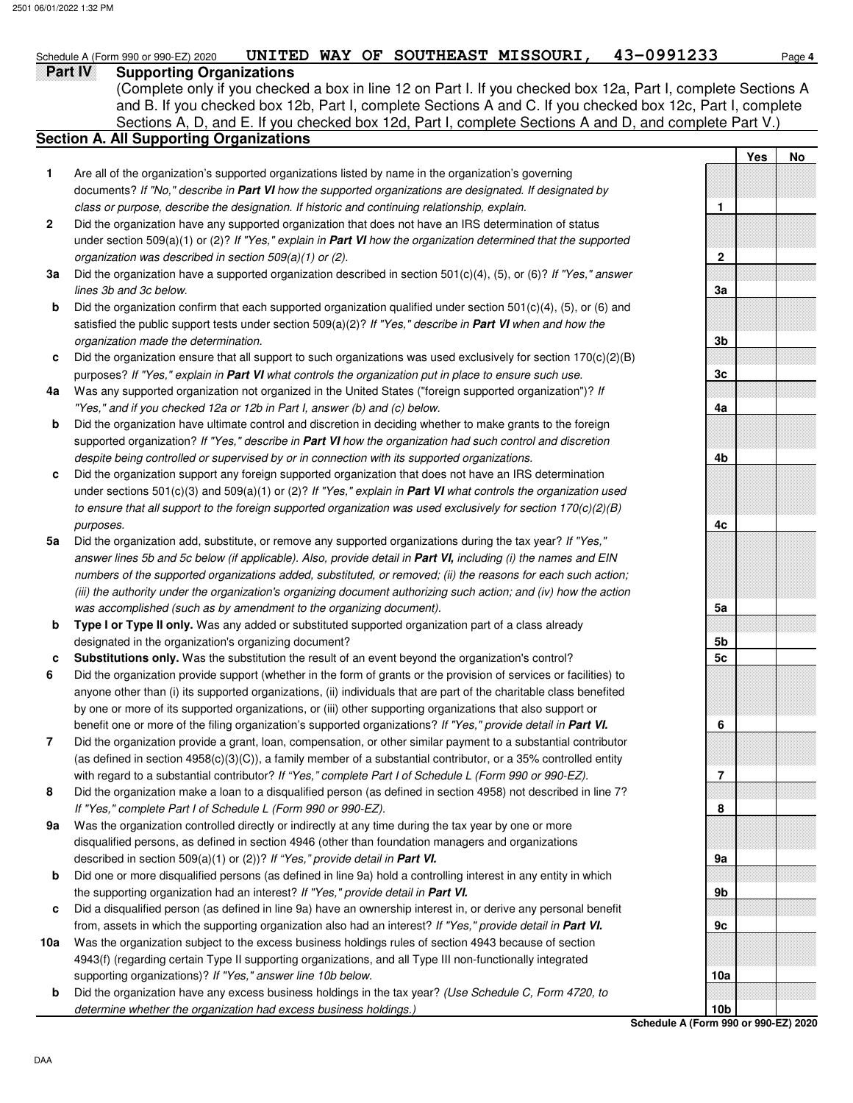# Schedule A (Form 990 or 990-EZ) 2020 **UNITED WAY OF SOUTHEAST MISSOURI, 43-0991233** Page 4

#### **Part IV Supporting Organizations**

Sections A, D, and E. If you checked box 12d, Part I, complete Sections A and D, and complete Part V.) (Complete only if you checked a box in line 12 on Part I. If you checked box 12a, Part I, complete Sections A and B. If you checked box 12b, Part I, complete Sections A and C. If you checked box 12c, Part I, complete

## **Section A. All Supporting Organizations**

- Are all of the organization's supported organizations listed by name in the organization's governing documents? If "No," describe in **Part VI** how the supported organizations are designated. If designated by class or purpose, describe the designation. If historic and continuing relationship, explain. **1**
- Did the organization have any supported organization that does not have an IRS determination of status under section 509(a)(1) or (2)? If "Yes," explain in **Part VI** how the organization determined that the supported organization was described in section 509(a)(1) or (2). **2**
- **3a** Did the organization have a supported organization described in section 501(c)(4), (5), or (6)? If "Yes," answer lines 3b and 3c below.
- **b** Did the organization confirm that each supported organization qualified under section 501(c)(4), (5), or (6) and satisfied the public support tests under section 509(a)(2)? If "Yes," describe in **Part VI** when and how the organization made the determination.
- **c** Did the organization ensure that all support to such organizations was used exclusively for section  $170(c)(2)(B)$ purposes? If "Yes," explain in **Part VI** what controls the organization put in place to ensure such use.
- **4a** Was any supported organization not organized in the United States ("foreign supported organization")? If "Yes," and if you checked 12a or 12b in Part I, answer (b) and (c) below.
- **b** Did the organization have ultimate control and discretion in deciding whether to make grants to the foreign supported organization? If "Yes," describe in **Part VI** how the organization had such control and discretion despite being controlled or supervised by or in connection with its supported organizations.
- **c** Did the organization support any foreign supported organization that does not have an IRS determination under sections 501(c)(3) and 509(a)(1) or (2)? If "Yes," explain in **Part VI** what controls the organization used to ensure that all support to the foreign supported organization was used exclusively for section 170(c)(2)(B) purposes.
- **5a** Did the organization add, substitute, or remove any supported organizations during the tax year? If "Yes," answer lines 5b and 5c below (if applicable). Also, provide detail in **Part VI,** including (i) the names and EIN numbers of the supported organizations added, substituted, or removed; (ii) the reasons for each such action; (iii) the authority under the organization's organizing document authorizing such action; and (iv) how the action was accomplished (such as by amendment to the organizing document).
- **b Type I or Type II only.** Was any added or substituted supported organization part of a class already designated in the organization's organizing document?
- **c Substitutions only.** Was the substitution the result of an event beyond the organization's control?
- **6** Did the organization provide support (whether in the form of grants or the provision of services or facilities) to anyone other than (i) its supported organizations, (ii) individuals that are part of the charitable class benefited by one or more of its supported organizations, or (iii) other supporting organizations that also support or benefit one or more of the filing organization's supported organizations? If "Yes," provide detail in **Part VI.**
- **7** Did the organization provide a grant, loan, compensation, or other similar payment to a substantial contributor (as defined in section 4958(c)(3)(C)), a family member of a substantial contributor, or a 35% controlled entity with regard to a substantial contributor? If "Yes," complete Part I of Schedule L (Form 990 or 990-EZ).
- **8** Did the organization make a loan to a disqualified person (as defined in section 4958) not described in line 7? If "Yes," complete Part I of Schedule L (Form 990 or 990-EZ).
- **9a** Was the organization controlled directly or indirectly at any time during the tax year by one or more disqualified persons, as defined in section 4946 (other than foundation managers and organizations described in section 509(a)(1) or (2))? If "Yes," provide detail in **Part VI.**
- **b** Did one or more disqualified persons (as defined in line 9a) hold a controlling interest in any entity in which the supporting organization had an interest? If "Yes," provide detail in **Part VI.**
- **c** Did a disqualified person (as defined in line 9a) have an ownership interest in, or derive any personal benefit from, assets in which the supporting organization also had an interest? If "Yes," provide detail in **Part VI.**
- **10a** Was the organization subject to the excess business holdings rules of section 4943 because of section 4943(f) (regarding certain Type II supporting organizations, and all Type III non-functionally integrated supporting organizations)? If "Yes," answer line 10b below.
- **b** Did the organization have any excess business holdings in the tax year? (Use Schedule C, Form 4720, to determine whether the organization had excess business holdings.)

Yes | No **1 2 3a 3b 3c 4a 4b 4c 5a 5b 5c 6 7 8 9a 9b 9c 10a 10b**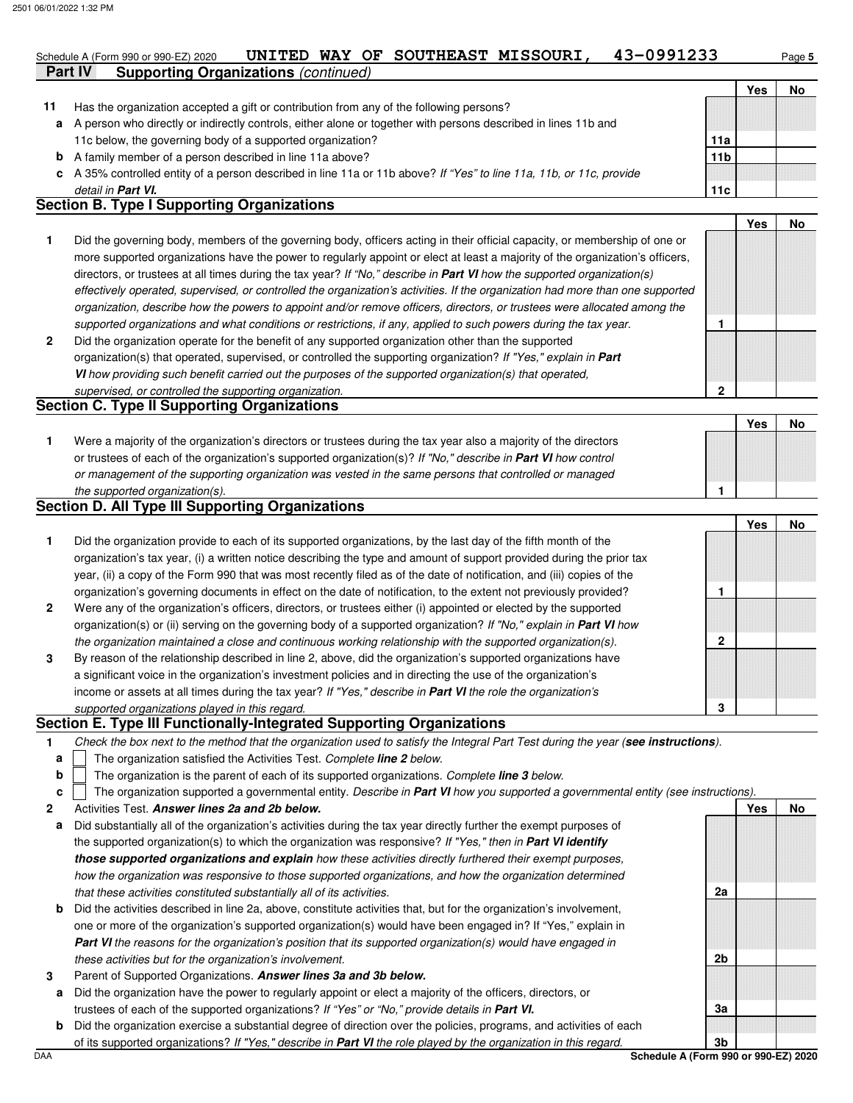# Schedule A (Form 990 or 990-EZ) 2020 **UNITED WAY OF SOUTHEAST MISSOURI, 43-0991233** Page 5

|    | Part IV<br><b>Supporting Organizations (continued)</b>                                                               |                 |     |    |
|----|----------------------------------------------------------------------------------------------------------------------|-----------------|-----|----|
|    |                                                                                                                      |                 | Yes | No |
| 11 | Has the organization accepted a gift or contribution from any of the following persons?                              |                 |     |    |
| a  | A person who directly or indirectly controls, either alone or together with persons described in lines 11b and       |                 |     |    |
|    | 11c below, the governing body of a supported organization?                                                           | 11a             |     |    |
|    | A family member of a person described in line 11a above?<br>b                                                        | 11 <sub>b</sub> |     |    |
|    | c A 35% controlled entity of a person described in line 11a or 11b above? If "Yes" to line 11a, 11b, or 11c, provide |                 |     |    |
|    | detail in <b>Part VI.</b>                                                                                            | 11c             |     |    |
|    | Cootian D. Tune I Cunnauting Overnications                                                                           |                 |     |    |

#### **Section B. Type I Supporting Organizations**

- **2 1** supported organizations and what conditions or restrictions, if any, applied to such powers during the tax year. organization, describe how the powers to appoint and/or remove officers, directors, or trustees were allocated among the effectively operated, supervised, or controlled the organization's activities. If the organization had more than one supported directors, or trustees at all times during the tax year? If "No," describe in **Part VI** how the supported organization(s) more supported organizations have the power to regularly appoint or elect at least a majority of the organization's officers, Did the governing body, members of the governing body, officers acting in their official capacity, or membership of one or Did the organization operate for the benefit of any supported organization other than the supported **1**
- organization(s) that operated, supervised, or controlled the supporting organization? If "Yes," explain in **Part VI** how providing such benefit carried out the purposes of the supported organization(s) that operated, supervised, or controlled the supporting organization.

#### **Section C. Type II Supporting Organizations**

Were a majority of the organization's directors or trustees during the tax year also a majority of the directors or trustees of each of the organization's supported organization(s)? If "No," describe in **Part VI** how control **1** or management of the supporting organization was vested in the same persons that controlled or managed the supported organization(s). Yes | No **1**

#### **Section D. All Type III Supporting Organizations**

|                |                                                                                                                           | Yes | No |
|----------------|---------------------------------------------------------------------------------------------------------------------------|-----|----|
|                | Did the organization provide to each of its supported organizations, by the last day of the fifth month of the            |     |    |
|                | organization's tax year, (i) a written notice describing the type and amount of support provided during the prior tax     |     |    |
|                | year, (ii) a copy of the Form 990 that was most recently filed as of the date of notification, and (iii) copies of the    |     |    |
|                | organization's governing documents in effect on the date of notification, to the extent not previously provided?          |     |    |
| $\overline{2}$ | Were any of the organization's officers, directors, or trustees either (i) appointed or elected by the supported          |     |    |
|                | organization(s) or (ii) serving on the governing body of a supported organization? If "No," explain in <b>Part VI</b> how |     |    |
|                | the organization maintained a close and continuous working relationship with the supported organization(s).               |     |    |
| 3              | By reason of the relationship described in line 2, above, did the organization's supported organizations have             |     |    |
|                | a significant voice in the organization's investment policies and in directing the use of the organization's              |     |    |
|                | income or assets at all times during the tax year? If "Yes," describe in Part VI the role the organization's              |     |    |
|                | supported organizations played in this regard.                                                                            |     |    |

#### **Section E. Type III Functionally-Integrated Supporting Organizations**

- The organization satisfied the Activities Test. Complete **line 2** below. **a**
- The organization is the parent of each of its supported organizations. Complete **line 3** below. **b**

|  | c $\Box$ The organization supported a governmental entity. Describe in Part VI how you supported a governmental entity (see instructions). |  |
|--|--------------------------------------------------------------------------------------------------------------------------------------------|--|
|  |                                                                                                                                            |  |

- **2** Activities Test. **Answer lines 2a and 2b below.**
- **a** Did substantially all of the organization's activities during the tax year directly further the exempt purposes of the supported organization(s) to which the organization was responsive? If "Yes," then in **Part VI identify those supported organizations and explain** how these activities directly furthered their exempt purposes, how the organization was responsive to those supported organizations, and how the organization determined that these activities constituted substantially all of its activities.
- **b** Did the activities described in line 2a, above, constitute activities that, but for the organization's involvement, one or more of the organization's supported organization(s) would have been engaged in? If "Yes," explain in Part VI the reasons for the organization's position that its supported organization(s) would have engaged in these activities but for the organization's involvement.
- **3** Parent of Supported Organizations. **Answer lines 3a and 3b below.**
	- **a** Did the organization have the power to regularly appoint or elect a majority of the officers, directors, or trustees of each of the supported organizations? If "Yes" or "No," provide details in **Part VI.**
- DAA **Schedule A (Form 990 or 990-EZ) 2020 b** Did the organization exercise a substantial degree of direction over the policies, programs, and activities of each of its supported organizations? If "Yes," describe in **Part VI** the role played by the organization in this regard.

**3b**

**2a**

**2b**

**3a**

**Yes No**

**2**

**Yes No**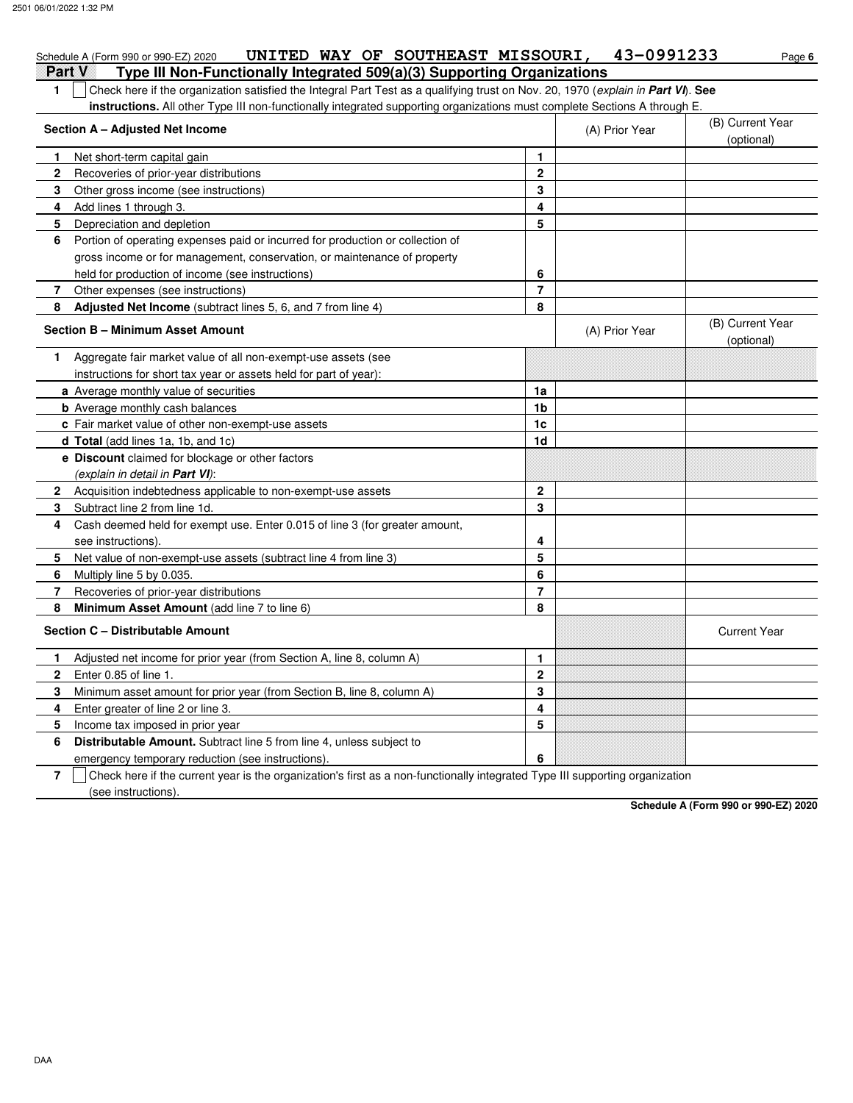|              | UNITED WAY OF SOUTHEAST MISSOURI,<br>Schedule A (Form 990 or 990-EZ) 2020                                                        |                | 43-0991233     | Page 6                         |
|--------------|----------------------------------------------------------------------------------------------------------------------------------|----------------|----------------|--------------------------------|
|              | Type III Non-Functionally Integrated 509(a)(3) Supporting Organizations<br>Part V                                                |                |                |                                |
| $\mathbf{1}$ | Check here if the organization satisfied the Integral Part Test as a qualifying trust on Nov. 20, 1970 (explain in Part VI). See |                |                |                                |
|              | <b>instructions.</b> All other Type III non-functionally integrated supporting organizations must complete Sections A through E. |                |                |                                |
|              | Section A - Adjusted Net Income                                                                                                  |                | (A) Prior Year | (B) Current Year<br>(optional) |
| 1            | Net short-term capital gain                                                                                                      | 1              |                |                                |
| $\mathbf{2}$ | Recoveries of prior-year distributions                                                                                           | $\overline{2}$ |                |                                |
| 3            | Other gross income (see instructions)                                                                                            | 3              |                |                                |
| 4            | Add lines 1 through 3.                                                                                                           | 4              |                |                                |
| 5            | Depreciation and depletion                                                                                                       | 5              |                |                                |
| 6            | Portion of operating expenses paid or incurred for production or collection of                                                   |                |                |                                |
|              | gross income or for management, conservation, or maintenance of property                                                         |                |                |                                |
|              | held for production of income (see instructions)                                                                                 | 6              |                |                                |
| 7            | Other expenses (see instructions)                                                                                                | 7              |                |                                |
| 8            | <b>Adjusted Net Income</b> (subtract lines 5, 6, and 7 from line 4)                                                              | 8              |                |                                |
|              | <b>Section B - Minimum Asset Amount</b>                                                                                          |                | (A) Prior Year | (B) Current Year<br>(optional) |
| 1.           | Aggregate fair market value of all non-exempt-use assets (see                                                                    |                |                |                                |
|              | instructions for short tax year or assets held for part of year):                                                                |                |                |                                |
|              | a Average monthly value of securities                                                                                            | 1a             |                |                                |
|              | <b>b</b> Average monthly cash balances                                                                                           | 1b             |                |                                |
|              | <b>c</b> Fair market value of other non-exempt-use assets                                                                        | 1c             |                |                                |
|              | <b>d Total</b> (add lines 1a, 1b, and 1c)                                                                                        | 1d             |                |                                |
|              | <b>e</b> Discount claimed for blockage or other factors                                                                          |                |                |                                |
|              | (explain in detail in Part VI):                                                                                                  |                |                |                                |
|              | 2 Acquisition indebtedness applicable to non-exempt-use assets                                                                   | $\mathbf{2}$   |                |                                |
| 3            | Subtract line 2 from line 1d.                                                                                                    | 3              |                |                                |
| 4            | Cash deemed held for exempt use. Enter 0.015 of line 3 (for greater amount,                                                      |                |                |                                |
|              | see instructions).                                                                                                               | 4              |                |                                |
| 5            | Net value of non-exempt-use assets (subtract line 4 from line 3)                                                                 | 5              |                |                                |
| 6            | Multiply line 5 by 0.035.                                                                                                        | 6              |                |                                |
| 7            | Recoveries of prior-year distributions                                                                                           | $\overline{7}$ |                |                                |
| 8            | Minimum Asset Amount (add line 7 to line 6)                                                                                      | 8              |                |                                |
|              | <b>Section C - Distributable Amount</b>                                                                                          |                |                | <b>Current Year</b>            |
| 1.           | Adjusted net income for prior year (from Section A, line 8, column A)                                                            | 1              |                |                                |
| $\mathbf{2}$ | Enter 0.85 of line 1.                                                                                                            | $\overline{2}$ |                |                                |
| 3            | Minimum asset amount for prior year (from Section B, line 8, column A)                                                           | 3              |                |                                |
| 4            | Enter greater of line 2 or line 3.                                                                                               | 4              |                |                                |
| 5            | Income tax imposed in prior year                                                                                                 | 5              |                |                                |
| 6            | Distributable Amount. Subtract line 5 from line 4, unless subject to                                                             |                |                |                                |
|              | emergency temporary reduction (see instructions)                                                                                 | 6              |                |                                |

**7** (see instructions). Check here if the current year is the organization's first as a non-functionally integrated Type III supporting organization

**Schedule A (Form 990 or 990-EZ) 2020**

DAA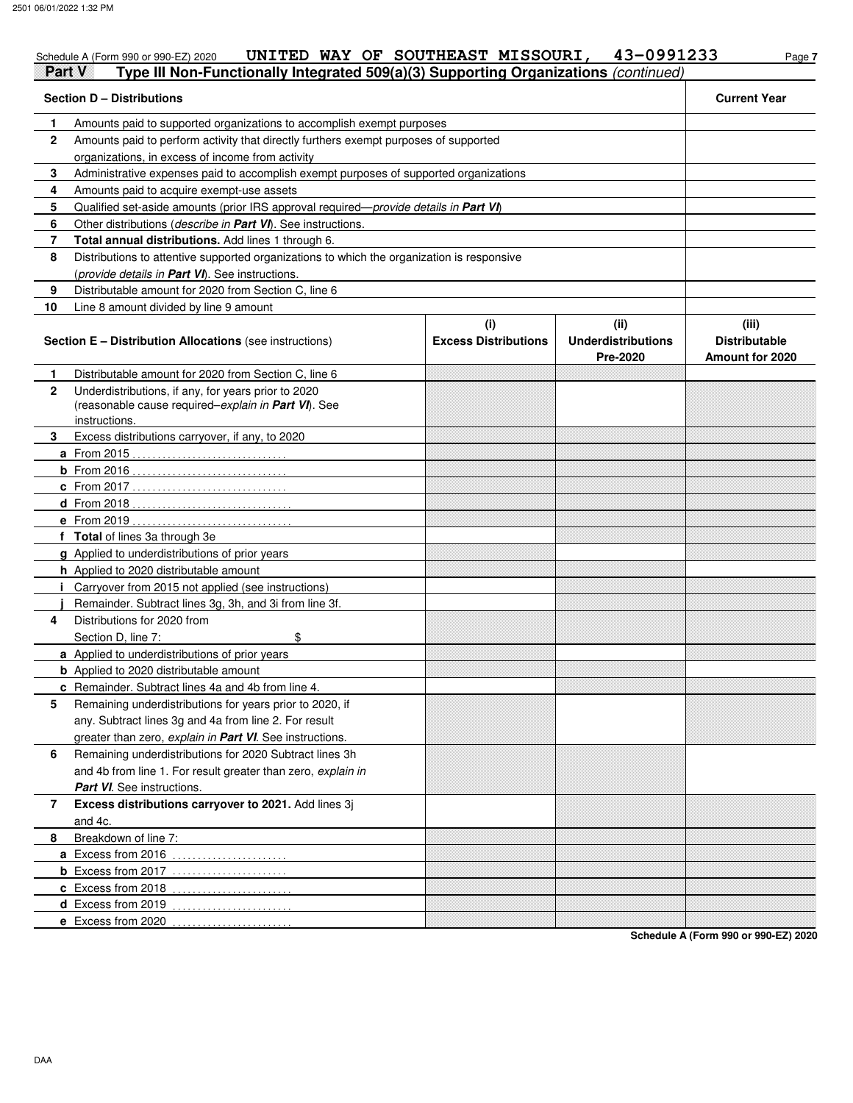#### Schedule A (Form 990 or 990-EZ) 2020 **UNITED WAY OF SOUTHEAST MISSOURI, 43-0991233** Page 7 **Part V Type III Non-Functionally Integrated 509(a)(3) Supporting Organizations** (continued) **Section D – Distributions Current Year 1 2 3 4 5 6 7 8 9** Amounts paid to supported organizations to accomplish exempt purposes Amounts paid to perform activity that directly furthers exempt purposes of supported organizations, in excess of income from activity Administrative expenses paid to accomplish exempt purposes of supported organizations Amounts paid to acquire exempt-use assets Qualified set-aside amounts (prior IRS approval required—provide details in **Part VI**) Other distributions (describe in **Part VI**). See instructions. **Total annual distributions.** Add lines 1 through 6. Distributions to attentive supported organizations to which the organization is responsive (provide details in **Part VI**). See instructions. Distributable amount for 2020 from Section C, line 6

| 10             | Line 8 amount divided by line 9 amount                                                                                      |                                    |                                        |                                                         |  |
|----------------|-----------------------------------------------------------------------------------------------------------------------------|------------------------------------|----------------------------------------|---------------------------------------------------------|--|
|                | <b>Section E - Distribution Allocations (see instructions)</b>                                                              | (i)<br><b>Excess Distributions</b> | (ii)<br>Underdistributions<br>Pre-2020 | (iii)<br><b>Distributable</b><br><b>Amount for 2020</b> |  |
| 1              | Distributable amount for 2020 from Section C, line 6                                                                        |                                    |                                        |                                                         |  |
| $\mathbf{2}$   | Underdistributions, if any, for years prior to 2020<br>(reasonable cause required-explain in Part VI). See<br>instructions. |                                    |                                        |                                                         |  |
| 3              | Excess distributions carryover, if any, to 2020                                                                             |                                    |                                        |                                                         |  |
|                | <b>a</b> From 2015                                                                                                          |                                    |                                        |                                                         |  |
|                |                                                                                                                             |                                    |                                        |                                                         |  |
|                |                                                                                                                             |                                    |                                        |                                                         |  |
|                |                                                                                                                             |                                    |                                        |                                                         |  |
|                | e From 2019                                                                                                                 |                                    |                                        |                                                         |  |
|                | f Total of lines 3a through 3e                                                                                              |                                    |                                        |                                                         |  |
|                | g Applied to underdistributions of prior years                                                                              |                                    |                                        |                                                         |  |
|                | h Applied to 2020 distributable amount                                                                                      |                                    |                                        |                                                         |  |
|                | Carryover from 2015 not applied (see instructions)                                                                          |                                    |                                        |                                                         |  |
|                | Remainder. Subtract lines 3g, 3h, and 3i from line 3f.                                                                      |                                    |                                        |                                                         |  |
| 4              | Distributions for 2020 from                                                                                                 |                                    |                                        |                                                         |  |
|                | \$<br>Section D, line 7:                                                                                                    |                                    |                                        |                                                         |  |
|                | a Applied to underdistributions of prior years                                                                              |                                    |                                        |                                                         |  |
|                | <b>b</b> Applied to 2020 distributable amount                                                                               |                                    |                                        |                                                         |  |
|                | c Remainder. Subtract lines 4a and 4b from line 4.                                                                          |                                    |                                        |                                                         |  |
| 5              | Remaining underdistributions for years prior to 2020, if                                                                    |                                    |                                        |                                                         |  |
|                | any. Subtract lines 3g and 4a from line 2. For result                                                                       |                                    |                                        |                                                         |  |
|                | greater than zero, explain in Part VI. See instructions.                                                                    |                                    |                                        |                                                         |  |
| 6              | Remaining underdistributions for 2020 Subtract lines 3h                                                                     |                                    |                                        |                                                         |  |
|                | and 4b from line 1. For result greater than zero, explain in                                                                |                                    |                                        |                                                         |  |
|                | <b>Part VI.</b> See instructions.                                                                                           |                                    |                                        |                                                         |  |
| $\overline{7}$ | Excess distributions carryover to 2021. Add lines 3j                                                                        |                                    |                                        |                                                         |  |
|                | and 4c.                                                                                                                     |                                    |                                        |                                                         |  |
| 8              | Breakdown of line 7:                                                                                                        |                                    |                                        |                                                         |  |
|                | a Excess from 2016                                                                                                          |                                    |                                        |                                                         |  |
|                |                                                                                                                             |                                    |                                        |                                                         |  |
|                | c Excess from 2018                                                                                                          |                                    |                                        |                                                         |  |
|                |                                                                                                                             |                                    |                                        |                                                         |  |
|                | e Excess from 2020                                                                                                          |                                    |                                        |                                                         |  |

**Schedule A (Form 990 or 990-EZ) 2020**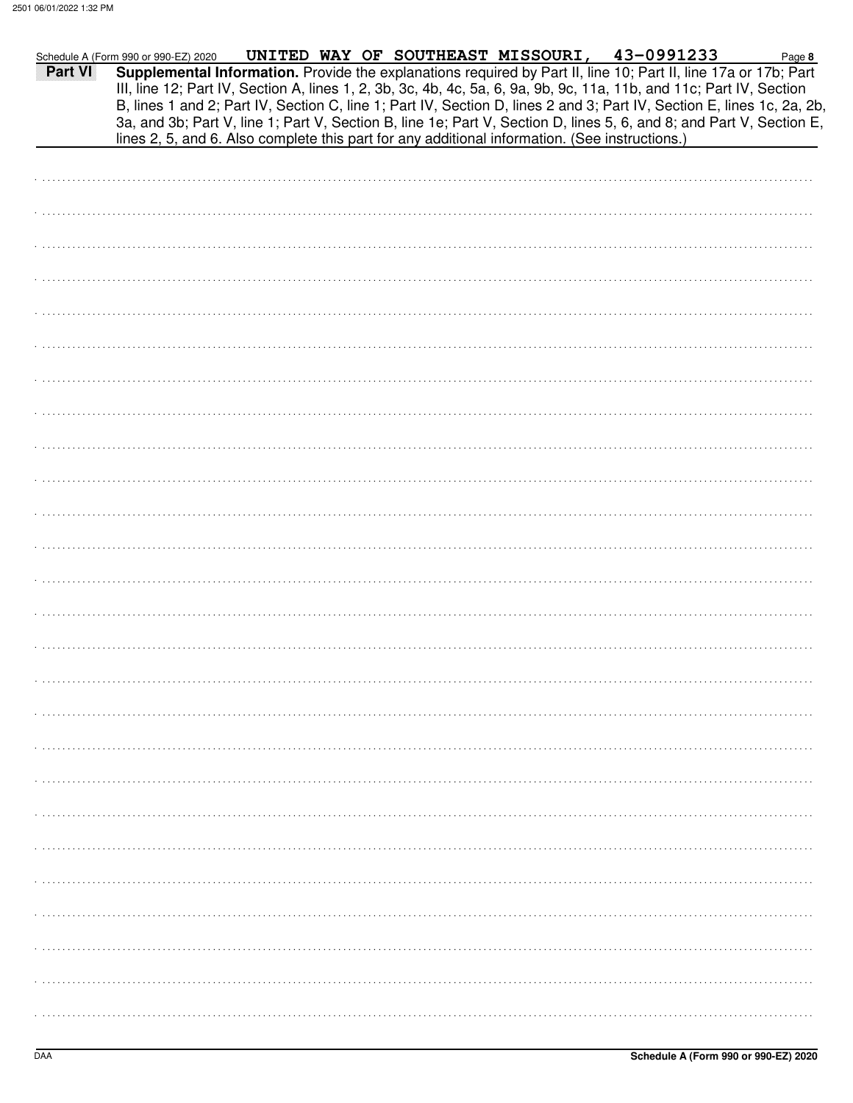|         | Schedule A (Form 990 or 990-EZ) 2020 |  | UNITED WAY OF SOUTHEAST MISSOURI, 43-0991233                                                   |                                                                                                                                                                                                                                                                                                                                                                   | Page 8 |
|---------|--------------------------------------|--|------------------------------------------------------------------------------------------------|-------------------------------------------------------------------------------------------------------------------------------------------------------------------------------------------------------------------------------------------------------------------------------------------------------------------------------------------------------------------|--------|
| Part VI |                                      |  |                                                                                                | Supplemental Information. Provide the explanations required by Part II, line 10; Part II, line 17a or 17b; Part<br>III, line 12; Part IV, Section A, lines 1, 2, 3b, 3c, 4b, 4c, 5a, 6, 9a, 9b, 9c, 11a, 11b, and 11c; Part IV, Section<br>B, lines 1 and 2; Part IV, Section C, line 1; Part IV, Section D, lines 2 and 3; Part IV, Section E, lines 1c, 2a, 2b, |        |
|         |                                      |  |                                                                                                | 3a, and 3b; Part V, line 1; Part V, Section B, line 1e; Part V, Section D, lines 5, 6, and 8; and Part V, Section E,                                                                                                                                                                                                                                              |        |
|         |                                      |  | lines 2, 5, and 6. Also complete this part for any additional information. (See instructions.) |                                                                                                                                                                                                                                                                                                                                                                   |        |
|         |                                      |  |                                                                                                |                                                                                                                                                                                                                                                                                                                                                                   |        |
|         |                                      |  |                                                                                                |                                                                                                                                                                                                                                                                                                                                                                   |        |
|         |                                      |  |                                                                                                |                                                                                                                                                                                                                                                                                                                                                                   |        |
|         |                                      |  |                                                                                                |                                                                                                                                                                                                                                                                                                                                                                   |        |
|         |                                      |  |                                                                                                |                                                                                                                                                                                                                                                                                                                                                                   |        |
|         |                                      |  |                                                                                                |                                                                                                                                                                                                                                                                                                                                                                   |        |
|         |                                      |  |                                                                                                |                                                                                                                                                                                                                                                                                                                                                                   |        |
|         |                                      |  |                                                                                                |                                                                                                                                                                                                                                                                                                                                                                   |        |
|         |                                      |  |                                                                                                |                                                                                                                                                                                                                                                                                                                                                                   |        |
|         |                                      |  |                                                                                                |                                                                                                                                                                                                                                                                                                                                                                   |        |
|         |                                      |  |                                                                                                |                                                                                                                                                                                                                                                                                                                                                                   |        |
|         |                                      |  |                                                                                                |                                                                                                                                                                                                                                                                                                                                                                   |        |
|         |                                      |  |                                                                                                |                                                                                                                                                                                                                                                                                                                                                                   |        |
|         |                                      |  |                                                                                                |                                                                                                                                                                                                                                                                                                                                                                   |        |
|         |                                      |  |                                                                                                |                                                                                                                                                                                                                                                                                                                                                                   |        |
|         |                                      |  |                                                                                                |                                                                                                                                                                                                                                                                                                                                                                   |        |
|         |                                      |  |                                                                                                |                                                                                                                                                                                                                                                                                                                                                                   |        |
|         |                                      |  |                                                                                                |                                                                                                                                                                                                                                                                                                                                                                   |        |
|         |                                      |  |                                                                                                |                                                                                                                                                                                                                                                                                                                                                                   |        |
|         |                                      |  |                                                                                                |                                                                                                                                                                                                                                                                                                                                                                   |        |
|         |                                      |  |                                                                                                |                                                                                                                                                                                                                                                                                                                                                                   |        |
|         |                                      |  |                                                                                                |                                                                                                                                                                                                                                                                                                                                                                   |        |
|         |                                      |  |                                                                                                |                                                                                                                                                                                                                                                                                                                                                                   |        |
|         |                                      |  |                                                                                                |                                                                                                                                                                                                                                                                                                                                                                   |        |
|         |                                      |  |                                                                                                |                                                                                                                                                                                                                                                                                                                                                                   |        |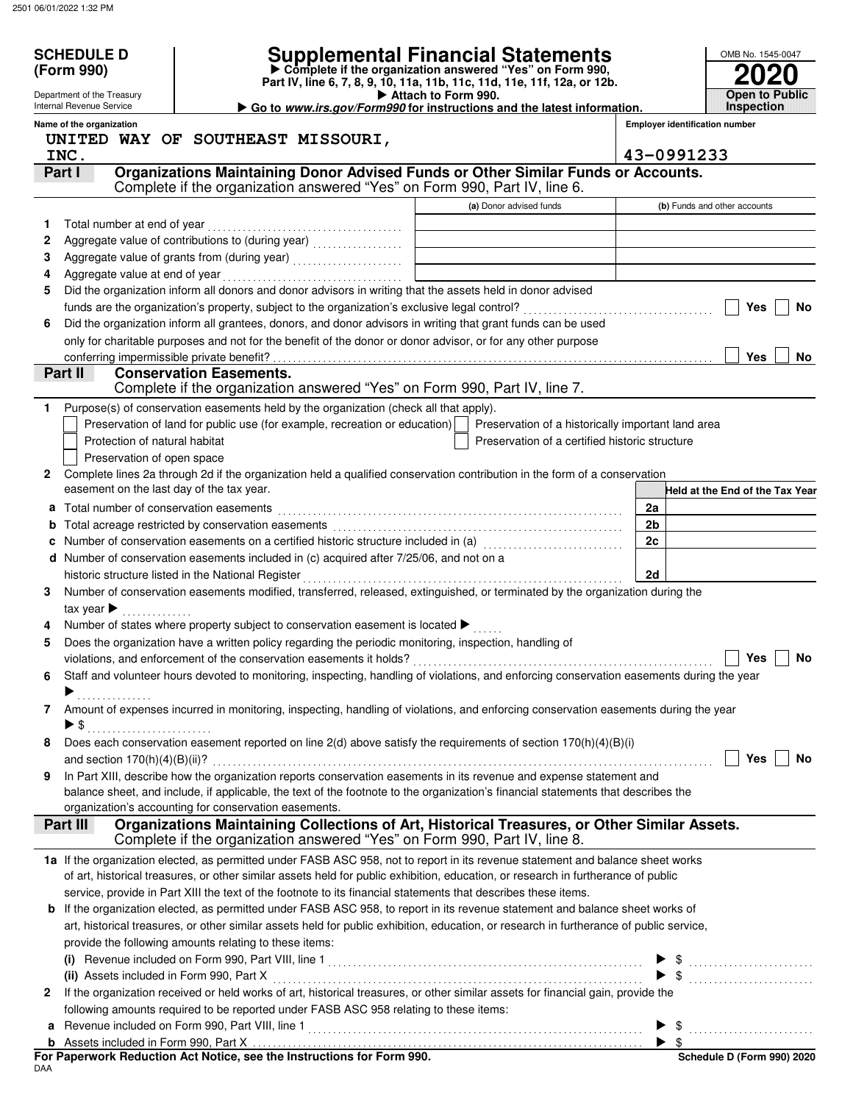| <b>SCHEDULE D</b>                                                                                                                                                                      |                | OMB No. 1545-0047                     |
|----------------------------------------------------------------------------------------------------------------------------------------------------------------------------------------|----------------|---------------------------------------|
| Supplemental Financial Statements<br>$\triangleright$ Complete if the organization answered "Yes" on Form 990,<br>(Form 990)                                                           |                |                                       |
| Part IV, line 6, 7, 8, 9, 10, 11a, 11b, 11c, 11d, 11e, 11f, 12a, or 12b.<br>Attach to Form 990.<br>Department of the Treasury                                                          |                | <b>Open to Public</b>                 |
| Internal Revenue Service<br>Go to www.irs.gov/Form990 for instructions and the latest information.                                                                                     |                | <b>Inspection</b>                     |
| Name of the organization                                                                                                                                                               |                | <b>Employer identification number</b> |
| UNITED WAY OF SOUTHEAST MISSOURI,                                                                                                                                                      |                |                                       |
| INC.                                                                                                                                                                                   |                | 43-0991233                            |
| Organizations Maintaining Donor Advised Funds or Other Similar Funds or Accounts.<br>Part I<br>Complete if the organization answered "Yes" on Form 990, Part IV, line 6.               |                |                                       |
| (a) Donor advised funds                                                                                                                                                                |                | (b) Funds and other accounts          |
| Total number at end of year<br>1                                                                                                                                                       |                |                                       |
| 2                                                                                                                                                                                      |                |                                       |
| 3                                                                                                                                                                                      |                |                                       |
| 4                                                                                                                                                                                      |                |                                       |
| Did the organization inform all donors and donor advisors in writing that the assets held in donor advised<br>5                                                                        |                |                                       |
|                                                                                                                                                                                        |                | Yes<br>No                             |
| Did the organization inform all grantees, donors, and donor advisors in writing that grant funds can be used<br>6                                                                      |                |                                       |
| only for charitable purposes and not for the benefit of the donor or donor advisor, or for any other purpose                                                                           |                |                                       |
| conferring impermissible private benefit?                                                                                                                                              |                | Yes<br>No                             |
| Part II<br><b>Conservation Easements.</b>                                                                                                                                              |                |                                       |
| Complete if the organization answered "Yes" on Form 990, Part IV, line 7.                                                                                                              |                |                                       |
| Purpose(s) of conservation easements held by the organization (check all that apply).                                                                                                  |                |                                       |
| Preservation of land for public use (for example, recreation or education)<br>Preservation of a historically important land area                                                       |                |                                       |
| Protection of natural habitat<br>Preservation of a certified historic structure                                                                                                        |                |                                       |
| Preservation of open space                                                                                                                                                             |                |                                       |
| Complete lines 2a through 2d if the organization held a qualified conservation contribution in the form of a conservation<br>$\mathbf{2}$<br>easement on the last day of the tax year. |                | Held at the End of the Tax Year       |
| Total number of conservation easements                                                                                                                                                 | 2a             |                                       |
| a<br>b                                                                                                                                                                                 | 2 <sub>b</sub> |                                       |
| Number of conservation easements on a certified historic structure included in (a) [[[[[[[[[[[[[[[[[[[[[[[[]]]                                                                         | 2c             |                                       |
| d Number of conservation easements included in (c) acquired after 7/25/06, and not on a                                                                                                |                |                                       |
| historic structure listed in the National Register                                                                                                                                     | 2d             |                                       |
| Number of conservation easements modified, transferred, released, extinguished, or terminated by the organization during the<br>3                                                      |                |                                       |
| tax year $\blacktriangleright$                                                                                                                                                         |                |                                       |
| Number of states where property subject to conservation easement is located ▶                                                                                                          |                |                                       |
| Does the organization have a written policy regarding the periodic monitoring, inspection, handling of<br>5                                                                            |                |                                       |
| violations, and enforcement of the conservation easements it holds?<br>$\Box$ Yes $\Box$ No                                                                                            |                |                                       |
| Staff and volunteer hours devoted to monitoring, inspecting, handling of violations, and enforcing conservation easements during the year<br>6                                         |                |                                       |
| .                                                                                                                                                                                      |                |                                       |
| Amount of expenses incurred in monitoring, inspecting, handling of violations, and enforcing conservation easements during the year<br>7                                               |                |                                       |
| $\blacktriangleright$ \$                                                                                                                                                               |                |                                       |
| Does each conservation easement reported on line 2(d) above satisfy the requirements of section 170(h)(4)(B)(i)<br>8                                                                   |                |                                       |
| In Part XIII, describe how the organization reports conservation easements in its revenue and expense statement and                                                                    |                | Yes<br><b>No</b>                      |
| 9<br>balance sheet, and include, if applicable, the text of the footnote to the organization's financial statements that describes the                                                 |                |                                       |
| organization's accounting for conservation easements.                                                                                                                                  |                |                                       |
| Organizations Maintaining Collections of Art, Historical Treasures, or Other Similar Assets.<br>Part III                                                                               |                |                                       |
| Complete if the organization answered "Yes" on Form 990, Part IV, line 8.                                                                                                              |                |                                       |
| 1a If the organization elected, as permitted under FASB ASC 958, not to report in its revenue statement and balance sheet works                                                        |                |                                       |
| of art, historical treasures, or other similar assets held for public exhibition, education, or research in furtherance of public                                                      |                |                                       |
| service, provide in Part XIII the text of the footnote to its financial statements that describes these items.                                                                         |                |                                       |
| <b>b</b> If the organization elected, as permitted under FASB ASC 958, to report in its revenue statement and balance sheet works of                                                   |                |                                       |
| art, historical treasures, or other similar assets held for public exhibition, education, or research in furtherance of public service,                                                |                |                                       |
| provide the following amounts relating to these items:                                                                                                                                 |                |                                       |
|                                                                                                                                                                                        |                |                                       |
| (ii) Assets included in Form 990, Part X                                                                                                                                               |                | $\frac{1}{2}$                         |
| If the organization received or held works of art, historical treasures, or other similar assets for financial gain, provide the<br>$\mathbf{2}$                                       |                |                                       |
| following amounts required to be reported under FASB ASC 958 relating to these items:                                                                                                  |                |                                       |
| a                                                                                                                                                                                      |                |                                       |
|                                                                                                                                                                                        |                | Schedule D (Form 990) 2020            |

LOR<br>Daa **For Paperwork Reduction Act Notice, see the Instructions for Form 990.**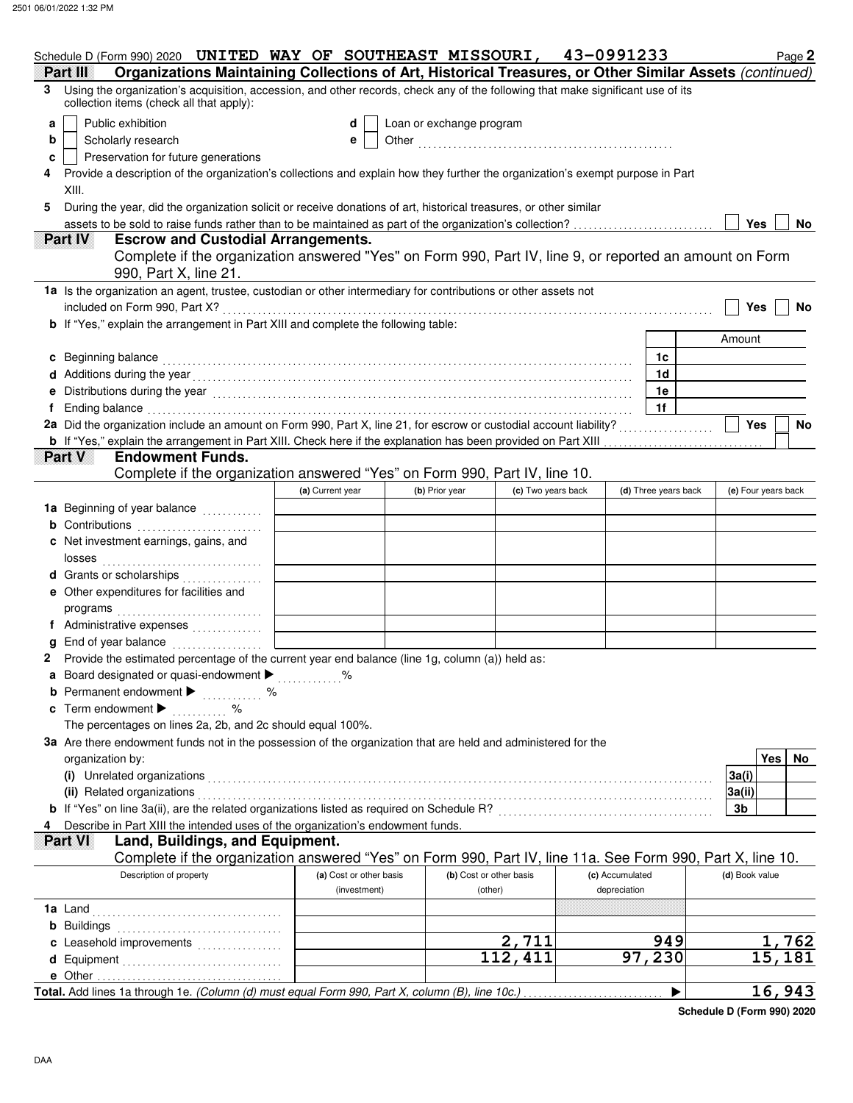|    | Schedule D (Form 990) 2020 UNITED WAY OF SOUTHEAST MISSOURI, $43-0991233$                                                                                                                                                     |                         |                          |                         |                 |                      | Page 2              |
|----|-------------------------------------------------------------------------------------------------------------------------------------------------------------------------------------------------------------------------------|-------------------------|--------------------------|-------------------------|-----------------|----------------------|---------------------|
|    | Organizations Maintaining Collections of Art, Historical Treasures, or Other Similar Assets (continued)<br>Part III                                                                                                           |                         |                          |                         |                 |                      |                     |
| 3  | Using the organization's acquisition, accession, and other records, check any of the following that make significant use of its<br>collection items (check all that apply):                                                   |                         |                          |                         |                 |                      |                     |
| a  | Public exhibition                                                                                                                                                                                                             | d                       | Loan or exchange program |                         |                 |                      |                     |
| b  | Scholarly research                                                                                                                                                                                                            | е                       |                          |                         |                 |                      |                     |
| c  | Preservation for future generations                                                                                                                                                                                           |                         |                          |                         |                 |                      |                     |
| 4  | Provide a description of the organization's collections and explain how they further the organization's exempt purpose in Part                                                                                                |                         |                          |                         |                 |                      |                     |
|    | XIII.                                                                                                                                                                                                                         |                         |                          |                         |                 |                      |                     |
| 5  | During the year, did the organization solicit or receive donations of art, historical treasures, or other similar                                                                                                             |                         |                          |                         |                 |                      |                     |
|    | assets to be sold to raise funds rather than to be maintained as part of the organization's collection?                                                                                                                       |                         |                          |                         |                 |                      | Yes<br>No           |
|    | <b>Escrow and Custodial Arrangements.</b><br>Part IV                                                                                                                                                                          |                         |                          |                         |                 |                      |                     |
|    | Complete if the organization answered "Yes" on Form 990, Part IV, line 9, or reported an amount on Form                                                                                                                       |                         |                          |                         |                 |                      |                     |
|    | 990, Part X, line 21.                                                                                                                                                                                                         |                         |                          |                         |                 |                      |                     |
|    | 1a Is the organization an agent, trustee, custodian or other intermediary for contributions or other assets not                                                                                                               |                         |                          |                         |                 |                      |                     |
|    | included on Form 990, Part X?                                                                                                                                                                                                 |                         |                          |                         |                 |                      | Yes<br>No           |
|    | <b>b</b> If "Yes," explain the arrangement in Part XIII and complete the following table:                                                                                                                                     |                         |                          |                         |                 |                      |                     |
|    |                                                                                                                                                                                                                               |                         |                          |                         |                 |                      | Amount              |
|    | c Beginning balance                                                                                                                                                                                                           |                         |                          |                         |                 | -1с                  |                     |
|    |                                                                                                                                                                                                                               |                         |                          |                         |                 | 1 <sub>d</sub>       |                     |
|    |                                                                                                                                                                                                                               |                         |                          |                         |                 | 1e                   |                     |
| f. | Ending balance encourance and a series of the contract of the contract of the contract of the contract of the contract of the contract of the contract of the contract of the contract of the contract of the contract of the |                         |                          |                         |                 | 1 <sup>f</sup>       |                     |
|    |                                                                                                                                                                                                                               |                         |                          |                         |                 |                      | Yes<br>No           |
|    | <b>b</b> If "Yes," explain the arrangement in Part XIII. Check here if the explanation has been provided on Part XIII                                                                                                         |                         |                          |                         |                 |                      |                     |
|    | Part V<br><b>Endowment Funds.</b>                                                                                                                                                                                             |                         |                          |                         |                 |                      |                     |
|    | Complete if the organization answered "Yes" on Form 990, Part IV, line 10.                                                                                                                                                    |                         |                          |                         |                 |                      |                     |
|    |                                                                                                                                                                                                                               | (a) Current year        | (b) Prior year           | (c) Two years back      |                 | (d) Three years back | (e) Four years back |
|    | 1a Beginning of year balance                                                                                                                                                                                                  |                         |                          |                         |                 |                      |                     |
|    | <b>b</b> Contributions <b>contributions</b>                                                                                                                                                                                   |                         |                          |                         |                 |                      |                     |
|    | c Net investment earnings, gains, and                                                                                                                                                                                         |                         |                          |                         |                 |                      |                     |
|    | losses                                                                                                                                                                                                                        |                         |                          |                         |                 |                      |                     |
|    | d Grants or scholarships                                                                                                                                                                                                      |                         |                          |                         |                 |                      |                     |
|    | e Other expenditures for facilities and                                                                                                                                                                                       |                         |                          |                         |                 |                      |                     |
|    |                                                                                                                                                                                                                               |                         |                          |                         |                 |                      |                     |
|    | f Administrative expenses                                                                                                                                                                                                     |                         |                          |                         |                 |                      |                     |
|    | End of year balance                                                                                                                                                                                                           |                         |                          |                         |                 |                      |                     |
|    | Provide the estimated percentage of the current year end balance (line 1g, column (a)) held as:                                                                                                                               |                         |                          |                         |                 |                      |                     |
| a  | Board designated or quasi-endowment > %                                                                                                                                                                                       |                         |                          |                         |                 |                      |                     |
|    | <b>b</b> Permanent endowment $\blacktriangleright$<br>. %                                                                                                                                                                     |                         |                          |                         |                 |                      |                     |
|    | c Term endowment $\blacktriangleright$<br>%                                                                                                                                                                                   |                         |                          |                         |                 |                      |                     |
|    | The percentages on lines 2a, 2b, and 2c should equal 100%.                                                                                                                                                                    |                         |                          |                         |                 |                      |                     |
|    | 3a Are there endowment funds not in the possession of the organization that are held and administered for the                                                                                                                 |                         |                          |                         |                 |                      |                     |
|    | organization by:                                                                                                                                                                                                              |                         |                          |                         |                 |                      | <b>Yes</b><br>No.   |
|    | (i) Unrelated organizations                                                                                                                                                                                                   |                         |                          |                         |                 |                      | 3a(i)               |
|    | (ii) Related organizations                                                                                                                                                                                                    |                         |                          |                         |                 |                      | 3a(ii)              |
|    |                                                                                                                                                                                                                               |                         |                          |                         |                 |                      | 3b                  |
|    | Describe in Part XIII the intended uses of the organization's endowment funds.                                                                                                                                                |                         |                          |                         |                 |                      |                     |
|    | Part VI<br>Land, Buildings, and Equipment.                                                                                                                                                                                    |                         |                          |                         |                 |                      |                     |
|    | Complete if the organization answered "Yes" on Form 990, Part IV, line 11a. See Form 990, Part X, line 10.                                                                                                                    |                         |                          |                         |                 |                      |                     |
|    | Description of property                                                                                                                                                                                                       | (a) Cost or other basis |                          | (b) Cost or other basis | (c) Accumulated |                      | (d) Book value      |
|    |                                                                                                                                                                                                                               | (investment)            |                          | (other)                 | depreciation    |                      |                     |
|    | 1a Land                                                                                                                                                                                                                       |                         |                          |                         |                 |                      |                     |
|    | <b>b</b> Buildings                                                                                                                                                                                                            |                         |                          |                         |                 |                      |                     |
|    | c Leasehold improvements                                                                                                                                                                                                      |                         |                          | 2,711                   |                 | 949                  | <u>1,762</u>        |
|    | d Equipment                                                                                                                                                                                                                   |                         |                          | 112,411                 |                 | 97,230               | 15,181              |
|    |                                                                                                                                                                                                                               |                         |                          |                         |                 |                      |                     |
|    |                                                                                                                                                                                                                               |                         |                          |                         |                 |                      | 16,943              |
|    |                                                                                                                                                                                                                               |                         |                          |                         |                 |                      |                     |

**Schedule D (Form 990) 2020**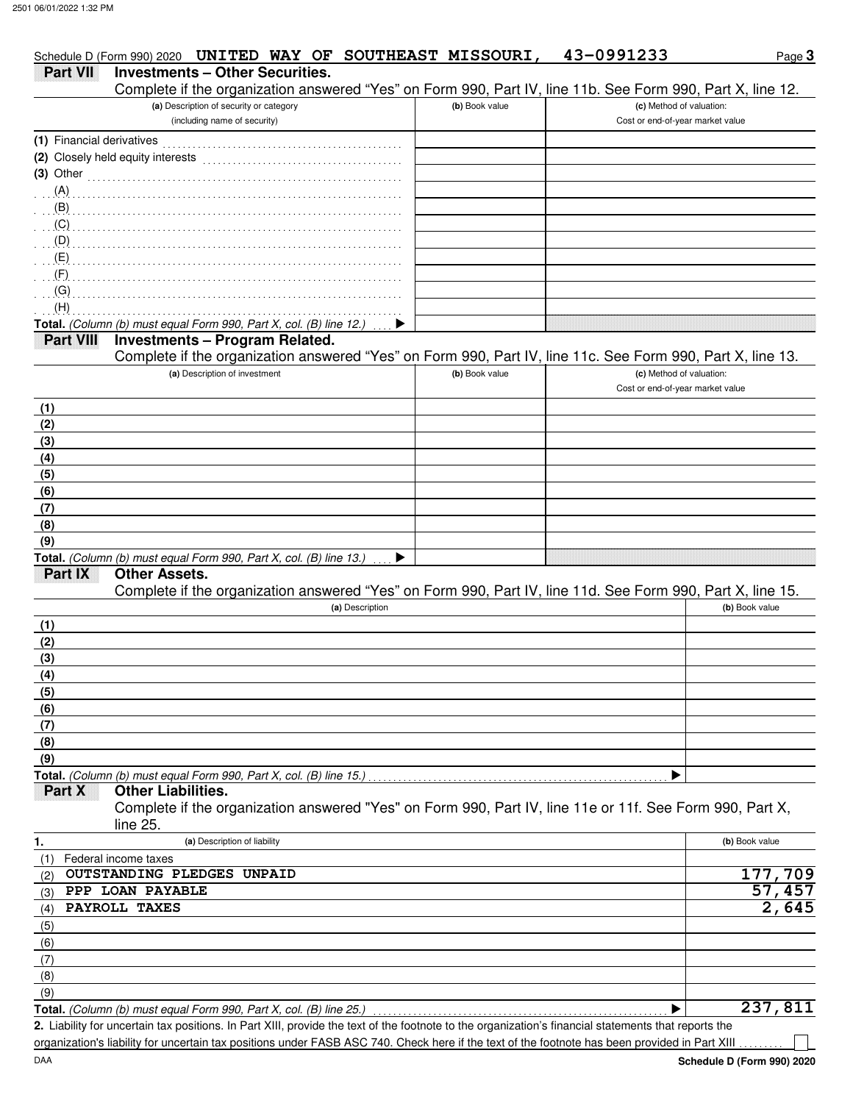| <b>Part VII</b>           | UNITED WAY OF SOUTHEAST MISSOURI,<br>Schedule D (Form 990) 2020<br><b>Investments - Other Securities.</b>  |                | 43-0991233                       | Page 3              |
|---------------------------|------------------------------------------------------------------------------------------------------------|----------------|----------------------------------|---------------------|
|                           | Complete if the organization answered "Yes" on Form 990, Part IV, line 11b. See Form 990, Part X, line 12. |                |                                  |                     |
|                           | (a) Description of security or category                                                                    | (b) Book value | (c) Method of valuation:         |                     |
|                           | (including name of security)                                                                               |                | Cost or end-of-year market value |                     |
| (1) Financial derivatives |                                                                                                            |                |                                  |                     |
|                           | (2) Closely held equity interests                                                                          |                |                                  |                     |
|                           |                                                                                                            |                |                                  |                     |
| $(3)$ Other               |                                                                                                            |                |                                  |                     |
| (A)                       |                                                                                                            |                |                                  |                     |
| (B)                       |                                                                                                            |                |                                  |                     |
| (C)                       |                                                                                                            |                |                                  |                     |
| (D)                       |                                                                                                            |                |                                  |                     |
| (E)                       |                                                                                                            |                |                                  |                     |
| (F)                       |                                                                                                            |                |                                  |                     |
| (G)                       |                                                                                                            |                |                                  |                     |
|                           |                                                                                                            |                |                                  |                     |
| (H)                       |                                                                                                            |                |                                  |                     |
|                           | Total. (Column (b) must equal Form 990, Part X, col. (B) line 12.)                                         |                |                                  |                     |
| Part VIII                 | <b>Investments - Program Related.</b>                                                                      |                |                                  |                     |
|                           | Complete if the organization answered "Yes" on Form 990, Part IV, line 11c. See Form 990, Part X, line 13. |                |                                  |                     |
|                           | (a) Description of investment                                                                              | (b) Book value | (c) Method of valuation:         |                     |
|                           |                                                                                                            |                | Cost or end-of-year market value |                     |
| (1)                       |                                                                                                            |                |                                  |                     |
| (2)                       |                                                                                                            |                |                                  |                     |
|                           |                                                                                                            |                |                                  |                     |
| (3)                       |                                                                                                            |                |                                  |                     |
| (4)                       |                                                                                                            |                |                                  |                     |
| (5)                       |                                                                                                            |                |                                  |                     |
| (6)                       |                                                                                                            |                |                                  |                     |
| (7)                       |                                                                                                            |                |                                  |                     |
| (8)                       |                                                                                                            |                |                                  |                     |
| (9)                       |                                                                                                            |                |                                  |                     |
|                           | Total. (Column (b) must equal Form 990, Part X, col. (B) line 13.)                                         |                |                                  |                     |
| Part IX                   | <b>Other Assets.</b>                                                                                       |                |                                  |                     |
|                           | Complete if the organization answered "Yes" on Form 990, Part IV, line 11d. See Form 990, Part X, line 15. |                |                                  |                     |
|                           |                                                                                                            |                |                                  | (b) Book value      |
|                           | (a) Description                                                                                            |                |                                  |                     |
| (1)                       |                                                                                                            |                |                                  |                     |
| (2)                       |                                                                                                            |                |                                  |                     |
| (3)                       |                                                                                                            |                |                                  |                     |
| (4)                       |                                                                                                            |                |                                  |                     |
| (5)                       |                                                                                                            |                |                                  |                     |
| (6)                       |                                                                                                            |                |                                  |                     |
|                           |                                                                                                            |                |                                  |                     |
| (7)                       |                                                                                                            |                |                                  |                     |
| (8)                       |                                                                                                            |                |                                  |                     |
| (9)                       |                                                                                                            |                |                                  |                     |
|                           | Total. (Column (b) must equal Form 990, Part X, col. (B) line 15.)                                         |                |                                  |                     |
| Part X                    | <b>Other Liabilities.</b>                                                                                  |                |                                  |                     |
|                           | Complete if the organization answered "Yes" on Form 990, Part IV, line 11e or 11f. See Form 990, Part X,   |                |                                  |                     |
|                           | line 25.                                                                                                   |                |                                  |                     |
| 1.                        | (a) Description of liability                                                                               |                |                                  | (b) Book value      |
| (1)                       | Federal income taxes                                                                                       |                |                                  |                     |
|                           | <b>OUTSTANDING PLEDGES UNPAID</b>                                                                          |                |                                  | 177,709             |
| (2)                       |                                                                                                            |                |                                  |                     |
| (3)                       | PPP LOAN PAYABLE                                                                                           |                |                                  | $\overline{5}7,457$ |
| (4)                       | PAYROLL TAXES                                                                                              |                |                                  | 2,645               |
| (5)                       |                                                                                                            |                |                                  |                     |
| (6)                       |                                                                                                            |                |                                  |                     |
| (7)                       |                                                                                                            |                |                                  |                     |
|                           |                                                                                                            |                |                                  |                     |
| (8)                       |                                                                                                            |                |                                  |                     |
| (9)                       |                                                                                                            |                |                                  |                     |
|                           | Total. (Column (b) must equal Form 990, Part X, col. (B) line 25.)                                         |                | ▶                                | 237,811             |

Liability for uncertain tax positions. In Part XIII, provide the text of the footnote to the organization's financial statements that reports the **2.** organization's liability for uncertain tax positions under FASB ASC 740. Check here if the text of the footnote has been provided in Part XIII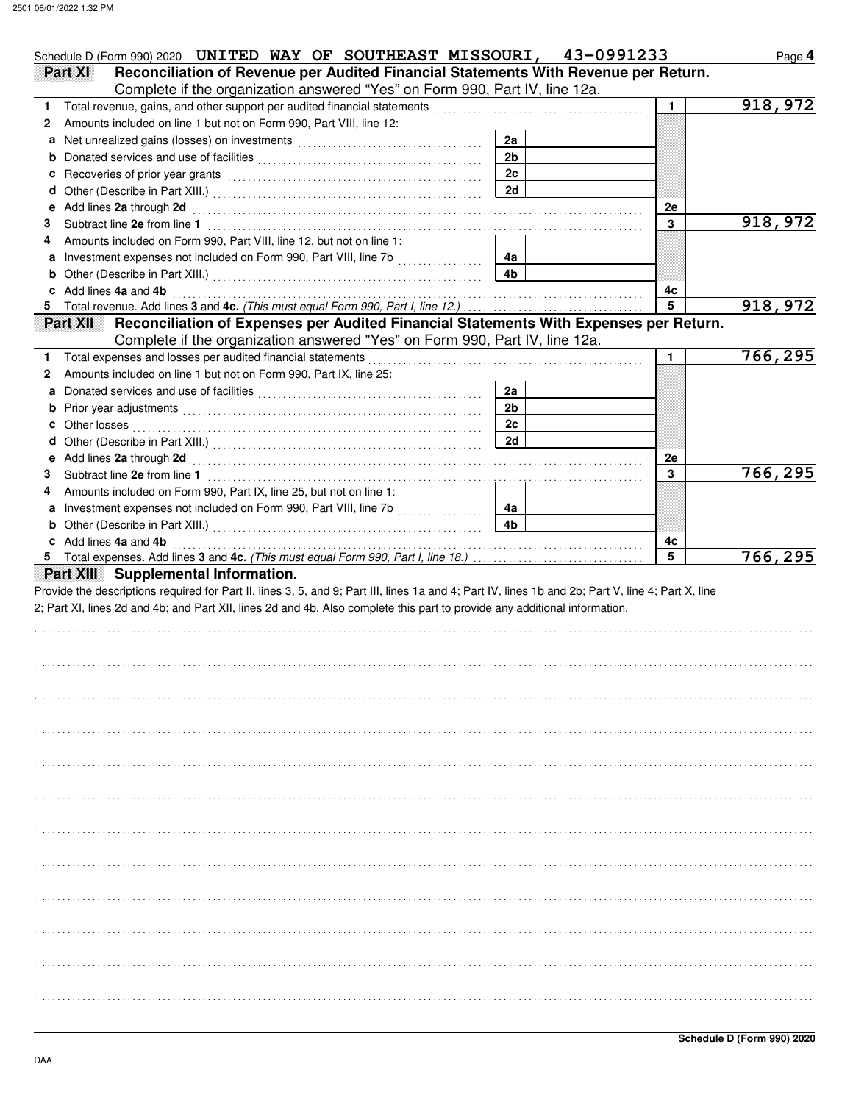| Schedule D (Form 990) 2020 UNITED WAY OF SOUTHEAST MISSOURI, 43-0991233                                                                                                                |                      |    | Page 4   |
|----------------------------------------------------------------------------------------------------------------------------------------------------------------------------------------|----------------------|----|----------|
| Reconciliation of Revenue per Audited Financial Statements With Revenue per Return.<br>Part XI                                                                                         |                      |    |          |
| Complete if the organization answered "Yes" on Form 990, Part IV, line 12a.                                                                                                            |                      |    |          |
| Total revenue, gains, and other support per audited financial statements<br>Total revenue, gains, and other support per audited financial statements<br>International statements<br>1. |                      | 1. | 918, 972 |
| Amounts included on line 1 but not on Form 990, Part VIII, line 12:<br>2                                                                                                               | 2a                   |    |          |
| a                                                                                                                                                                                      | 2 <sub>b</sub>       |    |          |
|                                                                                                                                                                                        | 2c                   |    |          |
|                                                                                                                                                                                        | 2d                   |    |          |
| e Add lines 2a through 2d                                                                                                                                                              |                      | 2e |          |
| З                                                                                                                                                                                      |                      | 3  | 918, 972 |
| Amounts included on Form 990, Part VIII, line 12, but not on line 1:<br>4                                                                                                              |                      |    |          |
|                                                                                                                                                                                        | 4a                   |    |          |
|                                                                                                                                                                                        | 4b                   |    |          |
| c Add lines 4a and 4b                                                                                                                                                                  |                      | 4c |          |
|                                                                                                                                                                                        |                      | 5  | 918, 972 |
| Reconciliation of Expenses per Audited Financial Statements With Expenses per Return.<br>Part XII                                                                                      |                      |    |          |
| Complete if the organization answered "Yes" on Form 990, Part IV, line 12a.                                                                                                            |                      |    |          |
| Total expenses and losses per audited financial statements<br>1.                                                                                                                       |                      | 1  | 766,295  |
| Amounts included on line 1 but not on Form 990, Part IX, line 25:<br>2                                                                                                                 |                      |    |          |
| a                                                                                                                                                                                      | 2a<br>2 <sub>b</sub> |    |          |
| Other losses                                                                                                                                                                           | 2c                   |    |          |
| c                                                                                                                                                                                      | 2d                   |    |          |
| e Add lines 2a through 2d                                                                                                                                                              |                      | 2e |          |
| Subtract line 2e from line 1<br>З                                                                                                                                                      |                      | 3  | 766,295  |
| Amounts included on Form 990, Part IX, line 25, but not on line 1:<br>4                                                                                                                |                      |    |          |
|                                                                                                                                                                                        | 4a                   |    |          |
|                                                                                                                                                                                        | 4 <sub>b</sub>       |    |          |
| c Add lines 4a and 4b                                                                                                                                                                  |                      | 4c |          |
|                                                                                                                                                                                        |                      | 5  | 766,295  |
| <b>Part XIII</b> Supplemental Information.                                                                                                                                             |                      |    |          |
| Provide the descriptions required for Part II, lines 3, 5, and 9; Part III, lines 1a and 4; Part IV, lines 1b and 2b; Part V, line 4; Part X, line                                     |                      |    |          |
| 2; Part XI, lines 2d and 4b; and Part XII, lines 2d and 4b. Also complete this part to provide any additional information.                                                             |                      |    |          |
|                                                                                                                                                                                        |                      |    |          |
|                                                                                                                                                                                        |                      |    |          |
|                                                                                                                                                                                        |                      |    |          |
|                                                                                                                                                                                        |                      |    |          |
|                                                                                                                                                                                        |                      |    |          |
|                                                                                                                                                                                        |                      |    |          |
|                                                                                                                                                                                        |                      |    |          |
|                                                                                                                                                                                        |                      |    |          |
|                                                                                                                                                                                        |                      |    |          |
|                                                                                                                                                                                        |                      |    |          |
|                                                                                                                                                                                        |                      |    |          |
|                                                                                                                                                                                        |                      |    |          |
|                                                                                                                                                                                        |                      |    |          |
|                                                                                                                                                                                        |                      |    |          |
|                                                                                                                                                                                        |                      |    |          |
|                                                                                                                                                                                        |                      |    |          |
|                                                                                                                                                                                        |                      |    |          |
|                                                                                                                                                                                        |                      |    |          |
|                                                                                                                                                                                        |                      |    |          |
|                                                                                                                                                                                        |                      |    |          |
|                                                                                                                                                                                        |                      |    |          |
|                                                                                                                                                                                        |                      |    |          |
|                                                                                                                                                                                        |                      |    |          |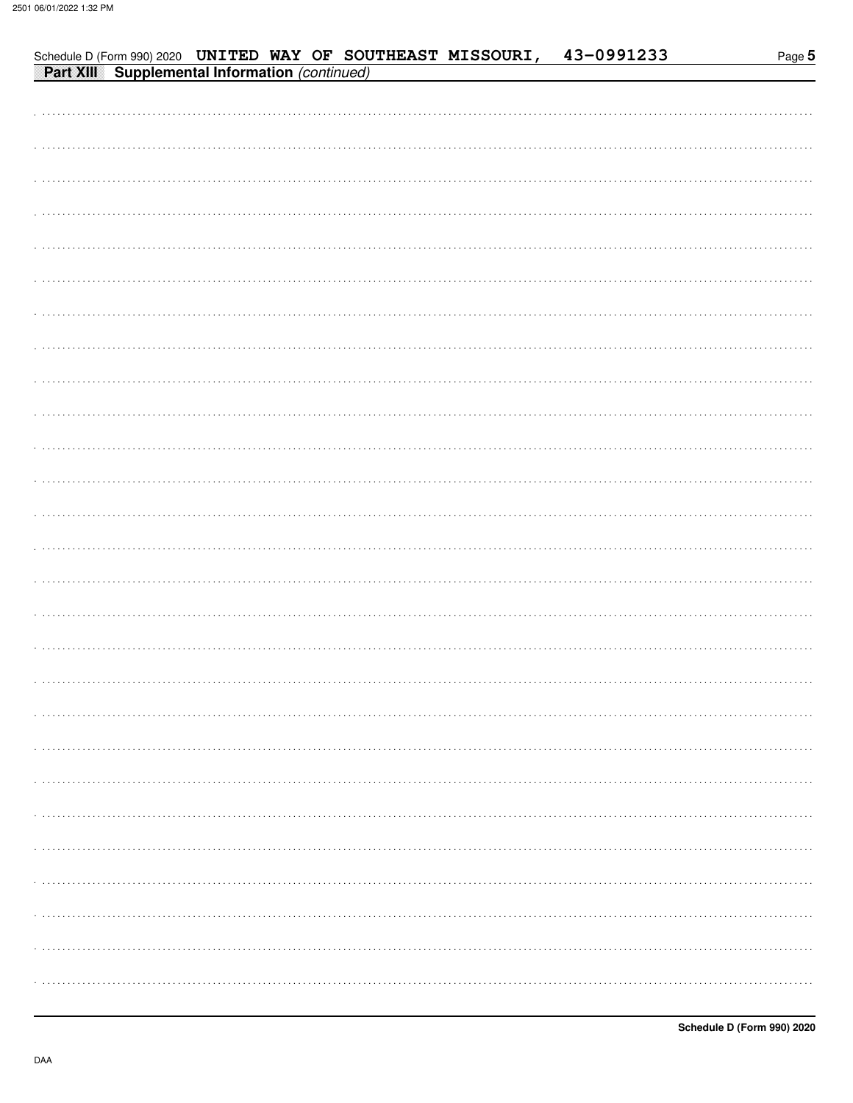| Schedule D (Form 990) 2020 UNITED WAY OF SOUTHEAST MISSOURI,<br><b>Part XIII</b> Supplemental Information (continued) | 43-0991233 | Page 5 |
|-----------------------------------------------------------------------------------------------------------------------|------------|--------|
|                                                                                                                       |            |        |
|                                                                                                                       |            |        |
|                                                                                                                       |            |        |
|                                                                                                                       |            |        |
|                                                                                                                       |            |        |
|                                                                                                                       |            | .      |
|                                                                                                                       |            |        |
|                                                                                                                       |            |        |
|                                                                                                                       |            |        |
|                                                                                                                       |            |        |
|                                                                                                                       |            |        |
|                                                                                                                       |            |        |
|                                                                                                                       |            |        |
|                                                                                                                       |            |        |
|                                                                                                                       |            |        |
|                                                                                                                       |            |        |
|                                                                                                                       |            |        |
|                                                                                                                       |            |        |
|                                                                                                                       |            |        |
|                                                                                                                       |            |        |
|                                                                                                                       |            |        |
|                                                                                                                       |            |        |
|                                                                                                                       |            |        |
|                                                                                                                       |            |        |
|                                                                                                                       |            |        |
|                                                                                                                       |            |        |
|                                                                                                                       |            |        |
|                                                                                                                       |            |        |
|                                                                                                                       |            |        |
|                                                                                                                       |            |        |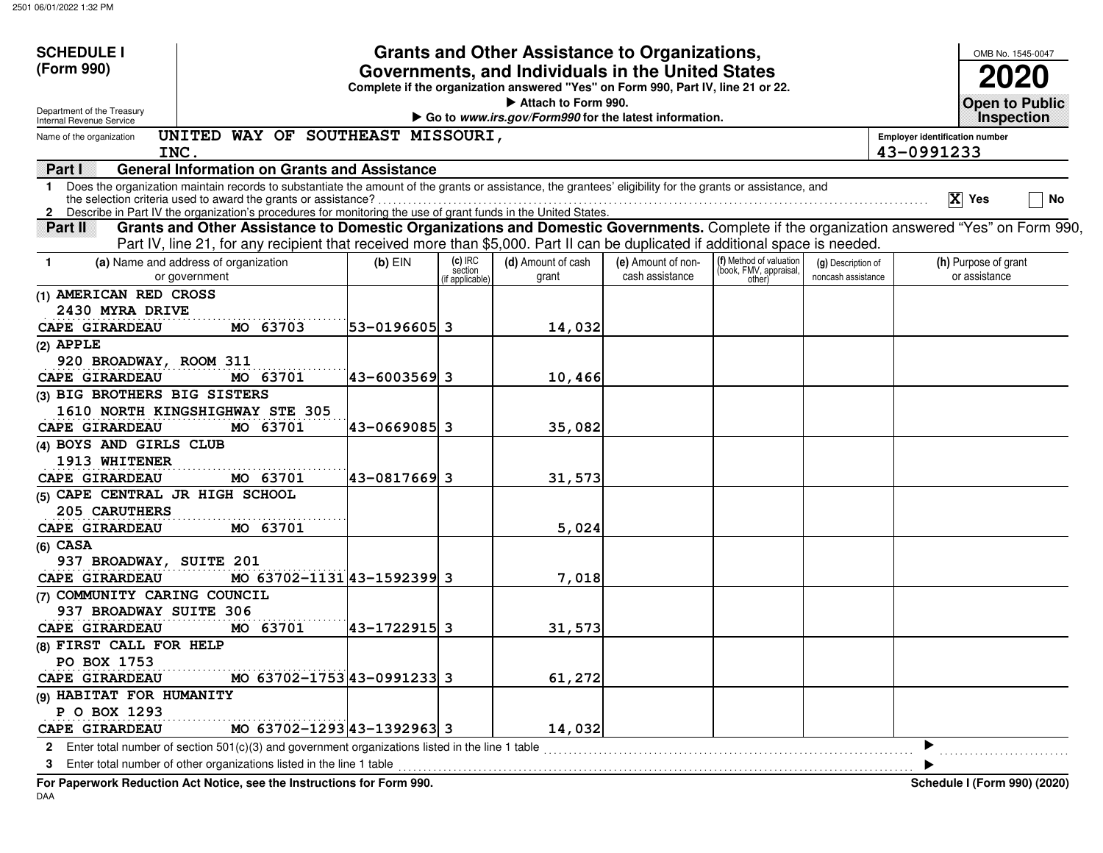| <b>SCHEDULE I</b><br>(Form 990)<br>Department of the Treasury<br>Internal Revenue Service                                                                                                                                                                                            |               |                                         | Grants and Other Assistance to Organizations,<br>Governments, and Individuals in the United States<br>Complete if the organization answered "Yes" on Form 990, Part IV, line 21 or 22.<br>Attach to Form 990.<br>Go to www.irs.gov/Form990 for the latest information. |                                       |                                                             |                                          | OMB No. 1545-0047<br><b>Open to Public</b><br>Inspection |
|--------------------------------------------------------------------------------------------------------------------------------------------------------------------------------------------------------------------------------------------------------------------------------------|---------------|-----------------------------------------|------------------------------------------------------------------------------------------------------------------------------------------------------------------------------------------------------------------------------------------------------------------------|---------------------------------------|-------------------------------------------------------------|------------------------------------------|----------------------------------------------------------|
| UNITED WAY OF SOUTHEAST MISSOURI,<br>Name of the organization<br>INC.                                                                                                                                                                                                                |               |                                         |                                                                                                                                                                                                                                                                        |                                       |                                                             |                                          | <b>Employer identification number</b><br>43-0991233      |
| <b>General Information on Grants and Assistance</b><br>Part I                                                                                                                                                                                                                        |               |                                         |                                                                                                                                                                                                                                                                        |                                       |                                                             |                                          |                                                          |
| Does the organization maintain records to substantiate the amount of the grants or assistance, the grantees' eligibility for the grants or assistance, and<br>$\mathbf{1}$<br>the selection criteria used to award the grants or assistance?                                         |               |                                         |                                                                                                                                                                                                                                                                        |                                       |                                                             |                                          | $\overline{X}$ Yes<br>No                                 |
| Grants and Other Assistance to Domestic Organizations and Domestic Governments. Complete if the organization answered "Yes" on Form 990,<br>Partill<br>Part IV, line 21, for any recipient that received more than \$5,000. Part II can be duplicated if additional space is needed. |               |                                         |                                                                                                                                                                                                                                                                        |                                       |                                                             |                                          |                                                          |
| (a) Name and address of organization<br>$\mathbf{1}$<br>or government                                                                                                                                                                                                                | $(b)$ EIN     | $(c)$ IRC<br>section<br>(if applicable) | (d) Amount of cash<br>grant                                                                                                                                                                                                                                            | (e) Amount of non-<br>cash assistance | (f) Method of valuation<br>(book, FMV, appraisal,<br>other) | (g) Description of<br>noncash assistance | (h) Purpose of grant<br>or assistance                    |
| (1) AMERICAN RED CROSS<br>2430 MYRA DRIVE<br>MO 63703<br>CAPE GIRARDEAU                                                                                                                                                                                                              | 53-0196605 3  |                                         | 14,032                                                                                                                                                                                                                                                                 |                                       |                                                             |                                          |                                                          |
| $(2)$ APPLE<br>920 BROADWAY, ROOM 311<br>CAPE GIRARDEAU<br>MO 63701                                                                                                                                                                                                                  | 43–6003569  3 |                                         | 10,466                                                                                                                                                                                                                                                                 |                                       |                                                             |                                          |                                                          |
| (3) BIG BROTHERS BIG SISTERS<br>1610 NORTH KINGSHIGHWAY STE 305<br>CAPE GIRARDEAU<br>MO 63701                                                                                                                                                                                        | 43–0669085  3 |                                         | 35,082                                                                                                                                                                                                                                                                 |                                       |                                                             |                                          |                                                          |
| (4) BOYS AND GIRLS CLUB<br>1913 WHITENER<br>MO 63701<br>CAPE GIRARDEAU                                                                                                                                                                                                               | 43–0817669  3 |                                         | 31,573                                                                                                                                                                                                                                                                 |                                       |                                                             |                                          |                                                          |
| (5) CAPE CENTRAL JR HIGH SCHOOL<br>205 CARUTHERS<br>MO 63701<br>CAPE GIRARDEAU                                                                                                                                                                                                       |               |                                         | 5,024                                                                                                                                                                                                                                                                  |                                       |                                                             |                                          |                                                          |
| $(6)$ CASA<br>937 BROADWAY, SUITE 201<br>MO 63702-1131 43-1592399 3<br>CAPE GIRARDEAU                                                                                                                                                                                                |               |                                         | 7,018                                                                                                                                                                                                                                                                  |                                       |                                                             |                                          |                                                          |
| (7) COMMUNITY CARING COUNCIL<br>937 BROADWAY SUITE 306<br>MO 63701<br>CAPE GIRARDEAU                                                                                                                                                                                                 | 43–1722915  3 |                                         | 31,573                                                                                                                                                                                                                                                                 |                                       |                                                             |                                          |                                                          |
| (8) FIRST CALL FOR HELP<br>PO BOX 1753<br>MO 63702-175343-09912333<br>CAPE GIRARDEAU                                                                                                                                                                                                 |               |                                         | 61,272                                                                                                                                                                                                                                                                 |                                       |                                                             |                                          |                                                          |
| (9) HABITAT FOR HUMANITY<br>P O BOX 1293<br>MO 63702-129343-13929633<br>CAPE GIRARDEAU                                                                                                                                                                                               |               |                                         | 14,032                                                                                                                                                                                                                                                                 |                                       |                                                             |                                          |                                                          |
| 2 Enter total number of section 501(c)(3) and government organizations listed in the line 1 table<br>3 Enter total number of other organizations listed in the line 1 table                                                                                                          |               |                                         |                                                                                                                                                                                                                                                                        |                                       |                                                             |                                          |                                                          |

**For Paperwork Reduction Act Notice, see the Instructions for Form 990.**DAA

**Schedule I (Form 990) (2020)**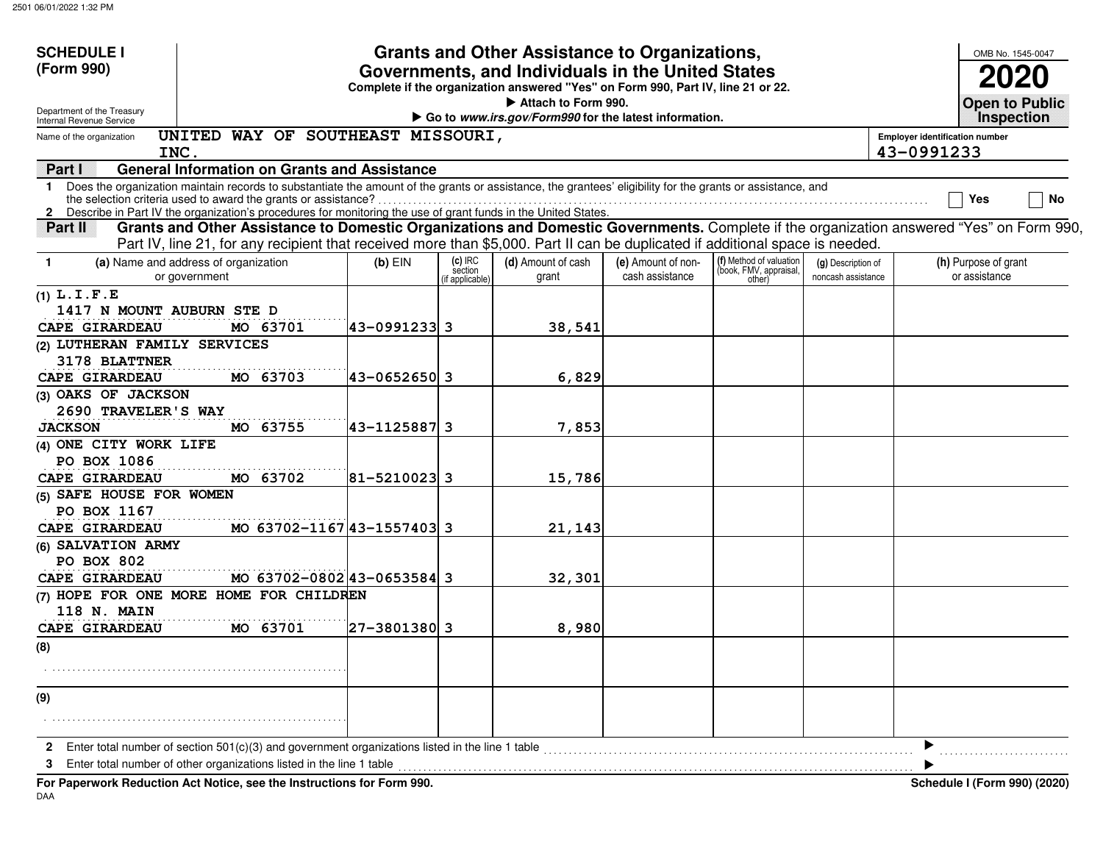| <b>SCHEDULE I</b><br>(Form 990)                                                                                                                                                                                                                                                                                                                                 |               |                                         | Grants and Other Assistance to Organizations,<br>Governments, and Individuals in the United States<br>Complete if the organization answered "Yes" on Form 990, Part IV, line 21 or 22.<br>Attach to Form 990. |                                                                                                                |                                                             |                                          | OMB No. 1545-0047<br><b>Open to Public</b>          |
|-----------------------------------------------------------------------------------------------------------------------------------------------------------------------------------------------------------------------------------------------------------------------------------------------------------------------------------------------------------------|---------------|-----------------------------------------|---------------------------------------------------------------------------------------------------------------------------------------------------------------------------------------------------------------|----------------------------------------------------------------------------------------------------------------|-------------------------------------------------------------|------------------------------------------|-----------------------------------------------------|
| Department of the Treasury<br>Internal Revenue Service                                                                                                                                                                                                                                                                                                          |               |                                         | Go to www.irs.gov/Form990 for the latest information.                                                                                                                                                         |                                                                                                                |                                                             |                                          | <b>Inspection</b>                                   |
| UNITED WAY OF SOUTHEAST MISSOURI,<br>Name of the organization<br>INC.                                                                                                                                                                                                                                                                                           |               |                                         |                                                                                                                                                                                                               |                                                                                                                |                                                             |                                          | <b>Employer identification number</b><br>43-0991233 |
| <b>General Information on Grants and Assistance</b><br>Part I                                                                                                                                                                                                                                                                                                   |               |                                         |                                                                                                                                                                                                               |                                                                                                                |                                                             |                                          |                                                     |
| Does the organization maintain records to substantiate the amount of the grants or assistance, the grantees' eligibility for the grants or assistance, and<br>$\mathbf{1}$<br>the selection criteria used to award the grants or assistance?<br>2 Describe in Part IV the organization's procedures for monitoring the use of grant funds in the United States. |               |                                         |                                                                                                                                                                                                               |                                                                                                                |                                                             |                                          | No<br>Yes                                           |
| Grants and Other Assistance to Domestic Organizations and Domestic Governments. Complete if the organization answered "Yes" on Form 990,<br>Part II<br>Part IV, line 21, for any recipient that received more than \$5,000. Part II can be duplicated if additional space is needed.                                                                            |               |                                         |                                                                                                                                                                                                               |                                                                                                                |                                                             |                                          |                                                     |
| (a) Name and address of organization<br>$\mathbf{1}$<br>or government                                                                                                                                                                                                                                                                                           | $(b)$ EIN     | $(c)$ IRC<br>section<br>(if applicable) | (d) Amount of cash<br>grant                                                                                                                                                                                   | (e) Amount of non-<br>cash assistance                                                                          | (f) Method of valuation<br>(book, FMV, appraisal,<br>other) | (g) Description of<br>noncash assistance | (h) Purpose of grant<br>or assistance               |
| $(1)$ $L. I. F.E$<br>1417 N MOUNT AUBURN STE D                                                                                                                                                                                                                                                                                                                  |               |                                         |                                                                                                                                                                                                               |                                                                                                                |                                                             |                                          |                                                     |
| CAPE GIRARDEAU<br>MO 63701                                                                                                                                                                                                                                                                                                                                      | 43–0991233  3 |                                         | 38,541                                                                                                                                                                                                        |                                                                                                                |                                                             |                                          |                                                     |
| (2) LUTHERAN FAMILY SERVICES<br>3178 BLATTNER<br>MO 63703<br>CAPE GIRARDEAU                                                                                                                                                                                                                                                                                     | 43-0652650  3 |                                         | 6,829                                                                                                                                                                                                         |                                                                                                                |                                                             |                                          |                                                     |
| (3) OAKS OF JACKSON<br>2690 TRAVELER'S WAY                                                                                                                                                                                                                                                                                                                      |               |                                         |                                                                                                                                                                                                               |                                                                                                                |                                                             |                                          |                                                     |
| MO 63755<br><b>JACKSON</b>                                                                                                                                                                                                                                                                                                                                      | 43–1125887  3 |                                         | 7,853                                                                                                                                                                                                         |                                                                                                                |                                                             |                                          |                                                     |
| (4) ONE CITY WORK LIFE<br>PO BOX 1086<br>MO 63702<br>CAPE GIRARDEAU                                                                                                                                                                                                                                                                                             | 81-5210023 3  |                                         | 15,786                                                                                                                                                                                                        |                                                                                                                |                                                             |                                          |                                                     |
| (5) SAFE HOUSE FOR WOMEN<br>PO BOX 1167                                                                                                                                                                                                                                                                                                                         |               |                                         |                                                                                                                                                                                                               |                                                                                                                |                                                             |                                          |                                                     |
| MO 63702-1167 43-1557403 3<br>CAPE GIRARDEAU                                                                                                                                                                                                                                                                                                                    |               |                                         | 21,143                                                                                                                                                                                                        |                                                                                                                |                                                             |                                          |                                                     |
| (6) SALVATION ARMY<br><b>PO BOX 802</b>                                                                                                                                                                                                                                                                                                                         |               |                                         |                                                                                                                                                                                                               |                                                                                                                |                                                             |                                          |                                                     |
| MO 63702-0802 43-0653584 3<br>CAPE GIRARDEAU<br>(7) HOPE FOR ONE MORE HOME FOR CHILDREN<br>118 N. MAIN                                                                                                                                                                                                                                                          |               |                                         | 32,301                                                                                                                                                                                                        |                                                                                                                |                                                             |                                          |                                                     |
| CAPE GIRARDEAU<br>MO 63701                                                                                                                                                                                                                                                                                                                                      | 27-3801380 3  |                                         | 8,980                                                                                                                                                                                                         |                                                                                                                |                                                             |                                          |                                                     |
| (8)                                                                                                                                                                                                                                                                                                                                                             |               |                                         |                                                                                                                                                                                                               |                                                                                                                |                                                             |                                          |                                                     |
|                                                                                                                                                                                                                                                                                                                                                                 |               |                                         |                                                                                                                                                                                                               |                                                                                                                |                                                             |                                          |                                                     |
| (9)                                                                                                                                                                                                                                                                                                                                                             |               |                                         |                                                                                                                                                                                                               |                                                                                                                |                                                             |                                          |                                                     |
|                                                                                                                                                                                                                                                                                                                                                                 |               |                                         |                                                                                                                                                                                                               |                                                                                                                |                                                             |                                          |                                                     |
| Enter total number of section $501(c)(3)$ and government organizations listed in the line 1 table<br>$\mathbf{2}$<br>Enter total number of other organizations listed in the line 1 table<br>3                                                                                                                                                                  |               |                                         |                                                                                                                                                                                                               | and a complete the contract of the contract of the contract of the contract of the contract of the contract of |                                                             |                                          |                                                     |
| For Paperwork Reduction Act Notice, see the Instructions for Form 990.                                                                                                                                                                                                                                                                                          |               |                                         |                                                                                                                                                                                                               |                                                                                                                |                                                             |                                          | Schedule I (Form 990) (2020)                        |

DAA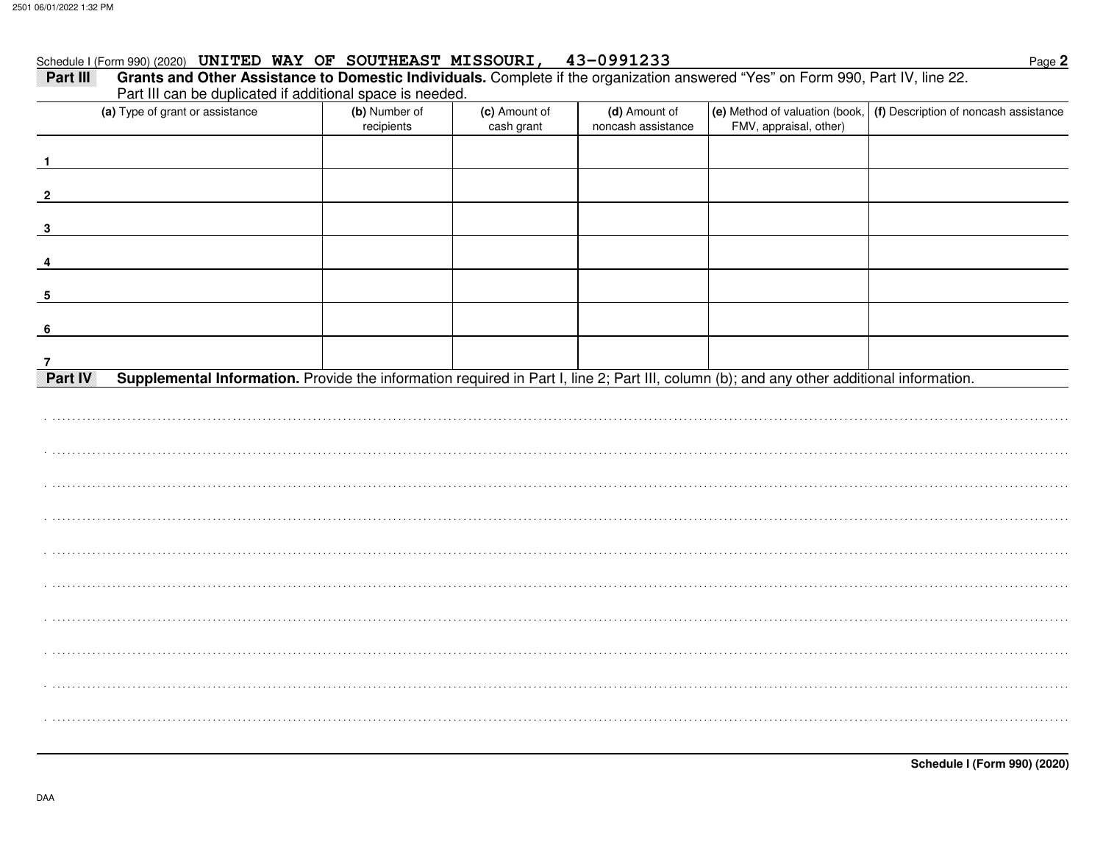## Schedule I (Form 990) (2020) UNITED WAY OF SOUTHEAST MISSOURI, 43-0991233

| Part III     | Grants and Other Assistance to Domestic Individuals. Complete if the organization answered "Yes" on Form 990, Part IV, line 22.<br>Part III can be duplicated if additional space is needed. |                             |                             |                                     |                        |                                                                        |  |  |
|--------------|----------------------------------------------------------------------------------------------------------------------------------------------------------------------------------------------|-----------------------------|-----------------------------|-------------------------------------|------------------------|------------------------------------------------------------------------|--|--|
|              | (a) Type of grant or assistance                                                                                                                                                              | (b) Number of<br>recipients | (c) Amount of<br>cash grant | (d) Amount of<br>noncash assistance | FMV, appraisal, other) | (e) Method of valuation (book,   (f) Description of noncash assistance |  |  |
|              |                                                                                                                                                                                              |                             |                             |                                     |                        |                                                                        |  |  |
| $\mathbf{2}$ |                                                                                                                                                                                              |                             |                             |                                     |                        |                                                                        |  |  |
| 3            |                                                                                                                                                                                              |                             |                             |                                     |                        |                                                                        |  |  |
| 4            |                                                                                                                                                                                              |                             |                             |                                     |                        |                                                                        |  |  |
| $\sqrt{5}$   |                                                                                                                                                                                              |                             |                             |                                     |                        |                                                                        |  |  |
| 6            |                                                                                                                                                                                              |                             |                             |                                     |                        |                                                                        |  |  |
| 7            |                                                                                                                                                                                              |                             |                             |                                     |                        |                                                                        |  |  |
| Part IV      | Supplemental Information. Provide the information required in Part I, line 2; Part III, column (b); and any other additional information.                                                    |                             |                             |                                     |                        |                                                                        |  |  |
|              |                                                                                                                                                                                              |                             |                             |                                     |                        |                                                                        |  |  |
|              |                                                                                                                                                                                              |                             |                             |                                     |                        |                                                                        |  |  |
|              |                                                                                                                                                                                              |                             |                             |                                     |                        |                                                                        |  |  |
|              |                                                                                                                                                                                              |                             |                             |                                     |                        |                                                                        |  |  |
|              |                                                                                                                                                                                              |                             |                             |                                     |                        |                                                                        |  |  |
|              |                                                                                                                                                                                              |                             |                             |                                     |                        |                                                                        |  |  |
|              |                                                                                                                                                                                              |                             |                             |                                     |                        |                                                                        |  |  |
|              |                                                                                                                                                                                              |                             |                             |                                     |                        |                                                                        |  |  |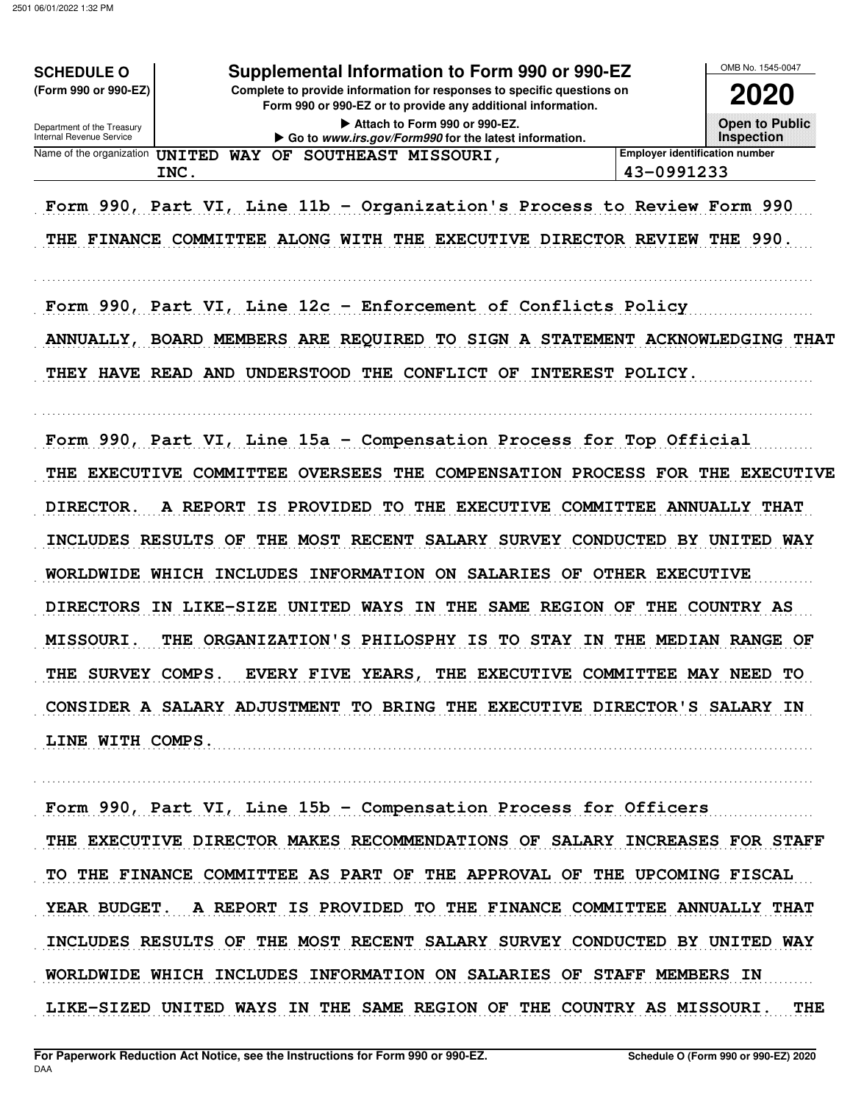| <b>SCHEDULE O</b>                                                                                                                                              | Supplemental Information to Form 990 or 990-EZ                                                                                                     |                                       | OMB No. 1545-0047     |  |  |  |  |
|----------------------------------------------------------------------------------------------------------------------------------------------------------------|----------------------------------------------------------------------------------------------------------------------------------------------------|---------------------------------------|-----------------------|--|--|--|--|
| (Form 990 or 990-EZ)<br>Complete to provide information for responses to specific questions on<br>Form 990 or 990-EZ or to provide any additional information. |                                                                                                                                                    |                                       | <b>2020</b>           |  |  |  |  |
| Department of the Treasury<br>Internal Revenue Service                                                                                                         | Attach to Form 990 or 990-EZ.                                                                                                                      |                                       | <b>Open to Public</b> |  |  |  |  |
| Name of the organization                                                                                                                                       | $\triangleright$ Go to www.irs.gov/Form990 for the latest information.<br>UNITED<br>WAY OF SOUTHEAST MISSOURI,                                     | <b>Employer identification number</b> | <b>Inspection</b>     |  |  |  |  |
|                                                                                                                                                                | INC.                                                                                                                                               | 43-0991233                            |                       |  |  |  |  |
|                                                                                                                                                                | Form 990, Part VI, Line 11b - Organization's Process to Review Form 990<br>THE FINANCE COMMITTEE ALONG WITH THE EXECUTIVE DIRECTOR REVIEW THE 990. |                                       |                       |  |  |  |  |
|                                                                                                                                                                |                                                                                                                                                    |                                       |                       |  |  |  |  |
|                                                                                                                                                                | Form 990, Part VI, Line 12c - Enforcement of Conflicts Policy                                                                                      |                                       |                       |  |  |  |  |
|                                                                                                                                                                | ANNUALLY, BOARD MEMBERS ARE REQUIRED TO SIGN A STATEMENT ACKNOWLEDGING THAT                                                                        |                                       |                       |  |  |  |  |
|                                                                                                                                                                | THEY HAVE READ AND UNDERSTOOD THE CONFLICT OF INTEREST POLICY.                                                                                     |                                       |                       |  |  |  |  |
|                                                                                                                                                                | Form 990, Part VI, Line 15a - Compensation Process for Top Official                                                                                |                                       |                       |  |  |  |  |
| THE EXECUTIVE COMMITTEE OVERSEES THE COMPENSATION PROCESS FOR THE EXECUTIVE                                                                                    |                                                                                                                                                    |                                       |                       |  |  |  |  |
| <b>DIRECTOR.</b><br>IS PROVIDED TO THE EXECUTIVE COMMITTEE ANNUALLY THAT<br>A REPORT                                                                           |                                                                                                                                                    |                                       |                       |  |  |  |  |
| INCLUDES RESULTS OF THE MOST RECENT SALARY SURVEY CONDUCTED BY UNITED WAY                                                                                      |                                                                                                                                                    |                                       |                       |  |  |  |  |
|                                                                                                                                                                | WORLDWIDE WHICH INCLUDES INFORMATION ON SALARIES OF OTHER EXECUTIVE                                                                                |                                       |                       |  |  |  |  |
|                                                                                                                                                                | DIRECTORS IN LIKE-SIZE UNITED WAYS IN THE SAME REGION OF                                                                                           |                                       | THE COUNTRY AS        |  |  |  |  |
| <b>MISSOURI</b>                                                                                                                                                | THE ORGANIZATION'S PHILOSPHY IS TO STAY IN THE MEDIAN RANGE OF                                                                                     |                                       |                       |  |  |  |  |
|                                                                                                                                                                | THE SURVEY COMPS. EVERY FIVE YEARS, THE EXECUTIVE COMMITTEE MAY NEED TO                                                                            |                                       |                       |  |  |  |  |
| CONSIDER A SALARY ADJUSTMENT TO BRING THE EXECUTIVE DIRECTOR'S SALARY IN                                                                                       |                                                                                                                                                    |                                       |                       |  |  |  |  |
| LINE WITH COMPS.                                                                                                                                               |                                                                                                                                                    |                                       |                       |  |  |  |  |
|                                                                                                                                                                | Form 990, Part VI, Line 15b - Compensation Process for Officers                                                                                    |                                       |                       |  |  |  |  |
|                                                                                                                                                                | THE EXECUTIVE DIRECTOR MAKES RECOMMENDATIONS OF SALARY INCREASES FOR STAFF                                                                         |                                       |                       |  |  |  |  |
|                                                                                                                                                                | TO THE FINANCE COMMITTEE AS PART OF THE APPROVAL OF THE UPCOMING FISCAL                                                                            |                                       |                       |  |  |  |  |
|                                                                                                                                                                | YEAR BUDGET. A REPORT IS PROVIDED TO THE FINANCE COMMITTEE ANNUALLY THAT                                                                           |                                       |                       |  |  |  |  |
| INCLUDES RESULTS OF THE MOST RECENT SALARY SURVEY CONDUCTED BY UNITED WAY                                                                                      |                                                                                                                                                    |                                       |                       |  |  |  |  |
| WORLDWIDE WHICH INCLUDES INFORMATION ON SALARIES OF STAFF MEMBERS IN                                                                                           |                                                                                                                                                    |                                       |                       |  |  |  |  |
|                                                                                                                                                                |                                                                                                                                                    |                                       |                       |  |  |  |  |
| LIKE-SIZED UNITED WAYS IN THE SAME REGION OF THE COUNTRY AS MISSOURI. THE                                                                                      |                                                                                                                                                    |                                       |                       |  |  |  |  |